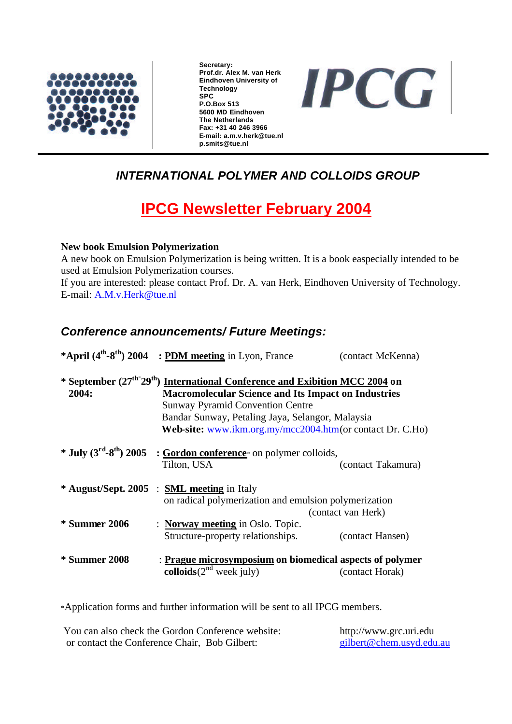

**Secretary: Prof.dr. Alex M. van Herk Eindhoven University of Technology SPC P.O.Box 513 5600 MD Eindhoven The Netherlands Fax: +31 40 246 3966 E-mail: a.m.v.herk@tue.nl p.smits@tue.nl**



# *INTERNATIONAL POLYMER AND COLLOIDS GROUP*

# **IPCG Newsletter February 2004**

# **New book Emulsion Polymerization**

A new book on Emulsion Polymerization is being written. It is a book easpecially intended to be used at Emulsion Polymerization courses.

If you are interested: please contact Prof. Dr. A. van Herk, Eindhoven University of Technology. E-mail: A.M.v.Herk@tue.nl

# *Conference announcements/ Future Meetings:*

|               | *April $(4^{th} - 8^{th})$ 2004 : PDM meeting in Lyon, France                                        | (contact McKenna)  |
|---------------|------------------------------------------------------------------------------------------------------|--------------------|
|               | * September (27 <sup>th-</sup> 29 <sup>th</sup> ) International Conference and Exibition MCC 2004 on |                    |
| 2004:         | <b>Macromolecular Science and Its Impact on Industries</b>                                           |                    |
|               | <b>Sunway Pyramid Convention Centre</b>                                                              |                    |
|               | Bandar Sunway, Petaling Jaya, Selangor, Malaysia                                                     |                    |
|               | Web-site: www.ikm.org.my/mcc2004.htm(or contact Dr. C.Ho)                                            |                    |
|               | * July $(3^{rd}-8^{th})$ 2005 : Gordon conference <sup>*</sup> on polymer colloids,                  |                    |
|               | Tilton, USA                                                                                          | (contact Takamura) |
|               | * August/Sept. 2005 : SML meeting in Italy                                                           |                    |
|               | on radical polymerization and emulsion polymerization                                                |                    |
|               |                                                                                                      | (contact van Herk) |
| * Summer 2006 | : Norway meeting in Oslo. Topic.                                                                     |                    |
|               | Structure-property relationships.                                                                    | (contact Hansen)   |
| * Summer 2008 | : Prague microsymposium on biomedical aspects of polymer                                             |                    |
|               | colloids $(2^{nd}$ week july)                                                                        | (contact Horak)    |

\*Application forms and further information will be sent to all IPCG members.

| You can also check the Gordon Conference website: | http://www.grc.uri.edu   |
|---------------------------------------------------|--------------------------|
| or contact the Conference Chair, Bob Gilbert:     | gilbert@chem.usyd.edu.au |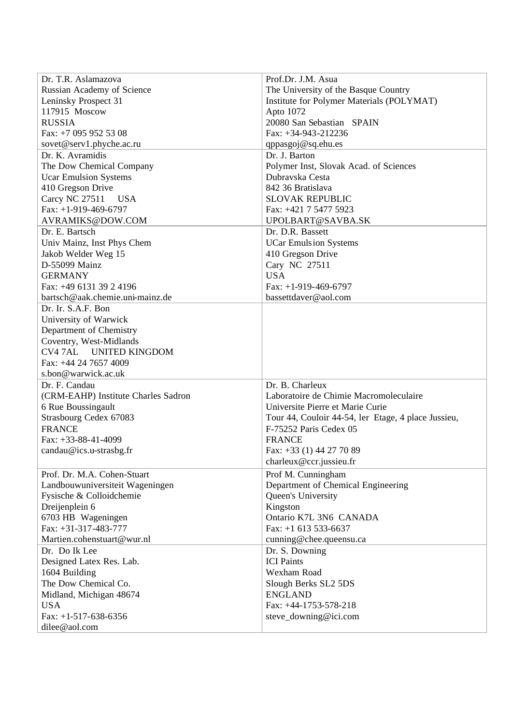| Dr. T.R. Aslamazova                 | Prof.Dr. J.M. Asua                                  |  |
|-------------------------------------|-----------------------------------------------------|--|
| Russian Academy of Science          | The University of the Basque Country                |  |
| Leninsky Prospect 31                | Institute for Polymer Materials (POLYMAT)           |  |
| 117915 Moscow                       | Apto 1072                                           |  |
| <b>RUSSIA</b>                       | 20080 San Sebastian SPAIN                           |  |
| Fax: +7 095 952 53 08               | Fax: +34-943-212236                                 |  |
| sovet@serv1.phyche.ac.ru            | qppasgoj@sq.ehu.es                                  |  |
| Dr. K. Avramidis                    | Dr. J. Barton                                       |  |
| The Dow Chemical Company            | Polymer Inst, Slovak Acad. of Sciences              |  |
| <b>Ucar Emulsion Systems</b>        | Dubravska Cesta                                     |  |
| 410 Gregson Drive                   | 842 36 Bratislava                                   |  |
| <b>Carcy NC 27511</b><br><b>USA</b> | <b>SLOVAK REPUBLIC</b>                              |  |
| Fax: $+1-919-469-6797$              | Fax: +421 7 5477 5923                               |  |
| AVRAMIKS@DOW.COM                    | UPOLBART@SAVBA.SK                                   |  |
| Dr. E. Bartsch                      | Dr. D.R. Bassett                                    |  |
| Univ Mainz, Inst Phys Chem          | <b>UCar Emulsion Systems</b>                        |  |
| Jakob Welder Weg 15                 | 410 Gregson Drive                                   |  |
| D-55099 Mainz                       | Cary NC 27511                                       |  |
| <b>GERMANY</b>                      | <b>USA</b>                                          |  |
| Fax: +49 6131 39 2 4196             | Fax: $+1-919-469-6797$                              |  |
| bartsch@aak.chemie.uni-mainz.de     | bassettdaver@aol.com                                |  |
| Dr. Ir. S.A.F. Bon                  |                                                     |  |
| University of Warwick               |                                                     |  |
| Department of Chemistry             |                                                     |  |
| Coventry, West-Midlands             |                                                     |  |
| CV4 7AL<br><b>UNITED KINGDOM</b>    |                                                     |  |
| Fax: +44 24 7657 4009               |                                                     |  |
| s.bon@warwick.ac.uk                 |                                                     |  |
| Dr. F. Candau                       | Dr. B. Charleux                                     |  |
| (CRM-EAHP) Institute Charles Sadron | Laboratoire de Chimie Macromoleculaire              |  |
| 6 Rue Boussingault                  | Universite Pierre et Marie Curie                    |  |
| Strasbourg Cedex 67083              | Tour 44, Couloir 44-54, ler Etage, 4 place Jussieu, |  |
| <b>FRANCE</b>                       | F-75252 Paris Cedex 05                              |  |
| Fax: $+33-88-41-4099$               | <b>FRANCE</b>                                       |  |
| candau@ics.u-strasbg.fr             | Fax: +33 (1) 44 27 70 89                            |  |
|                                     | charleux $@ccr.jussieu.fr$                          |  |
| Prof. Dr. M.A. Cohen-Stuart         | Prof M. Cunningham                                  |  |
| Landbouwuniversiteit Wageningen     | Department of Chemical Engineering                  |  |
| Fysische & Colloidchemie            | Queen's University                                  |  |
| Dreijenplein 6                      | Kingston                                            |  |
| 6703 HB Wageningen                  | Ontario K7L 3N6 CANADA                              |  |
| Fax: +31-317-483-777                | Fax: $+1$ 613 533-6637                              |  |
| Martien.cohenstuart@wur.nl          | cunning@chee.queensu.ca                             |  |
| Dr. Do Ik Lee                       | Dr. S. Downing                                      |  |
| Designed Latex Res. Lab.            | <b>ICI</b> Paints                                   |  |
| 1604 Building                       | Wexham Road                                         |  |
| The Dow Chemical Co.                | Slough Berks SL2 5DS                                |  |
| Midland, Michigan 48674             | <b>ENGLAND</b>                                      |  |
| <b>USA</b>                          | Fax: +44-1753-578-218                               |  |
| Fax: $+1-517-638-6356$              | steve_downing@ici.com                               |  |
| dilee@aol.com                       |                                                     |  |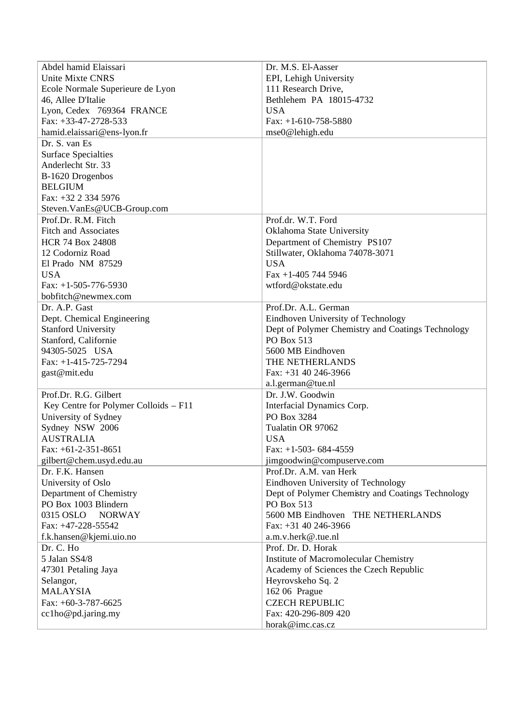| Abdel hamid Elaissari                 | Dr. M.S. El-Aasser                                |
|---------------------------------------|---------------------------------------------------|
| Unite Mixte CNRS                      | EPI, Lehigh University                            |
| Ecole Normale Superieure de Lyon      | 111 Research Drive,                               |
| 46, Allee D'Italie                    | Bethlehem PA 18015-4732                           |
| Lyon, Cedex 769364 FRANCE             | <b>USA</b>                                        |
| Fax: $+33-47-2728-533$                | Fax: $+1-610-758-5880$                            |
| hamid.elaissari@ens-lyon.fr           | mse0@lehigh.edu                                   |
| Dr. S. van Es                         |                                                   |
| <b>Surface Specialties</b>            |                                                   |
| Anderlecht Str. 33                    |                                                   |
| B-1620 Drogenbos                      |                                                   |
| <b>BELGIUM</b>                        |                                                   |
| Fax: +32 2 334 5976                   |                                                   |
| Steven.VanEs@UCB-Group.com            |                                                   |
| Prof.Dr. R.M. Fitch                   | Prof.dr. W.T. Ford                                |
| <b>Fitch and Associates</b>           | Oklahoma State University                         |
| <b>HCR 74 Box 24808</b>               |                                                   |
|                                       | Department of Chemistry PS107                     |
| 12 Codorniz Road                      | Stillwater, Oklahoma 74078-3071                   |
| El Prado NM 87529                     | <b>USA</b>                                        |
| <b>USA</b>                            | Fax +1-405 744 5946                               |
| Fax: $+1-505-776-5930$                | wtford@okstate.edu                                |
| bobfitch@newmex.com                   |                                                   |
| Dr. A.P. Gast                         | Prof.Dr. A.L. German                              |
| Dept. Chemical Engineering            | Eindhoven University of Technology                |
| <b>Stanford University</b>            | Dept of Polymer Chemistry and Coatings Technology |
| Stanford, Californie                  | PO Box 513                                        |
| 94305-5025 USA                        | 5600 MB Eindhoven                                 |
| Fax: $+1-415-725-7294$                | THE NETHERLANDS                                   |
| gast@mit.edu                          | Fax: +31 40 246-3966                              |
|                                       | a.l.german@tue.nl                                 |
| Prof.Dr. R.G. Gilbert                 | Dr. J.W. Goodwin                                  |
| Key Centre for Polymer Colloids - F11 | Interfacial Dynamics Corp.                        |
| University of Sydney                  | PO Box 3284                                       |
| Sydney NSW 2006                       | Tualatin OR 97062                                 |
| <b>AUSTRALIA</b>                      | <b>USA</b>                                        |
| Fax: $+61-2-351-8651$                 | Fax: $+1-503-684-4559$                            |
| gilbert@chem.usyd.edu.au              | jimgoodwin@compuserve.com                         |
| Dr. F.K. Hansen                       | Prof.Dr. A.M. van Herk                            |
| University of Oslo                    | Eindhoven University of Technology                |
| Department of Chemistry               | Dept of Polymer Chemistry and Coatings Technology |
| PO Box 1003 Blindern                  | PO Box 513                                        |
| 0315 OSLO<br><b>NORWAY</b>            | 5600 MB Eindhoven THE NETHERLANDS                 |
| Fax: +47-228-55542                    | Fax: +31 40 246-3966                              |
| f.k.hansen@kjemi.uio.no               | a.m.v.herk@.tue.nl                                |
| Dr. C. Ho                             | Prof. Dr. D. Horak                                |
| 5 Jalan SS4/8                         | Institute of Macromolecular Chemistry             |
| 47301 Petaling Jaya                   | Academy of Sciences the Czech Republic            |
|                                       | Heyrovskeho Sq. 2                                 |
| Selangor,<br><b>MALAYSIA</b>          | 162 06 Prague                                     |
|                                       |                                                   |
| Fax: $+60-3-787-6625$                 | <b>CZECH REPUBLIC</b>                             |
| $cc1$ ho@pd.jaring.my                 | Fax: 420-296-809 420                              |
|                                       | horak@imc.cas.cz                                  |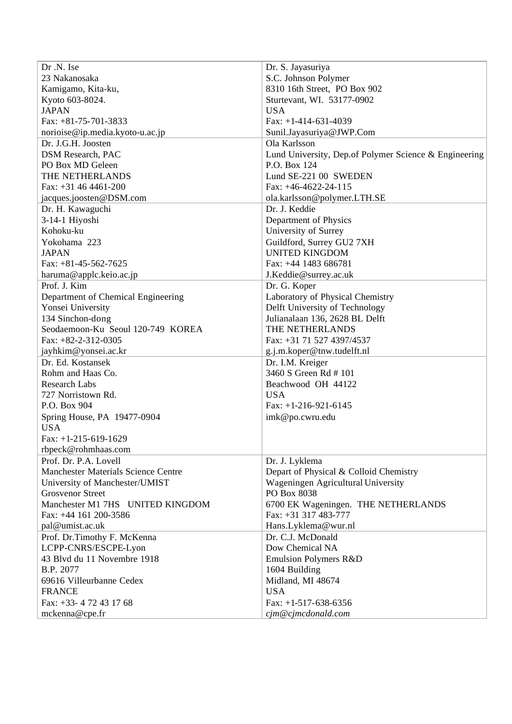| Dr.N. Ise                                    | Dr. S. Jayasuriya                                           |  |
|----------------------------------------------|-------------------------------------------------------------|--|
| 23 Nakanosaka                                | S.C. Johnson Polymer                                        |  |
| Kamigamo, Kita-ku,                           | 8310 16th Street, PO Box 902                                |  |
| Kyoto 603-8024.                              | Sturtevant, WI. 53177-0902                                  |  |
| <b>JAPAN</b>                                 | <b>USA</b>                                                  |  |
| Fax: $+81-75-701-3833$                       | Fax: $+1-414-631-4039$                                      |  |
| norioise@ip.media.kyoto-u.ac.jp              | Sunil.Jayasuriya@JWP.Com                                    |  |
| Dr. J.G.H. Joosten                           | Ola Karlsson                                                |  |
| <b>DSM Research, PAC</b>                     | Lund University, Dep.of Polymer Science & Engineering       |  |
| PO Box MD Geleen                             | P.O. Box 124                                                |  |
| THE NETHERLANDS                              | Lund SE-221 00 SWEDEN                                       |  |
| Fax: $+31$ 46 4461-200                       | Fax: $+46-4622-24-115$                                      |  |
| jacques.joosten@DSM.com                      | ola.karlsson@polymer.LTH.SE                                 |  |
| Dr. H. Kawaguchi                             | Dr. J. Keddie                                               |  |
| 3-14-1 Hiyoshi                               | Department of Physics                                       |  |
| Kohoku-ku                                    | University of Surrey                                        |  |
| Yokohama 223                                 | Guildford, Surrey GU2 7XH                                   |  |
| <b>JAPAN</b>                                 | <b>UNITED KINGDOM</b>                                       |  |
| Fax: $+81-45-562-7625$                       | Fax: +44 1483 686781                                        |  |
| haruma@applc.keio.ac.jp                      | J.Keddie@surrey.ac.uk                                       |  |
| Prof. J. Kim                                 | Dr. G. Koper                                                |  |
|                                              | Laboratory of Physical Chemistry                            |  |
| Department of Chemical Engineering           |                                                             |  |
| Yonsei University                            | Delft University of Technology                              |  |
| 134 Sinchon-dong                             | Julianalaan 136, 2628 BL Delft                              |  |
| Seodaemoon-Ku Seoul 120-749 KOREA            | THE NETHERLANDS                                             |  |
| Fax: $+82-2-312-0305$                        | Fax: +31 71 527 4397/4537                                   |  |
| jayhkim@yonsei.ac.kr                         | g.j.m.koper@tnw.tudelft.nl                                  |  |
| Dr. Ed. Kostansek                            | Dr. I.M. Kreiger                                            |  |
| Rohm and Haas Co.                            | 3460 S Green Rd # 101                                       |  |
| <b>Research Labs</b>                         | Beachwood OH 44122                                          |  |
| 727 Norristown Rd.                           | <b>USA</b>                                                  |  |
| P.O. Box 904                                 | Fax: $+1-216-921-6145$                                      |  |
| Spring House, PA 19477-0904<br><b>USA</b>    | imk@po.cwru.edu                                             |  |
| Fax: $+1-215-619-1629$                       |                                                             |  |
|                                              |                                                             |  |
| rbpeck@rohmhaas.com<br>Prof. Dr. P.A. Lovell |                                                             |  |
|                                              | Dr. J. Lyklema                                              |  |
| <b>Manchester Materials Science Centre</b>   | Depart of Physical & Colloid Chemistry                      |  |
| University of Manchester/UMIST               | Wageningen Agricultural University<br>PO Box 8038           |  |
| <b>Grosvenor Street</b>                      |                                                             |  |
| Manchester M1 7HS UNITED KINGDOM             | 6700 EK Wageningen. THE NETHERLANDS<br>Fax: +31 317 483-777 |  |
| Fax: +44 161 200-3586                        |                                                             |  |
| pal@umist.ac.uk                              | Hans.Lyklema@wur.nl                                         |  |
| Prof. Dr.Timothy F. McKenna                  | Dr. C.J. McDonald                                           |  |
| LCPP-CNRS/ESCPE-Lyon                         | Dow Chemical NA                                             |  |
| 43 Blvd du 11 Novembre 1918                  | Emulsion Polymers R&D                                       |  |
| B.P. 2077                                    | 1604 Building                                               |  |
| 69616 Villeurbanne Cedex                     | Midland, MI 48674                                           |  |
| <b>FRANCE</b>                                | <b>USA</b>                                                  |  |
| Fax: +33- 4 72 43 17 68                      | Fax: $+1-517-638-6356$                                      |  |
| mckenna@cpe.fr                               | cjm@cjmcdonald.com                                          |  |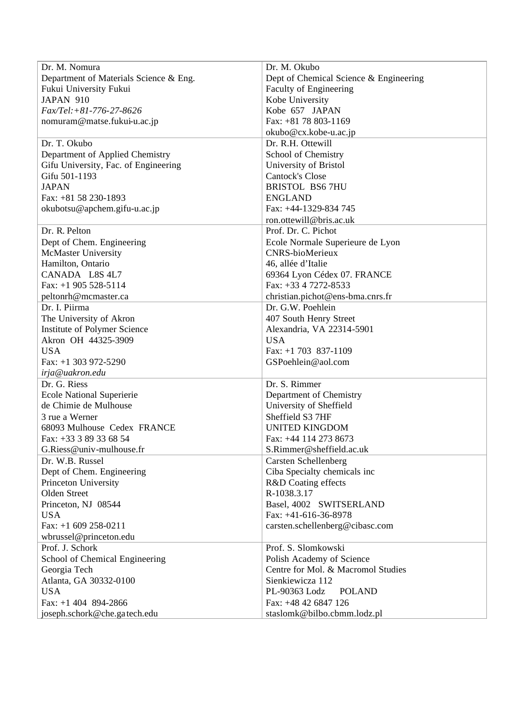| Dr. M. Nomura                          | Dr. M. Okubo                           |  |
|----------------------------------------|----------------------------------------|--|
| Department of Materials Science & Eng. | Dept of Chemical Science & Engineering |  |
| Fukui University Fukui                 | Faculty of Engineering                 |  |
| <b>JAPAN 910</b>                       | Kobe University                        |  |
| Fax/Tel:+81-776-27-8626                | Kobe 657 JAPAN                         |  |
| nomuram@matse.fukui-u.ac.jp            | Fax: +81 78 803-1169                   |  |
|                                        | okubo@cx.kobe-u.ac.jp                  |  |
| Dr. T. Okubo                           | Dr. R.H. Ottewill                      |  |
| Department of Applied Chemistry        | School of Chemistry                    |  |
| Gifu University, Fac. of Engineering   | University of Bristol                  |  |
| Gifu 501-1193                          | <b>Cantock's Close</b>                 |  |
| <b>JAPAN</b>                           | <b>BRISTOL BS6 7HU</b>                 |  |
| Fax: +81 58 230-1893                   | <b>ENGLAND</b>                         |  |
| okubotsu@apchem.gifu-u.ac.jp           | Fax: +44-1329-834 745                  |  |
|                                        | ron.ottewill@bris.ac.uk                |  |
| Dr. R. Pelton                          | Prof. Dr. C. Pichot                    |  |
| Dept of Chem. Engineering              | Ecole Normale Superieure de Lyon       |  |
| <b>McMaster University</b>             | <b>CNRS-bioMerieux</b>                 |  |
| Hamilton, Ontario                      | 46, allée d'Italie                     |  |
| CANADA L8S 4L7                         | 69364 Lyon Cédex 07. FRANCE            |  |
| Fax: $+1$ 905 528-5114                 | Fax: +33 4 7272-8533                   |  |
| peltonrh@mcmaster.ca                   | christian.pichot@ens-bma.cnrs.fr       |  |
| Dr. I. Piirma                          | Dr. G.W. Poehlein                      |  |
| The University of Akron                | 407 South Henry Street                 |  |
| Institute of Polymer Science           | Alexandria, VA 22314-5901              |  |
| Akron OH 44325-3909                    | <b>USA</b>                             |  |
| <b>USA</b>                             | Fax: $+1$ 703 837-1109                 |  |
| Fax: $+1$ 303 972-5290                 | GSPoehlein@aol.com                     |  |
| irja@uakron.edu                        |                                        |  |
| Dr. G. Riess                           | Dr. S. Rimmer                          |  |
|                                        |                                        |  |
| <b>Ecole National Superierie</b>       | Department of Chemistry                |  |
| de Chimie de Mulhouse                  | University of Sheffield                |  |
| 3 rue a Werner                         | Sheffield S3 7HF                       |  |
| 68093 Mulhouse Cedex FRANCE            | <b>UNITED KINGDOM</b>                  |  |
| Fax: +33 3 89 33 68 54                 | Fax: +44 114 273 8673                  |  |
| G.Riess@univ-mulhouse.fr               | S.Rimmer@sheffield.ac.uk               |  |
| Dr. W.B. Russel                        | Carsten Schellenberg                   |  |
| Dept of Chem. Engineering              | Ciba Specialty chemicals inc           |  |
| Princeton University                   | R&D Coating effects                    |  |
| Olden Street                           | R-1038.3.17                            |  |
| Princeton, NJ 08544                    | Basel, 4002 SWITSERLAND                |  |
| <b>USA</b>                             | Fax: +41-616-36-8978                   |  |
| Fax: $+1$ 609 258-0211                 | carsten.schellenberg@cibasc.com        |  |
| wbrussel@princeton.edu                 |                                        |  |
| Prof. J. Schork                        | Prof. S. Slomkowski                    |  |
| School of Chemical Engineering         | Polish Academy of Science              |  |
| Georgia Tech                           | Centre for Mol. & Macromol Studies     |  |
| Atlanta, GA 30332-0100                 | Sienkiewicza 112                       |  |
| <b>USA</b>                             | PL-90363 Lodz<br><b>POLAND</b>         |  |
| Fax: $+1$ 404 894-2866                 | Fax: +48 42 6847 126                   |  |
| joseph.schork@che.gatech.edu           | staslomk@bilbo.cbmm.lodz.pl            |  |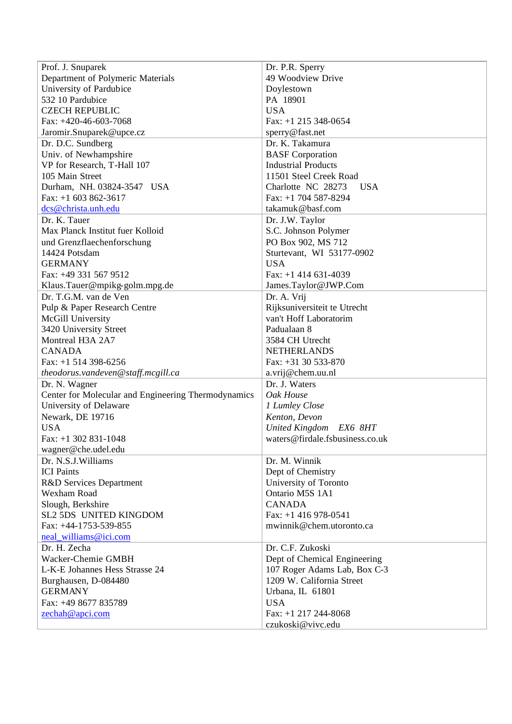| Prof. J. Snuparek                                   | Dr. P.R. Sperry                  |  |
|-----------------------------------------------------|----------------------------------|--|
| Department of Polymeric Materials                   | 49 Woodview Drive                |  |
| University of Pardubice                             | Doylestown                       |  |
| 532 10 Pardubice                                    | PA 18901                         |  |
| <b>CZECH REPUBLIC</b>                               | <b>USA</b>                       |  |
| Fax: $+420-46-603-7068$                             | Fax: $+1$ 215 348-0654           |  |
| Jaromir.Snuparek@upce.cz                            | sperry@fast.net                  |  |
| Dr. D.C. Sundberg                                   | Dr. K. Takamura                  |  |
| Univ. of Newhampshire                               | <b>BASF</b> Corporation          |  |
| VP for Research, T-Hall 107                         | <b>Industrial Products</b>       |  |
| 105 Main Street                                     | 11501 Steel Creek Road           |  |
| Durham, NH. 03824-3547 USA                          | Charlotte NC 28273<br><b>USA</b> |  |
| Fax: $+1$ 603 862-3617                              | Fax: $+1$ 704 587-8294           |  |
| dcs@christa.unh.edu                                 | takamuk@basf.com                 |  |
| Dr. K. Tauer                                        | Dr. J.W. Taylor                  |  |
| Max Planck Institut fuer Kolloid                    | S.C. Johnson Polymer             |  |
| und Grenzflaechenforschung                          | PO Box 902, MS 712               |  |
| 14424 Potsdam                                       | Sturtevant, WI 53177-0902        |  |
| <b>GERMANY</b>                                      | <b>USA</b>                       |  |
| Fax: +49 331 567 9512                               | Fax: $+1$ 414 631-4039           |  |
| Klaus.Tauer@mpikg-golm.mpg.de                       | James.Taylor@JWP.Com             |  |
| Dr. T.G.M. van de Ven                               | Dr. A. Vrij                      |  |
| Pulp & Paper Research Centre                        | Rijksuniversiteit te Utrecht     |  |
| McGill University                                   | van't Hoff Laboratorim           |  |
| 3420 University Street                              | Padualaan 8                      |  |
| Montreal H3A 2A7                                    | 3584 CH Utrecht                  |  |
| <b>CANADA</b>                                       | NETHERLANDS                      |  |
| Fax: $+1$ 514 398-6256                              | Fax: +31 30 533-870              |  |
| theodorus.vandeven@staff.mcgill.ca                  | a.vrij@chem.uu.nl                |  |
| Dr. N. Wagner                                       | Dr. J. Waters                    |  |
| Center for Molecular and Engineering Thermodynamics | Oak House                        |  |
| University of Delaware                              | 1 Lumley Close                   |  |
| Newark, DE 19716                                    | Kenton, Devon                    |  |
| <b>USA</b>                                          | United Kingdom EX6 8HT           |  |
| Fax: $+1$ 302 831-1048                              | waters@firdale.fsbusiness.co.uk  |  |
| wagner@che.udel.edu                                 |                                  |  |
| Dr. N.S.J. Williams                                 | Dr. M. Winnik                    |  |
| <b>ICI</b> Paints                                   | Dept of Chemistry                |  |
| R&D Services Department                             | University of Toronto            |  |
| Wexham Road                                         | Ontario M5S 1A1                  |  |
| Slough, Berkshire                                   | <b>CANADA</b>                    |  |
| SL2 5DS UNITED KINGDOM                              | Fax: $+1$ 416 978-0541           |  |
| Fax: +44-1753-539-855                               | mwinnik@chem.utoronto.ca         |  |
| neal williams@ici.com                               |                                  |  |
| Dr. H. Zecha                                        | Dr. C.F. Zukoski                 |  |
| Wacker-Chemie GMBH                                  | Dept of Chemical Engineering     |  |
| L-K-E Johannes Hess Strasse 24                      | 107 Roger Adams Lab, Box C-3     |  |
| Burghausen, D-084480                                | 1209 W. California Street        |  |
| <b>GERMANY</b>                                      | Urbana, IL 61801                 |  |
| Fax: +49 8677 835789                                | <b>USA</b>                       |  |
| zechah@apci.com                                     | Fax: $+1$ 217 244-8068           |  |
|                                                     | czukoski@vivc.edu                |  |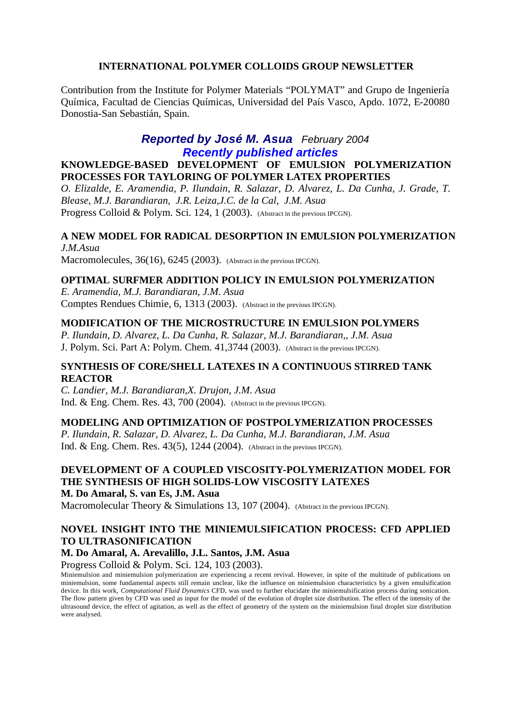# **INTERNATIONAL POLYMER COLLOIDS GROUP NEWSLETTER**

Contribution from the Institute for Polymer Materials "POLYMAT" and Grupo de Ingeniería Química, Facultad de Ciencias Químicas, Universidad del País Vasco, Apdo. 1072, E-20080 Donostia-San Sebastián, Spain.

# *Reported by José M. Asua February 2004 Recently published articles*

# **KNOWLEDGE-BASED DEVELOPMENT OF EMULSION POLYMERIZATION PROCESSES FOR TAYLORING OF POLYMER LATEX PROPERTIES**

*O. Elizalde, E. Aramendia, P. Ilundain, R. Salazar, D. Alvarez, L. Da Cunha, J. Grade, T. Blease, M.J. Barandiaran, J.R. Leiza,J.C. de la Cal, J.M. Asua* Progress Colloid & Polym. Sci. 124, 1 (2003). (Abstract in the previous IPCGN).

# **A NEW MODEL FOR RADICAL DESORPTION IN EMULSION POLYMERIZATION** *J.M.Asua*

Macromolecules, 36(16), 6245 (2003). (Abstract in the previous IPCGN).

# **OPTIMAL SURFMER ADDITION POLICY IN EMULSION POLYMERIZATION**

*E. Aramendia, M.J. Barandiaran, J.M. Asua* Comptes Rendues Chimie, 6, 1313 (2003). (Abstract in the previous IPCGN).

# **MODIFICATION OF THE MICROSTRUCTURE IN EMULSION POLYMERS**

*P. Ilundain, D. Alvarez, L. Da Cunha, R. Salazar, M.J. Barandiaran,, J.M. Asua* J. Polym. Sci. Part A: Polym. Chem. 41,3744 (2003). (Abstract in the previous IPCGN).

# **SYNTHESIS OF CORE/SHELL LATEXES IN A CONTINUOUS STIRRED TANK REACTOR**

*C. Landier, M.J. Barandiaran,X. Drujon, J.M. Asua* Ind. & Eng. Chem. Res. 43, 700 (2004). (Abstract in the previous IPCGN).

# **MODELING AND OPTIMIZATION OF POSTPOLYMERIZATION PROCESSES**

*P. Ilundain, R. Salazar, D. Alvarez, L. Da Cunha, M.J. Barandiaran, J.M. Asua* Ind. & Eng. Chem. Res. 43(5), 1244 (2004). (Abstract in the previous IPCGN).

# **DEVELOPMENT OF A COUPLED VISCOSITY-POLYMERIZATION MODEL FOR THE SYNTHESIS OF HIGH SOLIDS-LOW VISCOSITY LATEXES M. Do Amaral, S. van Es, J.M. Asua**

Macromolecular Theory & Simulations 13, 107 (2004). (Abstract in the previous IPCGN).

# **NOVEL INSIGHT INTO THE MINIEMULSIFICATION PROCESS: CFD APPLIED TO ULTRASONIFICATION**

# **M. Do Amaral, A. Arevalillo, J.L. Santos, J.M. Asua**

Progress Colloid & Polym. Sci. 124, 103 (2003).

Miniemulsion and miniemulsion polymerization are experiencing a recent revival. However, in spite of the multitude of publications on miniemulsion, some fundamental aspects still remain unclear, like the influence on miniemulsion characteristics by a given emulsification device. In this work, *Computational Fluid Dynamics* CFD, was used to further elucidate the miniemulsification process during sonication. The flow pattern given by CFD was used as input for the model of the evolution of droplet size distribution. The effect of the intensity of the ultrasound device, the effect of agitation, as well as the effect of geometry of the system on the miniemulsion final droplet size distribution were analysed.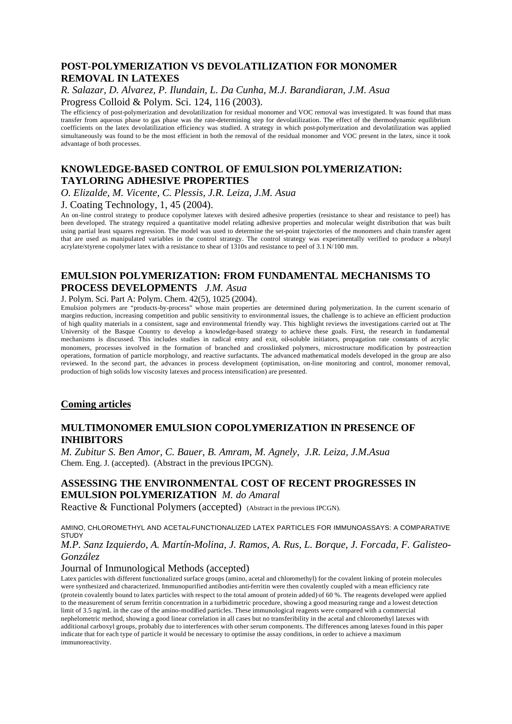# **POST-POLYMERIZATION VS DEVOLATILIZATION FOR MONOMER REMOVAL IN LATEXES**

# *R. Salazar, D. Alvarez, P. Ilundain, L. Da Cunha, M.J. Barandiaran, J.M. Asua*

Progress Colloid & Polym. Sci. 124, 116 (2003).

The efficiency of post-polymerization and devolatilization for residual monomer and VOC removal was investigated. It was found that mass transfer from aqueous phase to gas phase was the rate-determining step for devolatilization. The effect of the thermodynamic equilibrium coefficients on the latex devolatilization efficiency was studied. A strategy in which post-polymerization and devolatilization was applied simultaneously was found to be the most efficient in both the removal of the residual monomer and VOC present in the latex, since it took advantage of both processes.

## **KNOWLEDGE-BASED CONTROL OF EMULSION POLYMERIZATION: TAYLORING ADHESIVE PROPERTIES**

## *O. Elizalde, M. Vicente, C. Plessis, J.R. Leiza, J.M. Asua*

#### J. Coating Technology, 1, 45 (2004).

An on-line control strategy to produce copolymer latexes with desired adhesive properties (resistance to shear and resistance to peel) has been developed. The strategy required a quantitative model relating adhesive properties and molecular weight distribution that was built using partial least squares regression. The model was used to determine the set-point trajectories of the monomers and chain transfer agent that are used as manipulated variables in the control strategy. The control strategy was experimentally verified to produce a n-butyl acrylate/styrene copolymer latex with a resistance to shear of 1310s and resistance to peel of 3.1 N/100 mm.

# **EMULSION POLYMERIZATION: FROM FUNDAMENTAL MECHANISMS TO PROCESS DEVELOPMENTS** *J.M. Asua*

#### J. Polym. Sci. Part A: Polym. Chem. 42(5), 1025 (2004).

Emulsion polymers are "products-by-process" whose main properties are determined during polymerization. In the current scenario of margins reduction, increasing competition and public sensitivity to environmental issues, the challenge is to achieve an efficient production of high quality materials in a consistent, sage and environmental friendly way. This highlight reviews the investigations carried out at The University of the Basque Country to develop a knowledge-based strategy to achieve these goals. First, the research in fundamental mechanisms is discussed. This includes studies in radical entry and exit, oil-soluble initiators, propagation rate constants of acrylic monomers, processes involved in the formation of branched and crosslinked polymers, microstructure modification by postreaction operations, formation of particle morphology, and reactive surfactants. The advanced mathematical models developed in the group are also reviewed. In the second part, the advances in process development (optimisation, on-line monitoring and control, monomer removal, production of high solids low viscosity latexes and process intensification) are presented.

## **Coming articles**

# **MULTIMONOMER EMULSION COPOLYMERIZATION IN PRESENCE OF INHIBITORS**

*M. Zubitur S. Ben Amor, C. Bauer, B. Amram, M. Agnely, J.R. Leiza, J.M.Asua* Chem. Eng. J. (accepted). (Abstract in the previous IPCGN).

## **ASSESSING THE ENVIRONMENTAL COST OF RECENT PROGRESSES IN EMULSION POLYMERIZATION** *M. do Amaral*

Reactive & Functional Polymers (accepted) (Abstract in the previous IPCGN).

AMINO, CHLOROMETHYL AND ACETAL-FUNCTIONALIZED LATEX PARTICLES FOR IMMUNOASSAYS: A COMPARATIVE STUDY

*M.P. Sanz Izquierdo, A. Martín-Molina, J. Ramos, A. Rus, L. Borque, J. Forcada, F. Galisteo-González*

## Journal of Inmunological Methods (accepted)

Latex particles with different functionalized surface groups (amino, acetal and chloromethyl) for the covalent linking of protein molecules were synthesized and characterized. Immunopurified antibodies anti-ferritin were then covalently coupled with a mean efficiency rate (protein covalently bound to latex particles with respect to the total amount of protein added) of 60 %. The reagents developed were applied to the measurement of serum ferritin concentration in a turbidimetric procedure, showing a good measuring range and a lowest detection limit of 3.5 ng/mL in the case of the amino-modified particles. These immunological reagents were compared with a commercial nephelometric method, showing a good linear correlation in all cases but no transferibility in the acetal and chloromethyl latexes with additional carboxyl groups, probably due to interferences with other serum components. The differences among latexes found in this paper indicate that for each type of particle it would be necessary to optimise the assay conditions, in order to achieve a maximum immunoreactivity.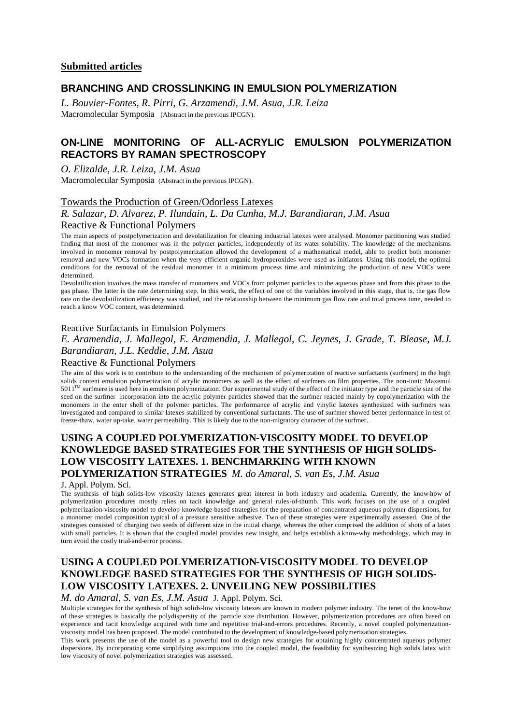## **Submitted articles**

## **BRANCHING AND CROSSLINKING IN EMULSION POLYMERIZATION**

*L. Bouvier-Fontes, R. Pirri, G. Arzamendi, J.M. Asua, J.R. Leiza* Macromolecular Symposia (Abstract in the previous IPCGN).

# **ON-LINE MONITORING OF ALL-ACRYLIC EMULSION POLYMERIZATION REACTORS BY RAMAN SPECTROSCOPY**

*O. Elizalde, J.R. Leiza, J.M. Asua*

Macromolecular Symposia (Abstract in the previous IPCGN).

#### Towards the Production of Green/Odorless Latexes

*R. Salazar, D. Alvarez, P. Ilundain, L. Da Cunha, M.J. Barandiaran, J.M. Asua*

#### Reactive & Functional Polymers

The main aspects of postpolymerization and devolatilization for cleaning industrial latexes were analysed. Monomer partitioning was studied finding that most of the monomer was in the polymer particles, independently of its water solubility. The knowledge of the mechanisms involved in monomer removal by postpolymerization allowed the development of a mathematical model, able to predict both monomer removal and new VOCs formation when the very efficient organic hydroperoxides were used as initiators. Using this model, the optimal conditions for the removal of the residual monomer in a minimum process time and minimizing the production of new VOCs were determined.

Devolatilization involves the mass transfer of monomers and VOCs from polymer particles to the aqueous phase and from this phase to the gas phase. The latter is the rate determining step. In this work, the effect of one of the variables involved in this stage, that is, the gas flow rate on the devolatilization efficiency was studied, and the relationship between the minimum gas flow rate and total process time, needed to reach a know VOC content, was determined.

#### Reactive Surfactants in Emulsion Polymers

## *E. Aramendia, J. Mallegol, E. Aramendia, J. Mallegol, C. Jeynes, J. Grade, T. Blease, M.J. Barandiaran, J.L. Keddie, J.M. Asua*

#### Reactive & Functional Polymers

The aim of this work is to contribute to the understanding of the mechanism of polymerization of reactive surfactants (surfmers) in the high solids content emulsion polymerization of acrylic monomers as well as the effect of surfmers on film properties. The non-ionic Maxemul  $5011^{\text{TM}}$  surfmere is used here in emulsion polymerization. Our experimental study of the effect of the initiator type and the particle size of the seed on the surfmer incorporation into the acrylic polymer particles showed that the surfmer reacted mainly by copolymerization with the monomers in the enter shell of the polymer particles. The performance of acrylic and vinylic latexes synthesized with surfmers was investigated and compared to similar latexes stabilized by conventional surfactants. The use of surfmer showed better performance in test of freeze-thaw, water up-take, water permeability. This is likely due to the non-migratory character of the surfmer.

# **USING A COUPLED POLYMERIZATION-VISCOSITY MODEL TO DEVELOP KNOWLEDGE BASED STRATEGIES FOR THE SYNTHESIS OF HIGH SOLIDS-LOW VISCOSITY LATEXES. 1. BENCHMARKING WITH KNOWN POLYMERIZATION STRATEGIES** *M. do Amaral, S. van Es, J.M. Asua*

#### J. Appl. Polym. Sci.

The synthesis of high solids-low viscosity latexes generates great interest in both industry and academia. Currently, the know-how of polymerization procedures mostly relies on tacit knowledge and general rules-of-thumb. This work focuses on the use of a coupled polymerization-viscosity model to develop knowledge-based strategies for the preparation of concentrated aqueous polymer dispersions, for a monomer model composition typical of a pressure sensitive adhesive. Two of these strategies were experimentally assessed. One of the strategies consisted of charging two seeds of different size in the initial charge, whereas the other comprised the addition of shots of a latex with small particles. It is shown that the coupled model provides new insight, and helps establish a know-why methodology, which may in turn avoid the costly trial-and-error process.

# **USING A COUPLED POLYMERIZATION-VISCOSITY MODEL TO DEVELOP KNOWLEDGE BASED STRATEGIES FOR THE SYNTHESIS OF HIGH SOLIDS-LOW VISCOSITY LATEXES. 2. UNVEILING NEW POSSIBILITIES**

#### *M. do Amaral, S. van Es, J.M. Asua* J. Appl. Polym. Sci.

Multiple strategies for the synthesis of high solids-low viscosity latexes are known in modern polymer industry. The tenet of the know-how of these strategies is basically the polydispersity of the particle size distribution. However, polymerization procedures are often based on experience and tacit knowledge acquired with time and repetitive trial-and-errors procedures. Recently, a novel coupled polymerizationviscosity model has been proposed. The model contributed to the development of knowledge-based polymerization strategies.

This work presents the use of the model as a powerful tool to design new strategies for obtaining highly concentrated aqueous polymer dispersions. By incorporating some simplifying assumptions into the coupled model, the feasibility for synthesizing high solids latex with low viscosity of novel polymerization strategies was assessed.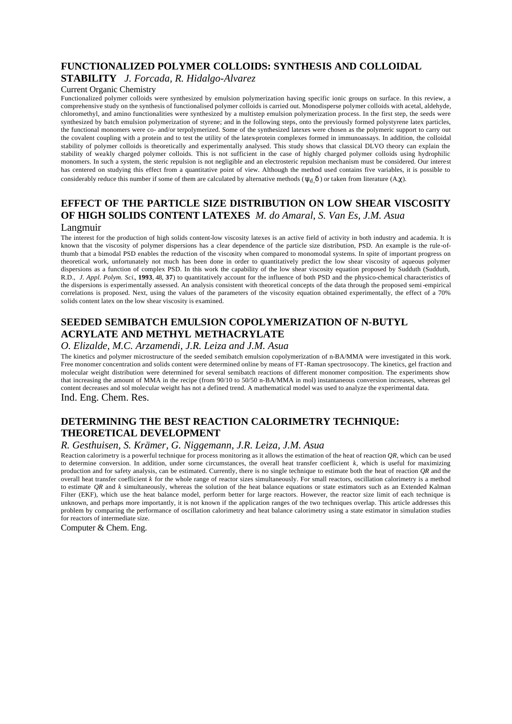# **FUNCTIONALIZED POLYMER COLLOIDS: SYNTHESIS AND COLLOIDAL**

## **STABILITY** *J. Forcada, R. Hidalgo-Alvarez*

#### Current Organic Chemistry

Functionalized polymer colloids were synthesized by emulsion polymerization having specific ionic groups on surface. In this review, a comprehensive study on the synthesis of functionalised polymer colloids is carried out. Monodisperse polymer colloids with acetal, aldehyde, chloromethyl, and amino functionalities were synthesized by a multistep emulsion polymerization process. In the first step, the seeds were synthesized by batch emulsion polymerization of styrene; and in the following steps, onto the previously formed polystyrene latex particles, the functional monomers were co- and/or terpolymerized. Some of the synthesized latexes were chosen as the polymeric support to carry out the covalent coupling with a protein and to test the utility of the latex-protein complexes formed in immunoassays. In addition, the colloidal stability of polymer colloids is theoretically and experimentally analysed. This study shows that classical DLVO theory can explain the stability of weakly charged polymer colloids. This is not sufficient in the case of highly charged polymer colloids using hydrophilic monomers. In such a system, the steric repulsion is not negligible and an electrosteric repulsion mechanism must be considered. Our interest has centered on studying this effect from a quantitative point of view. Although the method used contains five variables, it is possible to considerably reduce this number if some of them are calculated by alternative methods ( $\Psi_A \delta$ ) or taken from literature (A, $\chi$ ).

# **EFFECT OF THE PARTICLE SIZE DISTRIBUTION ON LOW SHEAR VISCOSITY OF HIGH SOLIDS CONTENT LATEXES** *M. do Amaral, S. Van Es, J.M. Asua*

#### Langmuir

The interest for the production of high solids content-low viscosity latexes is an active field of activity in both industry and academia. It is known that the viscosity of polymer dispersions has a clear dependence of the particle size distribution, PSD. An example is the rule-ofthumb that a bimodal PSD enables the reduction of the viscosity when compared to monomodal systems. In spite of important progress on theoretical work, unfortunately not much has been done in order to quantitatively predict the low shear viscosity of aqueous polymer dispersions as a function of complex PSD. In this work the capability of the low shear viscosity equation proposed by Sudduth (Sudduth, R.D., *J. Appl. Polym. Sci.*, **1993**, 48, **37**) to quantitatively account for the influence of both PSD and the physico-chemical characteristics of the dispersions is experimentally assessed. An analysis consistent with theoretical concepts of the data through the proposed semi-empirical correlations is proposed. Next, using the values of the parameters of the viscosity equation obtained experimentally, the effect of a 70% solids content latex on the low shear viscosity is examined.

# **SEEDED SEMIBATCH EMULSION COPOLYMERIZATION OF N-BUTYL ACRYLATE AND METHYL METHACRYLATE**

#### *O. Elizalde, M.C. Arzamendi, J.R. Leiza and J.M. Asua*

The kinetics and polymer microstructure of the seeded semibatch emulsion copolymerization of n-BA/MMA were investigated in this work. Free monomer concentration and solids content were determined online by means of FT-Raman spectrosocopy. The kinetics, gel fraction and molecular weight distribution were determined for several semibatch reactions of different monomer composition. The experiments show that increasing the amount of MMA in the recipe (from 90/10 to 50/50 n-BA/MMA in mol) instantaneous conversion increases, whereas gel content decreases and sol molecular weight has not a defined trend. A mathematical model was used to analyze the experimental data.

Ind. Eng. Chem. Res.

# **DETERMINING THE BEST REACTION CALORIMETRY TECHNIQUE: THEORETICAL DEVELOPMENT**

#### *R. Gesthuisen, S. Krämer, G. Niggemann, J.R. Leiza, J.M. Asua*

Reaction calorimetry is a powerful technique for process monitoring as it allows the estimation of the heat of reaction *QR,* which can be used to determine conversion. In addition, under sorne circumstances, the overall heat transfer coeflicient *k,* which is useful for maximizing production and for safety analysis, can be estimated. Currently, there is no single technique to estimate both the heat of reaction *QR* and the overall heat transfer coeflicient *k* for the whole range of reactor sizes simultaneously. For small reactors, oscillation calorimetry is a method to estimate *QR* and *k* simultaneously, whereas the solution of the heat balance equations or state estimators such as an Extended Kalman Filter (EKF), which use the heat balance model, perform better for large reactors. However, the reactor size limit of each technique is unknown, and perhaps more importantly, it is not known if the application ranges of the two techniques overlap. This article addresses this problem by comparing the performance of oscillation calorimetry and heat balance calorimetry using a state estimator in simulation studies for reactors of intermediate size.

Computer & Chem. Eng.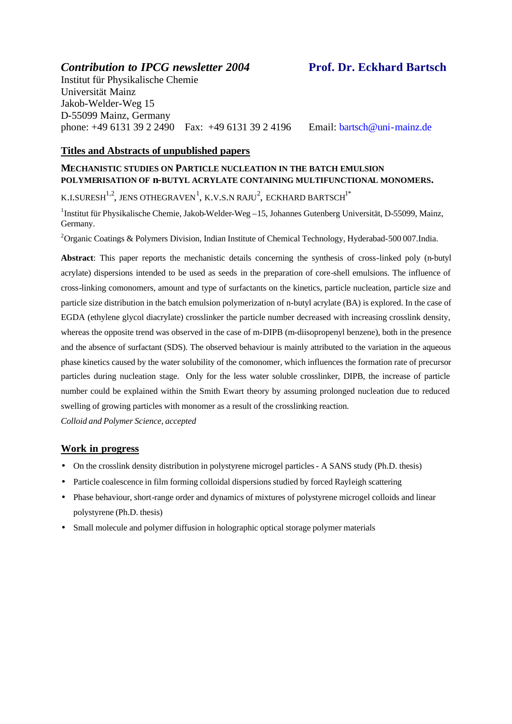# *Contribution to IPCG newsletter 2004* **Prof. Dr. Eckhard Bartsch**

Institut für Physikalische Chemie Universität Mainz Jakob-Welder-Weg 15 D-55099 Mainz, Germany phone: +49 6131 39 2 2490 Fax: +49 6131 39 2 4196 Email: bartsch@uni-mainz.de

# **Titles and Abstracts of unpublished papers**

# **MECHANISTIC STUDIES ON PARTICLE NUCLEATION IN THE BATCH EMULSION POLYMERISATION OF n-BUTYL ACRYLATE CONTAINING MULTIFUNCTIONAL MONOMERS.**

K.I.SURESH $^{1,2}$ , JENS OTHEGRAVEN $^{1}$ , K.V.S.N RAJU $^{2}$ , ECKHARD BARTSCH $^{1^{\ast}}$ 

<sup>1</sup>Institut für Physikalische Chemie, Jakob-Welder-Weg -15, Johannes Gutenberg Universität, D-55099, Mainz, Germany.

<sup>2</sup>Organic Coatings & Polymers Division, Indian Institute of Chemical Technology, Hyderabad-500 007.India.

**Abstract**: This paper reports the mechanistic details concerning the synthesis of cross-linked poly (n-butyl acrylate) dispersions intended to be used as seeds in the preparation of core-shell emulsions. The influence of cross-linking comonomers, amount and type of surfactants on the kinetics, particle nucleation, particle size and particle size distribution in the batch emulsion polymerization of n-butyl acrylate (BA) is explored. In the case of EGDA (ethylene glycol diacrylate) crosslinker the particle number decreased with increasing crosslink density, whereas the opposite trend was observed in the case of m-DIPB (m-diisopropenyl benzene), both in the presence and the absence of surfactant (SDS). The observed behaviour is mainly attributed to the variation in the aqueous phase kinetics caused by the water solubility of the comonomer, which influences the formation rate of precursor particles during nucleation stage. Only for the less water soluble crosslinker, DIPB, the increase of particle number could be explained within the Smith Ewart theory by assuming prolonged nucleation due to reduced swelling of growing particles with monomer as a result of the crosslinking reaction.

*Colloid and Polymer Science, accepted*

# **Work in progress**

- On the crosslink density distribution in polystyrene microgel particles A SANS study (Ph.D. thesis)
- Particle coalescence in film forming colloidal dispersions studied by forced Rayleigh scattering
- Phase behaviour, short-range order and dynamics of mixtures of polystyrene microgel colloids and linear polystyrene (Ph.D. thesis)
- Small molecule and polymer diffusion in holographic optical storage polymer materials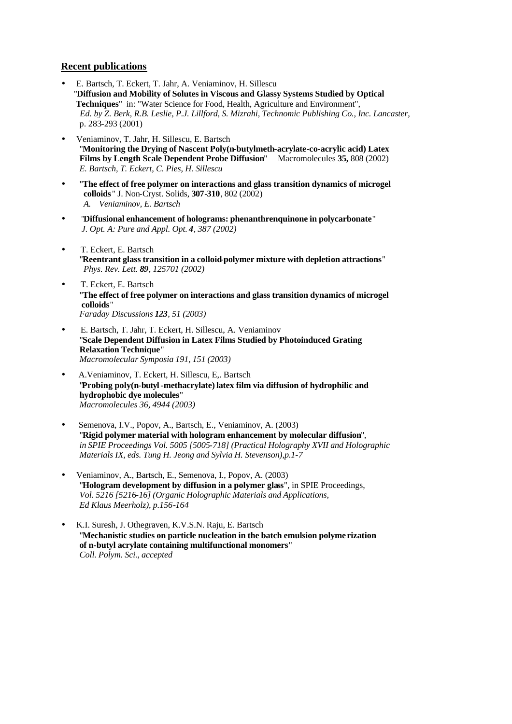## **Recent publications**

- E. Bartsch, T. Eckert, T. Jahr, A. Veniaminov, H. Sillescu "**Diffusion and Mobility of Solutes in Viscous and Glassy Systems Studied by Optical Techniques**" in: "Water Science for Food, Health, Agriculture and Environment",  *Ed. by Z. Berk, R.B. Leslie, P.J. Lillford, S. Mizrahi, Technomic Publishing Co., Inc. Lancaster,*  p. 283-293 (2001)
- Veniaminov, T. Jahr, H. Sillescu, E. Bartsch "**Monitoring the Drying of Nascent Poly(n-butylmeth-acrylate-co-acrylic acid) Latex Films by Length Scale Dependent Probe Diffusion**" Macromolecules **35,** 808 (2002) *E. Bartsch, T. Eckert, C. Pies, H. Sillescu*
- "**The effect of free polymer on interactions and glass transition dynamics of microgel colloids** " J. Non-Cryst. Solids, **307-310**, 802 (2002) *A. Veniaminov, E. Bartsch*
- "**Diffusional enhancement of holograms: phenanthrenquinone in polycarbonate**"  *J. Opt. A: Pure and Appl. Opt. 4, 387 (2002)*
- T. Eckert, E. Bartsch "**Reentrant glass transition in a colloid-polymer mixture with depletion attractions**" *Phys. Rev. Lett. 89, 125701 (2002)*
- T. Eckert, E. Bartsch "**The effect of free polymer on interactions and glass transition dynamics of microgel colloids**" *Faraday Discussions 123, 51 (2003)*
- E. Bartsch, T. Jahr, T. Eckert, H. Sillescu, A. Veniaminov "**Scale Dependent Diffusion in Latex Films Studied by Photoinduced Grating Relaxation Technique**" *Macromolecular Symposia 191, 151 (2003)*
- A.Veniaminov, T. Eckert, H. Sillescu, E,. Bartsch "**Probing poly(n-butyl-methacrylate) latex film via diffusion of hydrophilic and hydrophobic dye molecules**" *Macromolecules 36, 4944 (2003)*
- Semenova, I.V., Popov, A., Bartsch, E., Veniaminov, A. (2003) "**Rigid polymer material with hologram enhancement by molecular diffusion**", *in SPIE Proceedings Vol. 5005 [5005-718] (Practical Holography XVII and Holographic Materials IX, eds. Tung H. Jeong and Sylvia H. Stevenson),p.1-7*
- Veniaminov, A., Bartsch, E., Semenova, I., Popov, A. (2003) "**Hologram development by diffusion in a polymer glass**", in SPIE Proceedings, *Vol. 5216 [5216-16] (Organic Holographic Materials and Applications, Ed Klaus Meerholz), p.156-164*
- K.I. Suresh, J. Othegraven, K.V.S.N. Raju, E. Bartsch "**Mechanistic studies on particle nucleation in the batch emulsion polymerization of n-butyl acrylate containing multifunctional monomers**" *Coll. Polym. Sci., accepted*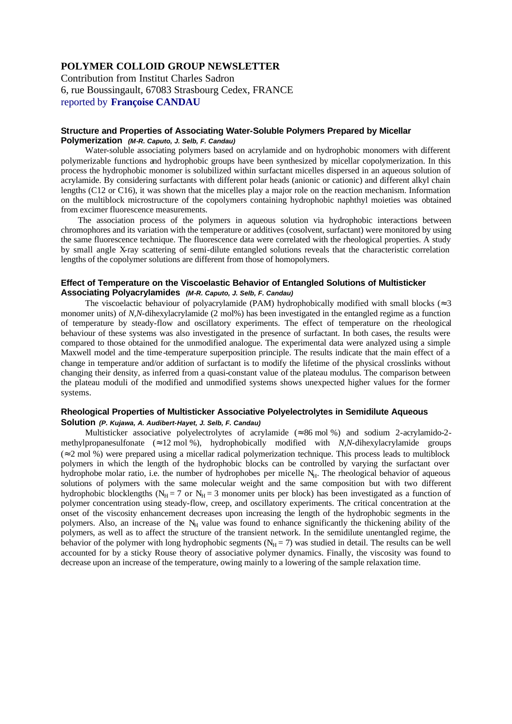## **POLYMER COLLOID GROUP NEWSLETTER**

Contribution from Institut Charles Sadron 6, rue Boussingault, 67083 Strasbourg Cedex, FRANCE reported by **Françoise CANDAU**

#### **Structure and Properties of Associating Water-Soluble Polymers Prepared by Micellar Polymerization** *(M-R. Caputo, J. Selb, F. Candau)*

Water-soluble associating polymers based on acrylamide and on hydrophobic monomers with different polymerizable functions and hydrophobic groups have been synthesized by micellar copolymerization. In this process the hydrophobic monomer is solubilized within surfactant micelles dispersed in an aqueous solution of acrylamide. By considering surfactants with different polar heads (anionic or cationic) and different alkyl chain lengths (C12 or C16), it was shown that the micelles play a major role on the reaction mechanism. Information on the multiblock microstructure of the copolymers containing hydrophobic naphthyl moieties was obtained from excimer fluorescence measurements.

The association process of the polymers in aqueous solution via hydrophobic interactions between chromophores and its variation with the temperature or additives (cosolvent, surfactant) were monitored by using the same fluorescence technique. The fluorescence data were correlated with the rheological properties. A study by small angle X-ray scattering of semi-dilute entangled solutions reveals that the characteristic correlation lengths of the copolymer solutions are different from those of homopolymers.

#### **Effect of Temperature on the Viscoelastic Behavior of Entangled Solutions of Multisticker Associating Polyacrylamides** *(M-R. Caputo, J. Selb, F. Candau)*

The viscoelactic behaviour of polyacrylamide (PAM) hydrophobically modified with small blocks ( $\approx$  3 monomer units) of *N,N*-dihexylacrylamide (2 mol%) has been investigated in the entangled regime as a function of temperature by steady-flow and oscillatory experiments. The effect of temperature on the rheological behaviour of these systems was also investigated in the presence of surfactant. In both cases, the results were compared to those obtained for the unmodified analogue. The experimental data were analyzed using a simple Maxwell model and the time-temperature superposition principle. The results indicate that the main effect of a change in temperature and/or addition of surfactant is to modify the lifetime of the physical crosslinks without changing their density, as inferred from a quasi-constant value of the plateau modulus. The comparison between the plateau moduli of the modified and unmodified systems shows unexpected higher values for the former systems.

#### **Rheological Properties of Multisticker Associative Polyelectrolytes in Semidilute Aqueous Solution** *(P. Kujawa, A. Audibert-Hayet, J. Selb, F. Candau)*

Multisticker associative polyelectrolytes of acrylamide ( $\approx 86$  mol %) and sodium 2-acrylamido-2methylpropanesulfonate  $(\approx 12 \text{ mol} \%)$ , hydrophobically modified with *N,N*-dihexylacrylamide groups (≈ 2 mol %) were prepared using a micellar radical polymerization technique. This process leads to multiblock polymers in which the length of the hydrophobic blocks can be controlled by varying the surfactant over hydrophobe molar ratio, i.e. the number of hydrophobes per micelle N<sub>H</sub>. The rheological behavior of aqueous solutions of polymers with the same molecular weight and the same composition but with two different hydrophobic blocklengths ( $N_H$  = 7 or  $N_H$  = 3 monomer units per block) has been investigated as a function of polymer concentration using steady-flow, creep, and oscillatory experiments. The critical concentration at the onset of the viscosity enhancement decreases upon increasing the length of the hydrophobic segments in the polymers. Also, an increase of the  $N_H$  value was found to enhance significantly the thickening ability of the polymers, as well as to affect the structure of the transient network. In the semidilute unentangled regime, the behavior of the polymer with long hydrophobic segments  $(N_H = 7)$  was studied in detail. The results can be well accounted for by a sticky Rouse theory of associative polymer dynamics. Finally, the viscosity was found to decrease upon an increase of the temperature, owing mainly to a lowering of the sample relaxation time.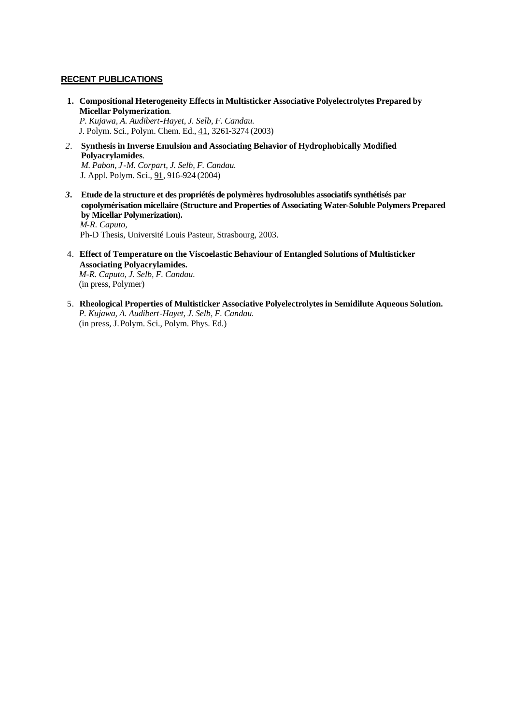#### **RECENT PUBLICATIONS**

- **1. Compositional Heterogeneity Effects in Multisticker Associative Polyelectrolytes Prepared by Micellar Polymerization**. *P. Kujawa, A. Audibert-Hayet, J. Selb, F. Candau.* J. Polym. Sci., Polym. Chem. Ed., 41, 3261-3274 (2003)
- *2.* **Synthesis in Inverse Emulsion and Associating Behavior of Hydrophobically Modified Polyacrylamides**. *M. Pabon, J-M. Corpart, J. Selb, F. Candau.*  J. Appl. Polym. Sci., 91, 916-924 (2004)
- *3.* **Etude de la structure et des propriétés de polymères hydrosolubles associatifs synthétisés par copolymérisation micellaire (Structure and Properties of Associating Water-Soluble Polymers Prepared by Micellar Polymerization).**  *M-R. Caputo,*

Ph-D Thesis, Université Louis Pasteur, Strasbourg, 2003.

- 4. **Effect of Temperature on the Viscoelastic Behaviour of Entangled Solutions of Multisticker Associating Polyacrylamides.** *M-R. Caputo, J. Selb, F. Candau.* (in press, Polymer)
- 5. **Rheological Properties of Multisticker Associative Polyelectrolytes in Semidilute Aqueous Solution.** *P. Kujawa, A. Audibert-Hayet, J. Selb, F. Candau.* (in press, J.Polym. Sci., Polym. Phys. Ed.)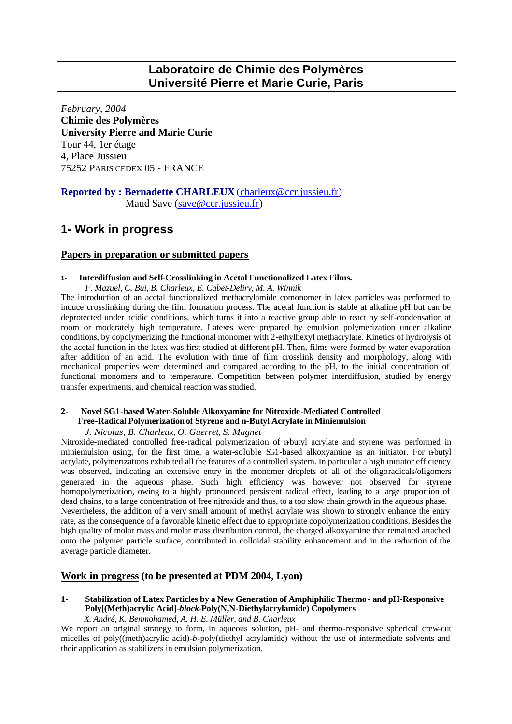# **Laboratoire de Chimie des Polymères Université Pierre et Marie Curie, Paris**

*February, 2004*  **Chimie des Polymères University Pierre and Marie Curie** Tour 44, 1er étage 4, Place Jussieu 75252 PARIS CEDEX 05 - FRANCE

## **Reported by : Bernadette CHARLEUX** (charleux@ccr.jussieu.fr) Maud Save (save@ccr.jussieu.fr)

# **1- Work in progress**

## **Papers in preparation or submitted papers**

#### **1- Interdiffusion and Self-Crosslinking in Acetal Functionalized Latex Films.**

*F. Mazuel, C. Bui, B. Charleux, E. Cabet-Deliry, M. A. Winnik*

The introduction of an acetal functionalized methacrylamide comonomer in latex particles was performed to induce crosslinking during the film formation process. The acetal function is stable at alkaline pH but can be deprotected under acidic conditions, which turns it into a reactive group able to react by self-condensation at room or moderately high temperature. Latexes were prepared by emulsion polymerization under alkaline conditions, by copolymerizing the functional monomer with 2-ethylhexyl methacrylate. Kinetics of hydrolysis of the acetal function in the latex was first studied at different pH. Then, films were formed by water evaporation after addition of an acid. The evolution with time of film crosslink density and morphology, along with mechanical properties were determined and compared according to the pH, to the initial concentration of functional monomers and to temperature. Competition between polymer interdiffusion, studied by energy transfer experiments, and chemical reaction was studied.

#### **2- Novel SG1-based Water-Soluble Alkoxyamine for Nitroxide-Mediated Controlled Free-Radical Polymerization of Styrene and n-Butyl Acrylate in Miniemulsion**

#### *J. Nicolas, B. Charleux, O. Guerret, S. Magnet*

Nitroxide-mediated controlled free-radical polymerization of n-butyl acrylate and styrene was performed in miniemulsion using, for the first time, a water-soluble SG1-based alkoxyamine as an initiator. For n-butyl acrylate, polymerizations exhibited all the features of a controlled system. In particular a high initiator efficiency was observed, indicating an extensive entry in the monomer droplets of all of the oligoradicals/oligomers generated in the aqueous phase. Such high efficiency was however not observed for styrene homopolymerization, owing to a highly pronounced persistent radical effect, leading to a large proportion of dead chains, to a large concentration of free nitroxide and thus, to a too slow chain growth in the aqueous phase. Nevertheless, the addition of a very small amount of methyl acrylate was shown to strongly enhance the entry rate, as the consequence of a favorable kinetic effect due to appropriate copolymerization conditions. Besides the high quality of molar mass and molar mass distribution control, the charged alkoxyamine that remained attached onto the polymer particle surface, contributed in colloidal stability enhancement and in the reduction of the average particle diameter.

# **Work in progress (to be presented at PDM 2004, Lyon)**

- **1- Stabilization of Latex Particles by a New Generation of Amphiphilic Thermo- and pH-Responsive Poly[(Meth)acrylic Acid]-***block***-Poly(N,N-Diethylacrylamide) Copolymers** 
	- *X. André, K. Benmohamed, A. H. E. Müller, and B. Charleux*

We report an original strategy to form, in aqueous solution, pH- and thermo-responsive spherical crew-cut micelles of poly((meth)acrylic acid)-*b*-poly(diethyl acrylamide) without the use of intermediate solvents and their application as stabilizers in emulsion polymerization.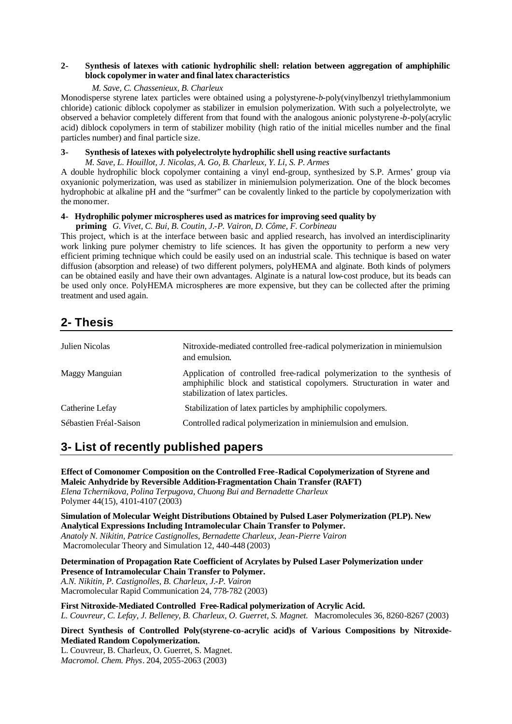#### **2- Synthesis of latexes with cationic hydrophilic shell: relation between aggregation of amphiphilic block copolymer in water and final latex characteristics**

#### *M. Save, C. Chassenieux, B. Charleux*

Monodisperse styrene latex particles were obtained using a polystyrene-*b*-poly(vinylbenzyl triethylammonium chloride) cationic diblock copolymer as stabilizer in emulsion polymerization. With such a polyelectrolyte, we observed a behavior completely different from that found with the analogous anionic polystyrene-*b*-poly(acrylic acid) diblock copolymers in term of stabilizer mobility (high ratio of the initial micelles number and the final particles number) and final particle size.

#### **3- Synthesis of latexes with polyelectrolyte hydrophilic shell using reactive surfactants**

*M. Save, L. Houillot, J. Nicolas, A. Go, B. Charleux, Y. Li, S. P. Armes*

A double hydrophilic block copolymer containing a vinyl end-group, synthesized by S.P. Armes' group via oxyanionic polymerization, was used as stabilizer in miniemulsion polymerization. One of the block becomes hydrophobic at alkaline pH and the "surfmer" can be covalently linked to the particle by copolymerization with the monomer.

#### **4- Hydrophilic polymer microspheres used as matrices for improving seed quality by**

 **priming** *G. Vivet, C. Bui, B. Coutin, J.-P. Vairon, D. Côme, F. Corbineau*

This project, which is at the interface between basic and applied research, has involved an interdisciplinarity work linking pure polymer chemistry to life sciences. It has given the opportunity to perform a new very efficient priming technique which could be easily used on an industrial scale. This technique is based on water diffusion (absorption and release) of two different polymers, polyHEMA and alginate. Both kinds of polymers can be obtained easily and have their own advantages. Alginate is a natural low-cost produce, but its beads can be used only once. PolyHEMA microspheres are more expensive, but they can be collected after the priming treatment and used again.

# **2- Thesis**

| Julien Nicolas         | Nitroxide-mediated controlled free-radical polymerization in miniemulsion<br>and emulsion.                                                                                                 |
|------------------------|--------------------------------------------------------------------------------------------------------------------------------------------------------------------------------------------|
| Maggy Manguian         | Application of controlled free-radical polymerization to the synthesis of<br>amphiphilic block and statistical copolymers. Structuration in water and<br>stabilization of latex particles. |
| Catherine Lefay        | Stabilization of latex particles by amphiphilic copolymers.                                                                                                                                |
| Sébastien Fréal-Saison | Controlled radical polymerization in miniemulsion and emulsion.                                                                                                                            |

# **3- List of recently published papers**

**Effect of Comonomer Composition on the Controlled Free-Radical Copolymerization of Styrene and Maleic Anhydride by Reversible Addition-Fragmentation Chain Transfer (RAFT)** *Elena Tchernikova, Polina Terpugova, Chuong Bui and Bernadette Charleux*  Polymer 44(15), 4101-4107 (2003)

**Simulation of Molecular Weight Distributions Obtained by Pulsed Laser Polymerization (PLP). New Analytical Expressions Including Intramolecular Chain Transfer to Polymer.** *Anatoly N. Nikitin, Patrice Castignolles, Bernadette Charleux, Jean-Pierre Vairon*  Macromolecular Theory and Simulation 12, 440-448 (2003)

**Determination of Propagation Rate Coefficient of Acrylates by Pulsed Laser Polymerization under Presence of Intramolecular Chain Transfer to Polymer.** *A.N. Nikitin, P. Castignolles, B. Charleux, J.-P. Vairon* Macromolecular Rapid Communication 24, 778-782 (2003)

**First Nitroxide-Mediated Controlled Free-Radical polymerization of Acrylic Acid.** *L. Couvreur, C. Lefay, J. Belleney, B. Charleux, O. Guerret, S. Magnet.* Macromolecules 36, 8260-8267 (2003)

**Direct Synthesis of Controlled Poly(styrene-co-acrylic acid)s of Various Compositions by Nitroxide-Mediated Random Copolymerization.**

L. Couvreur, B. Charleux, O. Guerret, S. Magnet. *Macromol. Chem. Phys*. 204, 2055-2063 (2003)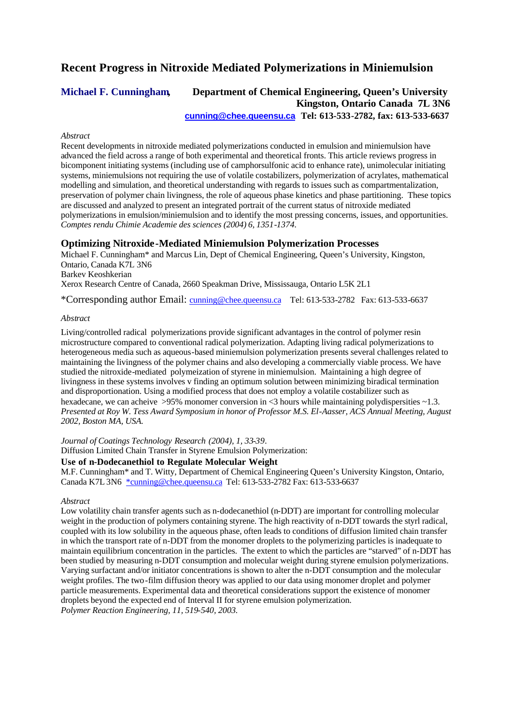# **Recent Progress in Nitroxide Mediated Polymerizations in Miniemulsion**

# **Michael F. Cunningham, Department of Chemical Engineering, Queen's University**

## **Kingston, Ontario Canada 7L 3N6 cunning@chee.queensu.ca Tel: 613-533-2782, fax: 613-533-6637**

#### *Abstract*

Recent developments in nitroxide mediated polymerizations conducted in emulsion and miniemulsion have advanced the field across a range of both experimental and theoretical fronts. This article reviews progress in bicomponent initiating systems (including use of camphorsulfonic acid to enhance rate), unimolecular initiating systems, miniemulsions not requiring the use of volatile costabilizers, polymerization of acrylates, mathematical modelling and simulation, and theoretical understanding with regards to issues such as compartmentalization, preservation of polymer chain livingness, the role of aqueous phase kinetics and phase partitioning. These topics are discussed and analyzed to present an integrated portrait of the current status of nitroxide mediated polymerizations in emulsion/miniemulsion and to identify the most pressing concerns, issues, and opportunities. *Comptes rendu Chimie Academie des sciences (2004) 6, 1351-1374.*

#### **Optimizing Nitroxide-Mediated Miniemulsion Polymerization Processes**

Michael F. Cunningham\* and Marcus Lin, Dept of Chemical Engineering, Queen's University, Kingston, Ontario, Canada K7L 3N6 Barkev Keoshkerian

Xerox Research Centre of Canada, 2660 Speakman Drive, Mississauga, Ontario L5K 2L1

\*Corresponding author Email: cunning@chee.queensu.ca Tel: 613-533-2782 Fax: 613-533-6637

#### *Abstract*

Living/controlled radical polymerizations provide significant advantages in the control of polymer resin microstructure compared to conventional radical polymerization. Adapting living radical polymerizations to heterogeneous media such as aqueous-based miniemulsion polymerization presents several challenges related to maintaining the livingness of the polymer chains and also developing a commercially viable process. We have studied the nitroxide-mediated polymeization of styrene in miniemulsion. Maintaining a high degree of livingness in these systems involves v finding an optimum solution between minimizing biradical termination and disproportionation. Using a modified process that does not employ a volatile costabilizer such as hexadecane, we can acheive  $>95\%$  monomer conversion in <3 hours while maintaining polydispersities ~1.3. *Presented at Roy W. Tess Award Symposium in honor of Professor M.S. El-Aasser, ACS Annual Meeting, August 2002, Boston MA, USA.* 

*Journal of Coatings Technology Research (2004), 1, 33-39.*

Diffusion Limited Chain Transfer in Styrene Emulsion Polymerization:

#### **Use of n-Dodecanethiol to Regulate Molecular Weight**

M.F. Cunningham\* and T. Witty, Department of Chemical Engineering Queen's University Kingston, Ontario, Canada K7L 3N6 \*cunning@chee.queensu.ca Tel: 613-533-2782 Fax: 613-533-6637

#### *Abstract*

Low volatility chain transfer agents such as n-dodecanethiol (n-DDT) are important for controlling molecular weight in the production of polymers containing styrene. The high reactivity of n-DDT towards the styrl radical, coupled with its low solubility in the aqueous phase, often leads to conditions of diffusion limited chain transfer in which the transport rate of n-DDT from the monomer droplets to the polymerizing particles is inadequate to maintain equilibrium concentration in the particles. The extent to which the particles are "starved" of n-DDT has been studied by measuring n-DDT consumption and molecular weight during styrene emulsion polymerizations. Varying surfactant and/or initiator concentrations is shown to alter the n-DDT consumption and the molecular weight profiles. The two-film diffusion theory was applied to our data using monomer droplet and polymer particle measurements. Experimental data and theoretical considerations support the existence of monomer droplets beyond the expected end of Interval II for styrene emulsion polymerization. *Polymer Reaction Engineering, 11, 519-540, 2003.*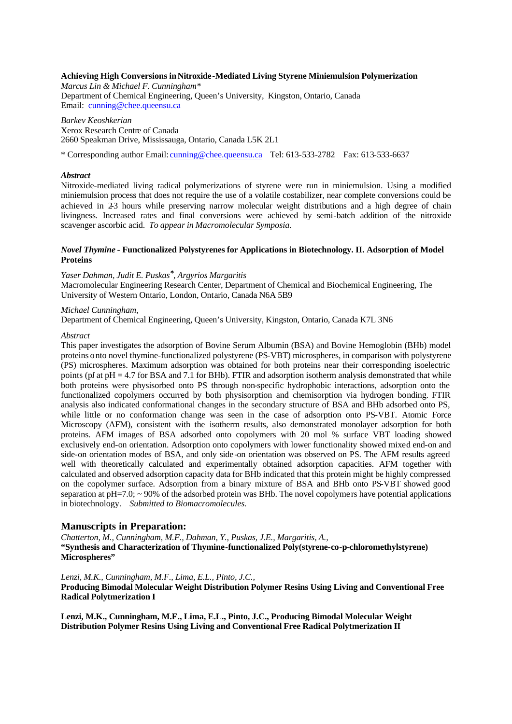#### **Achieving High Conversions inNitroxide-Mediated Living Styrene Miniemulsion Polymerization**

*Marcus Lin & Michael F. Cunningham\**  Department of Chemical Engineering, Queen's University, Kingston, Ontario, Canada Email: cunning@chee.queensu.ca

#### *Barkev Keoshkerian* Xerox Research Centre of Canada 2660 Speakman Drive, Mississauga, Ontario, Canada L5K 2L1

\* Corresponding author Email: cunning@chee.queensu.ca Tel: 613-533-2782 Fax: 613-533-6637

#### *Abstract*

Nitroxide-mediated living radical polymerizations of styrene were run in miniemulsion. Using a modified miniemulsion process that does not require the use of a volatile costabilizer, near complete conversions could be achieved in 2-3 hours while preserving narrow molecular weight distributions and a high degree of chain livingness. Increased rates and final conversions were achieved by semi-batch addition of the nitroxide scavenger ascorbic acid. *To appear in Macromolecular Symposia.*

#### *Novel Thymine* **- Functionalized Polystyrenes for Applications in Biotechnology. II. Adsorption of Model Proteins**

#### *Yaser Dahman, Judit E. Puskas\* , Argyrios Margaritis*

Macromolecular Engineering Research Center, Department of Chemical and Biochemical Engineering, The University of Western Ontario, London, Ontario, Canada N6A 5B9

#### *Michael Cunningham,*

Department of Chemical Engineering, Queen's University, Kingston, Ontario, Canada K7L 3N6

#### *Abstract*

 $\overline{a}$ 

This paper investigates the adsorption of Bovine Serum Albumin (BSA) and Bovine Hemoglobin (BHb) model proteins onto novel thymine-functionalized polystyrene (PS-VBT) microspheres, in comparison with polystyrene (PS) microspheres. Maximum adsorption was obtained for both proteins near their corresponding isoelectric points (p*I* at pH = 4.7 for BSA and 7.1 for BHb). FTIR and adsorption isotherm analysis demonstrated that while both proteins were physisorbed onto PS through non-specific hydrophobic interactions, adsorption onto the functionalized copolymers occurred by both physisorption and chemisorption via hydrogen bonding. FTIR analysis also indicated conformational changes in the secondary structure of BSA and BHb adsorbed onto PS, while little or no conformation change was seen in the case of adsorption onto PS-VBT. Atomic Force Microscopy (AFM), consistent with the isotherm results, also demonstrated monolayer adsorption for both proteins. AFM images of BSA adsorbed onto copolymers with 20 mol % surface VBT loading showed exclusively end-on orientation. Adsorption onto copolymers with lower functionality showed mixed end-on and side-on orientation modes of BSA, and only side-on orientation was observed on PS. The AFM results agreed well with theoretically calculated and experimentally obtained adsorption capacities. AFM together with calculated and observed adsorption capacity data for BHb indicated that this protein might be highly compressed on the copolymer surface. Adsorption from a binary mixture of BSA and BHb onto PS-VBT showed good separation at  $pH=7.0$ ;  $\sim$  90% of the adsorbed protein was BHb. The novel copolymers have potential applications in biotechnology. *Submitted to Biomacromolecules.*

## **Manuscripts in Preparation:**

*Chatterton, M., Cunningham, M.F., Dahman, Y., Puskas, J.E., Margaritis, A.,* **"Synthesis and Characterization of Thymine-functionalized Poly(styrene-co-p-chloromethylstyrene) Microspheres"**

#### *Lenzi, M.K., Cunningham, M.F., Lima, E.L., Pinto, J.C.,*

**Producing Bimodal Molecular Weight Distribution Polymer Resins Using Living and Conventional Free Radical Polytmerization I**

**Lenzi, M.K., Cunningham, M.F., Lima, E.L., Pinto, J.C., Producing Bimodal Molecular Weight Distribution Polymer Resins Using Living and Conventional Free Radical Polytmerization II**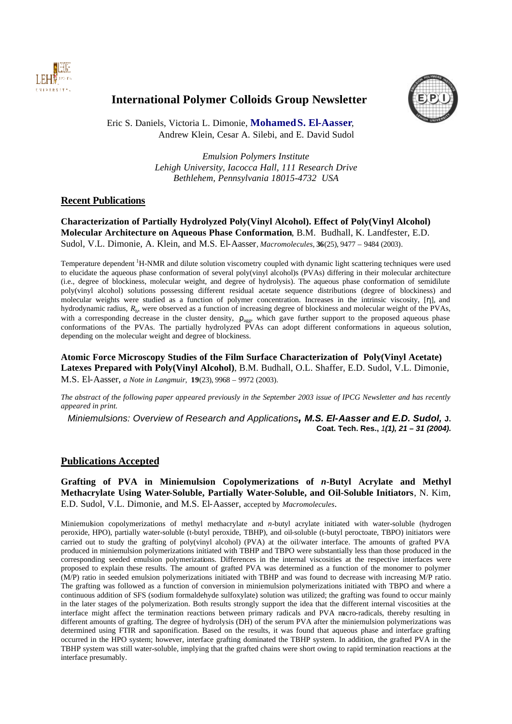

# **International Polymer Colloids Group Newsletter**



Eric S. Daniels, Victoria L. Dimonie, **Mohamed S. El-Aasser**, Andrew Klein, Cesar A. Silebi, and E. David Sudol

> *Emulsion Polymers Institute Lehigh University, Iacocca Hall, 111 Research Drive Bethlehem, Pennsylvania 18015-4732 USA*

# **Recent Publications**

**Characterization of Partially Hydrolyzed Poly(Vinyl Alcohol). Effect of Poly(Vinyl Alcohol) Molecular Architecture on Aqueous Phase Conformation**, B.M. Budhall, K. Landfester, E.D. Sudol, V.L. Dimonie, A. Klein, and M.S. El-Aasser, *Macromolecules*, **36**(25), 9477 – 9484 (2003)*.*

Temperature dependent <sup>1</sup>H-NMR and dilute solution viscometry coupled with dynamic light scattering techniques were used to elucidate the aqueous phase conformation of several poly(vinyl alcohol)s (PVAs) differing in their molecular architecture (i.e., degree of blockiness, molecular weight, and degree of hydrolysis). The aqueous phase conformation of semidilute poly(vinyl alcohol) solutions possessing different residual acetate sequence distributions (degree of blockiness) and molecular weights were studied as a function of polymer concentration. Increases in the intrinsic viscosity, [*h*], and hydrodynamic radius, *R*<sup>h</sup> , were observed as a function of increasing degree of blockiness and molecular weight of the PVAs, with a corresponding decrease in the cluster density,  $r_{\text{agg}}$ , which gave further support to the proposed aqueous phase conformations of the PVAs. The partially hydrolyzed PVAs can adopt different conformations in aqueous solution, depending on the molecular weight and degree of blockiness.

**Atomic Force Microscopy Studies of the Film Surface Characterization of Poly(Vinyl Acetate) Latexes Prepared with Poly(Vinyl Alcohol)**, B.M. Budhall, O.L. Shaffer, E.D. Sudol, V.L. Dimonie, M.S. El-Aasser, *a Note in Langmuir*, **19**(23), 9968 – 9972 (2003).

*The abstract of the following paper appeared previously in the September 2003 issue of IPCG Newsletter and has recently appeared in print.*

*Miniemulsions: Overview of Research and Applications, M.S. El-Aasser and E.D. Sudol,* **J. Coat. Tech. Res.,** *1(1), 21 – 31 (2004).*

# **Publications Accepted**

**Grafting of PVA in Miniemulsion Copolymerizations of** *n***-Butyl Acrylate and Methyl Methacrylate Using Water-Soluble, Partially Water-Soluble, and Oil-Soluble Initiators**, N. Kim, E.D. Sudol, V.L. Dimonie, and M.S. El-Aasser, accepted by *Macromolecules*.

Miniemulsion copolymerizations of methyl methacrylate and *n*-butyl acrylate initiated with water-soluble (hydrogen peroxide, HPO), partially water-soluble (t-butyl peroxide, TBHP), and oil-soluble (t-butyl peroctoate, TBPO) initiators were carried out to study the grafting of poly(vinyl alcohol) (PVA) at the oil/water interface. The amounts of grafted PVA produced in miniemulsion polymerizations initiated with TBHP and TBPO were substantially less than those produced in the corresponding seeded emulsion polymerizations. Differences in the internal viscosities at the respective interfaces were proposed to explain these results. The amount of grafted PVA was determined as a function of the monomer to polymer (M/P) ratio in seeded emulsion polymerizations initiated with TBHP and was found to decrease with increasing M/P ratio. The grafting was followed as a function of conversion in miniemulsion polymerizations initiated with TBPO and where a continuous addition of SFS (sodium formaldehyde sulfoxylate) solution was utilized; the grafting was found to occur mainly in the later stages of the polymerization. Both results strongly support the idea that the different internal viscosities at the interface might affect the termination reactions between primary radicals and PVA macro-radicals, thereby resulting in different amounts of grafting. The degree of hydrolysis (DH) of the serum PVA after the miniemulsion polymerizations was determined using FTIR and saponification. Based on the results, it was found that aqueous phase and interface grafting occurred in the HPO system; however, interface grafting dominated the TBHP system. In addition, the grafted PVA in the TBHP system was still water-soluble, implying that the grafted chains were short owing to rapid termination reactions at the interface presumably.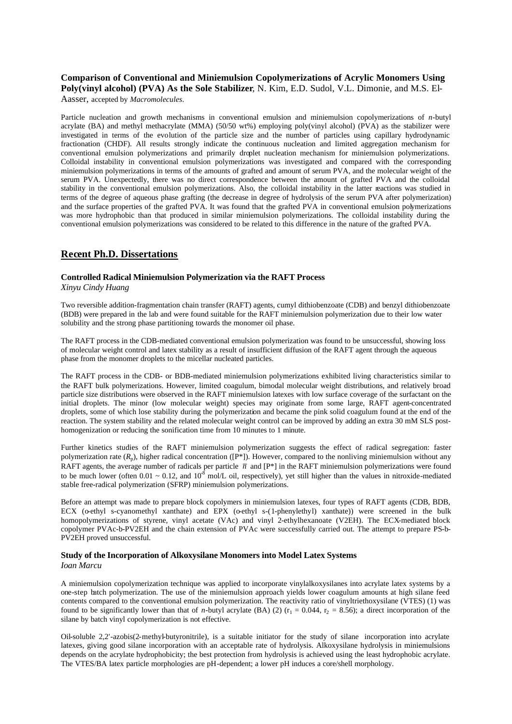# **Comparison of Conventional and Miniemulsion Copolymerizations of Acrylic Monomers Using Poly(vinyl alcohol) (PVA) As the Sole Stabilizer**, N. Kim, E.D. Sudol, V.L. Dimonie, and M.S. El-

Aasser, accepted by *Macromolecules*.

Particle nucleation and growth mechanisms in conventional emulsion and miniemulsion copolymerizations of *n*-butyl acrylate (BA) and methyl methacrylate (MMA) (50/50 wt%) employing poly(vinyl alcohol) (PVA) as the stabilizer were investigated in terms of the evolution of the particle size and the number of particles using capillary hydrodynamic fractionation (CHDF). All results strongly indicate the continuous nucleation and limited aggregation mechanism for conventional emulsion polymerizations and primarily droplet nucleation mechanism for miniemulsion polymerizations. Colloidal instability in conventional emulsion polymerizations was investigated and compared with the corresponding miniemulsion polymerizations in terms of the amounts of grafted and amount of serum PVA, and the molecular weight of the serum PVA. Unexpectedly, there was no direct correspondence between the amount of grafted PVA and the colloidal stability in the conventional emulsion polymerizations. Also, the colloidal instability in the latter reactions was studied in terms of the degree of aqueous phase grafting (the decrease in degree of hydrolysis of the serum PVA after polymerization) and the surface properties of the grafted PVA. It was found that the grafted PVA in conventional emulsion polymerizations was more hydrophobic than that produced in similar miniemulsion polymerizations. The colloidal instability during the conventional emulsion polymerizations was considered to be related to this difference in the nature of the grafted PVA.

# **Recent Ph.D. Dissertations**

#### **Controlled Radical Miniemulsion Polymerization via the RAFT Process**

*Xinyu Cindy Huang*

Two reversible addition-fragmentation chain transfer (RAFT) agents, cumyl dithiobenzoate (CDB) and benzyl dithiobenzoate (BDB) were prepared in the lab and were found suitable for the RAFT miniemulsion polymerization due to their low water solubility and the strong phase partitioning towards the monomer oil phase.

The RAFT process in the CDB-mediated conventional emulsion polymerization was found to be unsuccessful, showing loss of molecular weight control and latex stability as a result of insufficient diffusion of the RAFT agent through the aqueous phase from the monomer droplets to the micellar nucleated particles.

The RAFT process in the CDB- or BDB-mediated miniemulsion polymerizations exhibited living characteristics similar to the RAFT bulk polymerizations. However, limited coagulum, bimodal molecular weight distributions, and relatively broad particle size distributions were observed in the RAFT miniemulsion latexes with low surface coverage of the surfactant on the initial droplets. The minor (low molecular weight) species may originate from some large, RAFT agent-concentrated droplets, some of which lose stability during the polymerization and became the pink solid coagulum found at the end of the reaction. The system stability and the related molecular weight control can be improved by adding an extra 30 mM SLS posthomogenization or reducing the sonification time from 10 minutes to 1 minute.

Further kinetics studies of the RAFT miniemulsion polymerization suggests the effect of radical segregation: faster polymerization rate ( $R_p$ ), higher radical concentration ([P\*]). However, compared to the nonliving miniemulsion without any RAFT agents, the average number of radicals per particle  $\bar{n}$  and  $[P^*]$  in the RAFT miniemulsion polymerizations were found to be much lower (often 0.01  $\sim 0.12$ , and  $10^{-8}$  mol/L oil, respectively), yet still higher than the values in nitroxide-mediated stable free-radical polymerization (SFRP) miniemulsion polymerizations.

Before an attempt was made to prepare block copolymers in miniemulsion latexes, four types of RAFT agents (CDB, BDB, ECX (o-ethyl s-cyanomethyl xanthate) and EPX (o-ethyl s-(1-phenylethyl) xanthate)) were screened in the bulk homopolymerizations of styrene, vinyl acetate (VAc) and vinyl 2-ethylhexanoate (V2EH). The ECX-mediated block copolymer PVAc-b-PV2EH and the chain extension of PVAc were successfully carried out. The attempt to prepare PS-b-PV2EH proved unsuccessful.

# **Study of the Incorporation of Alkoxysilane Monomers into Model Latex Systems**

*Ioan Marcu*

A miniemulsion copolymerization technique was applied to incorporate vinylalkoxysilanes into acrylate latex systems by a one-step batch polymerization. The use of the miniemulsion approach yields lower coagulum amounts at high silane feed contents compared to the conventional emulsion polymerization. The reactivity ratio of vinyltriethoxysilane (VTES) (1) was found to be significantly lower than that of *n*-butyl acrylate (BA) (2) ( $r_1 = 0.044$ ,  $r_2 = 8.56$ ); a direct incorporation of the silane by batch vinyl copolymerization is not effective.

Oil-soluble 2,2'-azobis(2-methyl-butyronitrile), is a suitable initiator for the study of silane incorporation into acrylate latexes, giving good silane incorporation with an acceptable rate of hydrolysis. Alkoxysilane hydrolysis in miniemulsions depends on the acrylate hydrophobicity; the best protection from hydrolysis is achieved using the least hydrophobic acrylate. The VTES/BA latex particle morphologies are pH-dependent; a lower pH induces a core/shell morphology.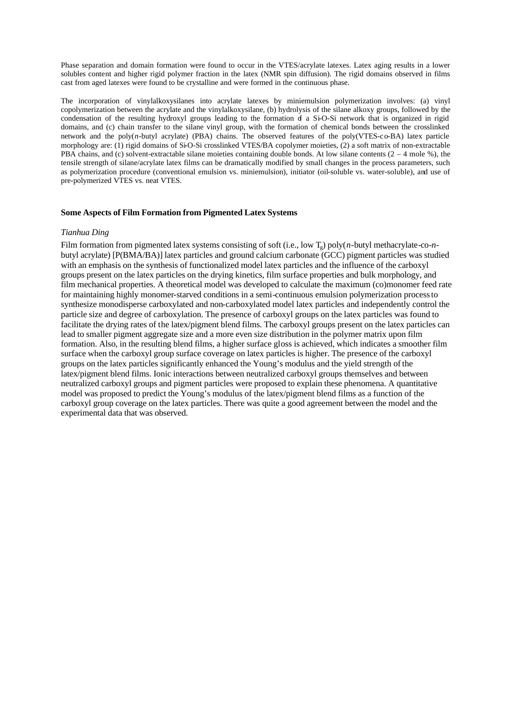Phase separation and domain formation were found to occur in the VTES/acrylate latexes. Latex aging results in a lower solubles content and higher rigid polymer fraction in the latex (NMR spin diffusion). The rigid domains observed in films cast from aged latexes were found to be crystalline and were formed in the continuous phase.

The incorporation of vinylalkoxysilanes into acrylate latexes by miniemulsion polymerization involves: (a) vinyl copolymerization between the acrylate and the vinylalkoxysilane, (b) hydrolysis of the silane alkoxy groups, followed by the condensation of the resulting hydroxyl groups leading to the formation of a Si-O-Si network that is organized in rigid domains, and (c) chain transfer to the silane vinyl group, with the formation of chemical bonds between the crosslinked network and the poly(*n*-butyl acrylate) (PBA) chains. The observed features of the poly(VTES-co-BA) latex particle morphology are:  $(i)$  rigid domains of Si-O-Si crosslinked VTES/BA copolymer moieties,  $(2)$  a soft matrix of non-extractable PBA chains, and (c) solvent-extractable silane moieties containing double bonds. At low silane contents  $(2 - 4$  mole %), the tensile strength of silane/acrylate latex films can be dramatically modified by small changes in the process parameters, such as polymerization procedure (conventional emulsion vs. miniemulsion), initiator (oil-soluble vs. water-soluble), and use of pre-polymerized VTES vs. neat VTES.

#### **Some Aspects of Film Formation from Pigmented Latex Systems**

#### *Tianhua Ding*

Film formation from pigmented latex systems consisting of soft (i.e., low T<sub>g</sub>) poly(*n*-butyl methacrylate-co-*n*butyl acrylate) [P(BMA/BA)] latex particles and ground calcium carbonate (GCC) pigment particles was studied with an emphasis on the synthesis of functionalized model latex particles and the influence of the carboxyl groups present on the latex particles on the drying kinetics, film surface properties and bulk morphology, and film mechanical properties. A theoretical model was developed to calculate the maximum (co)monomer feed rate for maintaining highly monomer-starved conditions in a semi-continuous emulsion polymerization process to synthesize monodisperse carboxylated and non-carboxylated model latex particles and independently control the particle size and degree of carboxylation. The presence of carboxyl groups on the latex particles was found to facilitate the drying rates of the latex/pigment blend films. The carboxyl groups present on the latex particles can lead to smaller pigment aggregate size and a more even size distribution in the polymer matrix upon film formation. Also, in the resulting blend films, a higher surface gloss is achieved, which indicates a smoother film surface when the carboxyl group surface coverage on latex particles is higher. The presence of the carboxyl groups on the latex particles significantly enhanced the Young's modulus and the yield strength of the latex/pigment blend films. Ionic interactions between neutralized carboxyl groups themselves and between neutralized carboxyl groups and pigment particles were proposed to explain these phenomena. A quantitative model was proposed to predict the Young's modulus of the latex/pigment blend films as a function of the carboxyl group coverage on the latex particles. There was quite a good agreement between the model and the experimental data that was observed.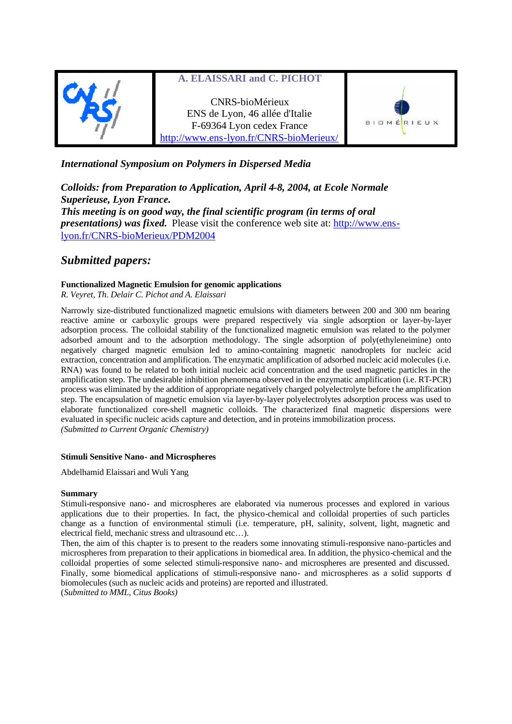

# *International Symposium on Polymers in Dispersed Media*

*Colloids: from Preparation to Application, April 4-8, 2004, at Ecole Normale Superieuse, Lyon France. This meeting is on good way, the final scientific program (in terms of oral presentations) was fixed.* Please visit the conference web site at: http://www.enslyon.fr/CNRS-bioMerieux/PDM2004

# *Submitted papers:*

#### **Functionalized Magnetic Emulsion for genomic applications**

*R. Veyret, Th. Delair C. Pichot and A. Elaissari*

Narrowly size-distributed functionalized magnetic emulsions with diameters between 200 and 300 nm bearing reactive amine or carboxylic groups were prepared respectively via single adsorption or layer-by-layer adsorption process. The colloidal stability of the functionalized magnetic emulsion was related to the polymer adsorbed amount and to the adsorption methodology. The single adsorption of poly(ethyleneimine) onto negatively charged magnetic emulsion led to amino-containing magnetic nanodroplets for nucleic acid extraction, concentration and amplification. The enzymatic amplification of adsorbed nucleic acid molecules (i.e. RNA) was found to be related to both initial nucleic acid concentration and the used magnetic particles in the amplification step. The undesirable inhibition phenomena observed in the enzymatic amplification (i.e. RT-PCR) process was eliminated by the addition of appropriate negatively charged polyelectrolyte before the amplification step. The encapsulation of magnetic emulsion via layer-by-layer polyelectrolytes adsorption process was used to elaborate functionalized core-shell magnetic colloids. The characterized final magnetic dispersions were evaluated in specific nucleic acids capture and detection, and in proteins immobilization process. *(Submitted to Current Organic Chemistry)*

#### **Stimuli Sensitive Nano- and Microspheres**

Abdelhamid Elaissari and Wuli Yang

#### **Summary**

Stimuli-responsive nano- and microspheres are elaborated via numerous processes and explored in various applications due to their properties. In fact, the physico-chemical and colloidal properties of such particles change as a function of environmental stimuli (i.e. temperature, pH, salinity, solvent, light, magnetic and electrical field, mechanic stress and ultrasound etc…).

Then, the aim of this chapter is to present to the readers some innovating stimuli-responsive nano-particles and microspheres from preparation to their applications in biomedical area. In addition, the physico-chemical and the colloidal properties of some selected stimuli-responsive nano- and microspheres are presented and discussed. Finally, some biomedical applications of stimuli-responsive nano- and microspheres as a solid supports of biomolecules (such as nucleic acids and proteins) are reported and illustrated.

(*Submitted to MML, Citus Books)*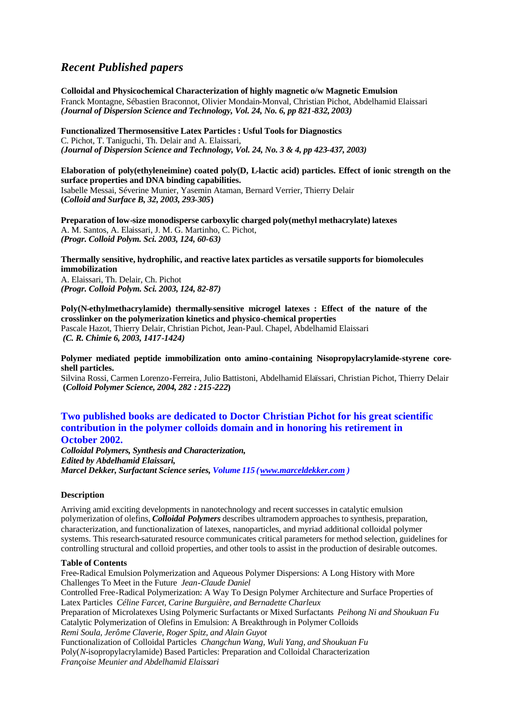# *Recent Published papers*

#### **Colloidal and Physicochemical Characterization of highly magnetic o/w Magnetic Emulsion** Franck Montagne, Sébastien Braconnot, Olivier Mondain-Monval, Christian Pichot, Abdelhamid Elaissari *(Journal of Dispersion Science and Technology, Vol. 24, No. 6, pp 821-832, 2003)*

**Functionalized Thermosensitive Latex Particles : Usful Tools for Diagnostics** C. Pichot, T. Taniguchi, Th. Delair and A. Elaissari, *(Journal of Dispersion Science and Technology, Vol. 24, No. 3 & 4, pp 423-437, 2003)*

#### **Elaboration of poly(ethyleneimine) coated poly(D, L-lactic acid) particles. Effect of ionic strength on the surface properties and DNA binding capabilities.**

Isabelle Messai, Séverine Munier, Yasemin Ataman, Bernard Verrier, Thierry Delair **(***Colloid and Surface B, 32, 2003, 293-305***)**

**Preparation of low-size monodisperse carboxylic charged poly(methyl methacrylate) latexes** A. M. Santos, A. Elaissari, J. M. G. Martinho, C. Pichot, *(Progr. Colloid Polym. Sci. 2003, 124, 60-63)*

**Thermally sensitive, hydrophilic, and reactive latex particles as versatile supports for biomolecules immobilization**

A. Elaissari, Th. Delair, Ch. Pichot *(Progr. Colloid Polym. Sci. 2003, 124, 82-87)*

**Poly(N-ethylmethacrylamide) thermally-sensitive microgel latexes : Effect of the nature of the crosslinker on the polymerization kinetics and physico-chemical properties**

Pascale Hazot, Thierry Delair, Christian Pichot, Jean-Paul. Chapel, Abdelhamid Elaissari  *(C. R. Chimie 6, 2003, 1417-1424)*

Polymer mediated peptide immobilization onto amino-containing Nisopropylacrylamide-styrene core**shell particles.** 

Silvina Rossi, Carmen Lorenzo-Ferreira, Julio Battistoni, Abdelhamid Elaïssari, Christian Pichot, Thierry Delair  **(***Colloid Polymer Science, 2004, 282 : 215-222***)**

## **Two published books are dedicated to Doctor Christian Pichot for his great scientific contribution in the polymer colloids domain and in honoring his retirement in October 2002.**

*Colloidal Polymers, Synthesis and Characterization, Edited by Abdelhamid Elaissari, Marcel Dekker, Surfactant Science series, Volume 115 (www.marceldekker.com )*

#### **Description**

Arriving amid exciting developments in nanotechnology and recent successes in catalytic emulsion polymerization of olefins, *Colloidal Polymers* describes ultramodern approaches to synthesis, preparation, characterization, and functionalization of latexes, nanoparticles, and myriad additional colloidal polymer systems. This research-saturated resource communicates critical parameters for method selection, guidelines for controlling structural and colloid properties, and other tools to assist in the production of desirable outcomes.

#### **Table of Contents**

Free-Radical Emulsion Polymerization and Aqueous Polymer Dispersions: A Long History with More Challenges To Meet in the Future *Jean-Claude Daniel* Controlled Free-Radical Polymerization: A Way To Design Polymer Architecture and Surface Properties of Latex Particles *Céline Farcet, Carine Burguière, and Bernadette Charleux* Preparation of Microlatexes Using Polymeric Surfactants or Mixed Surfactants *Peihong Ni and Shoukuan Fu* Catalytic Polymerization of Olefins in Emulsion: A Breakthrough in Polymer Colloids *Remi Soula, Jerôme Claverie, Roger Spitz, and Alain Guyot* Functionalization of Colloidal Particles *Changchun Wang, Wuli Yang, and Shoukuan Fu* Poly(*N*-isopropylacrylamide) Based Particles: Preparation and Colloidal Characterization *Françoise Meunier and Abdelhamid Elaissari*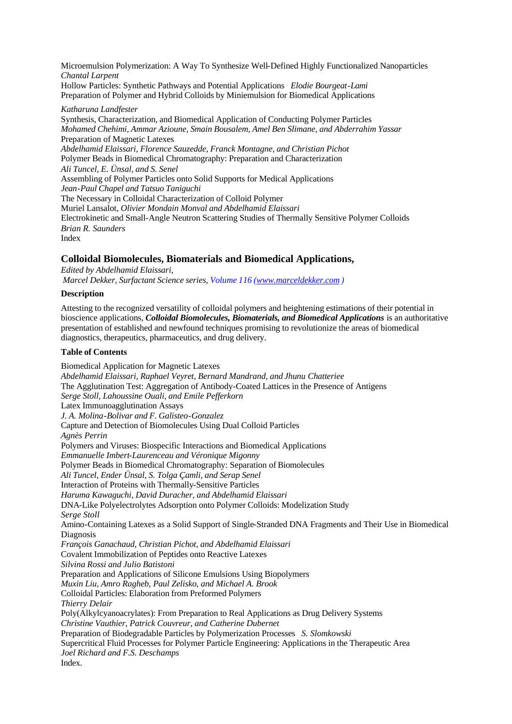Microemulsion Polymerization: A Way To Synthesize Well-Defined Highly Functionalized Nanoparticles *Chantal Larpent* Hollow Particles: Synthetic Pathways and Potential Applications *Elodie Bourgeat-Lami*

Preparation of Polymer and Hybrid Colloids by Miniemulsion for Biomedical Applications

#### *Katharuna Landfester*

Synthesis, Characterization, and Biomedical Application of Conducting Polymer Particles *Mohamed Chehimi, Ammar Azioune, Smain Bousalem, Amel Ben Slimane, and Abderrahim Yassar* Preparation of Magnetic Latexes *Abdelhamid Elaissari, Florence Sauzedde, Franck Montagne, and Christian Pichot* Polymer Beads in Biomedical Chromatography: Preparation and Characterization *Ali Tuncel, E. Ünsal, and S. Senel* Assembling of Polymer Particles onto Solid Supports for Medical Applications *Jean-Paul Chapel and Tatsuo Taniguchi* The Necessary in Colloidal Characterization of Colloid Polymer Muriel Lansalot, *Olivier Mondain Monval and Abdelhamid Elaissari*  Electrokinetic and Small-Angle Neutron Scattering Studies of Thermally Sensitive Polymer Colloids *Brian R. Saunders*  Index

# **Colloidal Biomolecules, Biomaterials and Biomedical Applications,**

*Edited by Abdelhamid Elaissari, Marcel Dekker, Surfactant Science series, Volume 116 (www.marceldekker.com )*

## **Description**

Attesting to the recognized versatility of colloidal polymers and heightening estimations of their potential in bioscience applications, *Colloidal Biomolecules, Biomaterials, and Biomedical Applications* is an authoritative presentation of established and newfound techniques promising to revolutionize the areas of biomedical diagnostics, therapeutics, pharmaceutics, and drug delivery.

#### **Table of Contents**

Biomedical Application for Magnetic Latexes *Abdelhamid Elaissari, Raphael Veyret, Bernard Mandrand, and Jhunu Chatteriee*  The Agglutination Test: Aggregation of Antibody-Coated Lattices in the Presence of Antigens *Serge Stoll, Lahoussine Ouali, and Emile Pefferkorn*  Latex Immunoagglutination Assays *J. A. Molina-Bolivar and F. Galisteo-Gonzalez*  Capture and Detection of Biomolecules Using Dual Colloid Particles *Agnès Perrin*  Polymers and Viruses: Biospecific Interactions and Biomedical Applications *Emmanuelle Imbert-Laurenceau and Véronique Migonny*  Polymer Beads in Biomedical Chromatography: Separation of Biomolecules *Ali Tuncel, Ender Ünsal, S. Tolga Çamli, and Serap Senel* Interaction of Proteins with Thermally-Sensitive Particles *Haruma Kawaguchi, David Duracher, and Abdelhamid Elaissari*  DNA-Like Polyelectrolytes Adsorption onto Polymer Colloids: Modelization Study *Serge Stoll*  Amino-Containing Latexes as a Solid Support of Single-Stranded DNA Fragments and Their Use in Biomedical Diagnosis *François Ganachaud, Christian Pichot, and Abdelhamid Elaissari*  Covalent Immobilization of Peptides onto Reactive Latexes *Silvina Rossi and Julio Batistoni*  Preparation and Applications of Silicone Emulsions Using Biopolymers *Muxin Liu, Amro Ragheb, Paul Zelisko, and Michael A. Brook*  Colloidal Particles: Elaboration from Preformed Polymers *Thierry Delair*  Poly(Alkylcyanoacrylates): From Preparation to Real Applications as Drug Delivery Systems *Christine Vauthier, Patrick Couvreur, and Catherine Dubernet*  Preparation of Biodegradable Particles by Polymerization Processes *S. Slomkowski*  Supercritical Fluid Processes for Polymer Particle Engineering: Applications in the Therapeutic Area *Joel Richard and F.S. Deschamps*  Index.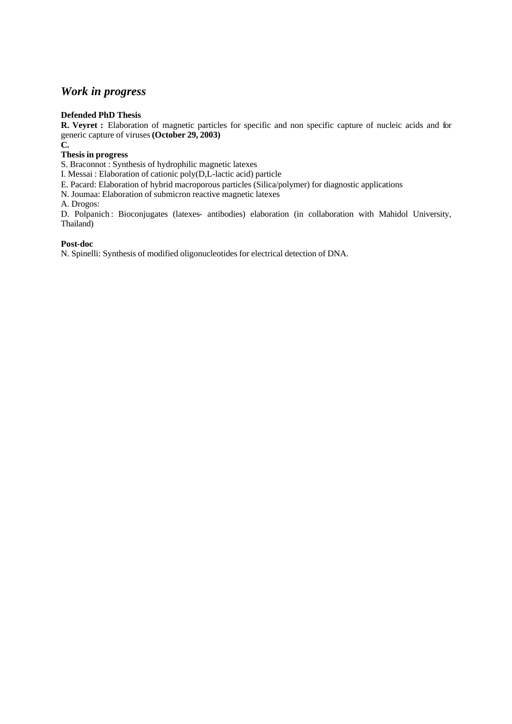# *Work in progress*

#### **Defended PhD Thesis**

**R. Veyret :** Elaboration of magnetic particles for specific and non specific capture of nucleic acids and for generic capture of viruses **(October 29, 2003)**

**C.** 

#### **Thesis in progress**

S. Braconnot : Synthesis of hydrophilic magnetic latexes

I. Messai : Elaboration of cationic poly(D,L-lactic acid) particle

E. Pacard: Elaboration of hybrid macroporous particles (Silica/polymer) for diagnostic applications

N. Joumaa: Elaboration of submicron reactive magnetic latexes

A. Drogos:

D. Polpanich : Bioconjugates (latexes- antibodies) elaboration (in collaboration with Mahidol University, Thailand)

#### **Post-doc**

N. Spinelli: Synthesis of modified oligonucleotides for electrical detection of DNA.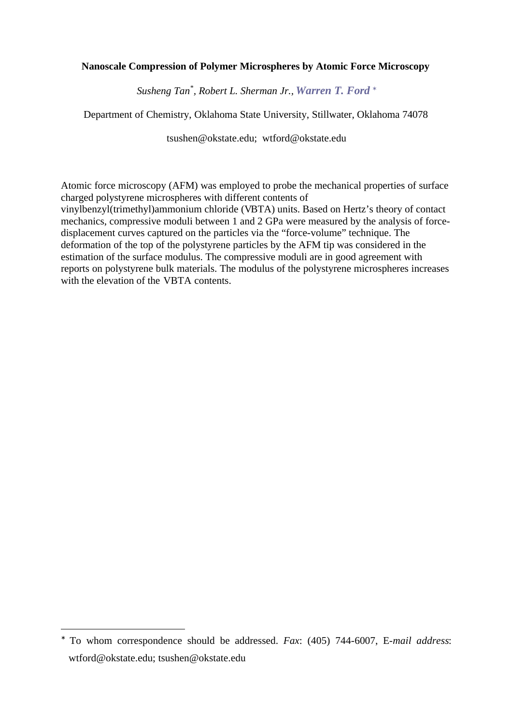# **Nanoscale Compression of Polymer Microspheres by Atomic Force Microscopy**

*Susheng Tan\* , Robert L. Sherman Jr., Warren T. Ford* <sup>∗</sup>

Department of Chemistry, Oklahoma State University, Stillwater, Oklahoma 74078

tsushen@okstate.edu; wtford@okstate.edu

Atomic force microscopy (AFM) was employed to probe the mechanical properties of surface charged polystyrene microspheres with different contents of vinylbenzyl(trimethyl)ammonium chloride (VBTA) units. Based on Hertz's theory of contact mechanics, compressive moduli between 1 and 2 GPa were measured by the analysis of forcedisplacement curves captured on the particles via the "force-volume" technique. The deformation of the top of the polystyrene particles by the AFM tip was considered in the estimation of the surface modulus. The compressive moduli are in good agreement with reports on polystyrene bulk materials. The modulus of the polystyrene microspheres increases with the elevation of the VBTA contents.

 $\overline{a}$ 

<sup>∗</sup> To whom correspondence should be addressed. *Fax*: (405) 744-6007, E*-mail address*: wtford@okstate.edu; tsushen@okstate.edu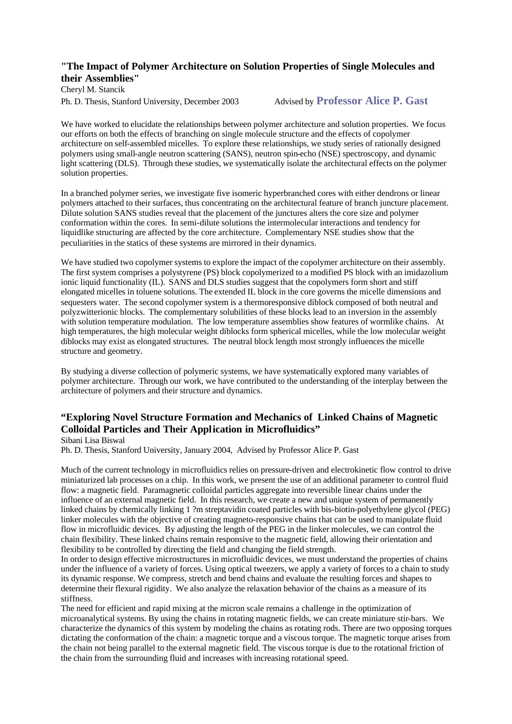# **"The Impact of Polymer Architecture on Solution Properties of Single Molecules and their Assemblies"**

Cheryl M. Stancik Ph. D. Thesis, Stanford University, December 2003 Advised by **Professor Alice P. Gast**

We have worked to elucidate the relationships between polymer architecture and solution properties. We focus our efforts on both the effects of branching on single molecule structure and the effects of copolymer architecture on self-assembled micelles. To explore these relationships, we study series of rationally designed polymers using small-angle neutron scattering (SANS), neutron spin-echo (NSE) spectroscopy, and dynamic light scattering (DLS). Through these studies, we systematically isolate the architectural effects on the polymer solution properties.

In a branched polymer series, we investigate five isomeric hyperbranched cores with either dendrons or linear polymers attached to their surfaces, thus concentrating on the architectural feature of branch juncture placement. Dilute solution SANS studies reveal that the placement of the junctures alters the core size and polymer conformation within the cores. In semi-dilute solutions the intermolecular interactions and tendency for liquidlike structuring are affected by the core architecture. Complementary NSE studies show that the peculiarities in the statics of these systems are mirrored in their dynamics.

We have studied two copolymer systems to explore the impact of the copolymer architecture on their assembly. The first system comprises a polystyrene (PS) block copolymerized to a modified PS block with an imidazolium ionic liquid functionality (IL). SANS and DLS studies suggest that the copolymers form short and stiff elongated micelles in toluene solutions. The extended IL block in the core governs the micelle dimensions and sequesters water. The second copolymer system is a thermoresponsive diblock composed of both neutral and polyzwitterionic blocks. The complementary solubilities of these blocks lead to an inversion in the assembly with solution temperature modulation. The low temperature assemblies show features of wormlike chains. At high temperatures, the high molecular weight diblocks form spherical micelles, while the low molecular weight diblocks may exist as elongated structures. The neutral block length most strongly influences the micelle structure and geometry.

By studying a diverse collection of polymeric systems, we have systematically explored many variables of polymer architecture. Through our work, we have contributed to the understanding of the interplay between the architecture of polymers and their structure and dynamics.

# **"Exploring Novel Structure Formation and Mechanics of Linked Chains of Magnetic Colloidal Particles and Their Application in Microfluidics"**

Sibani Lisa Biswal

Ph. D. Thesis, Stanford University, January 2004, Advised by Professor Alice P. Gast

Much of the current technology in microfluidics relies on pressure-driven and electrokinetic flow control to drive miniaturized lab processes on a chip. In this work, we present the use of an additional parameter to control fluid flow: a magnetic field. Paramagnetic colloidal particles aggregate into reversible linear chains under the influence of an external magnetic field. In this research, we create a new and unique system of permanently linked chains by chemically linking 1 ?m streptavidin coated particles with bis-biotin-polyethylene glycol (PEG) linker molecules with the objective of creating magneto-responsive chains that can be used to manipulate fluid flow in microfluidic devices. By adjusting the length of the PEG in the linker molecules, we can control the chain flexibility. These linked chains remain responsive to the magnetic field, allowing their orientation and flexibility to be controlled by directing the field and changing the field strength.

In order to design effective microstructures in microfluidic devices, we must understand the properties of chains under the influence of a variety of forces. Using optical tweezers, we apply a variety of forces to a chain to study its dynamic response. We compress, stretch and bend chains and evaluate the resulting forces and shapes to determine their flexural rigidity. We also analyze the relaxation behavior of the chains as a measure of its stiffness.

The need for efficient and rapid mixing at the micron scale remains a challenge in the optimization of microanalytical systems. By using the chains in rotating magnetic fields, we can create miniature stir-bars. We characterize the dynamics of this system by modeling the chains as rotating rods. There are two opposing torques dictating the conformation of the chain: a magnetic torque and a viscous torque. The magnetic torque arises from the chain not being parallel to the external magnetic field. The viscous torque is due to the rotational friction of the chain from the surrounding fluid and increases with increasing rotational speed.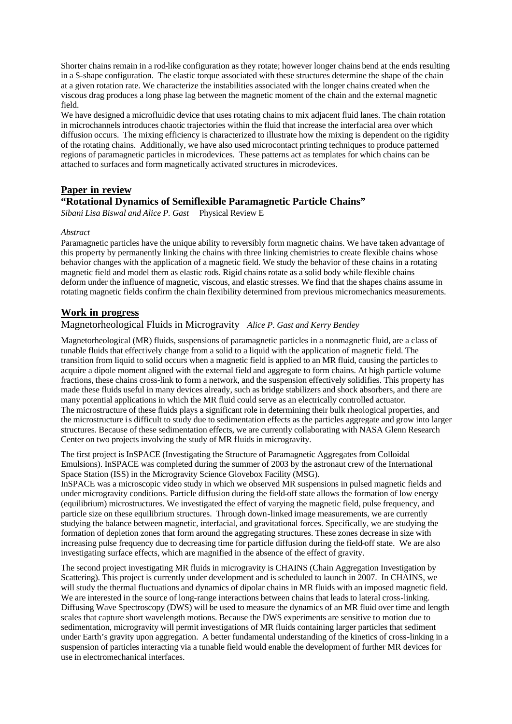Shorter chains remain in a rod-like configuration as they rotate; however longer chains bend at the ends resulting in a S-shape configuration. The elastic torque associated with these structures determine the shape of the chain at a given rotation rate. We characterize the instabilities associated with the longer chains created when the viscous drag produces a long phase lag between the magnetic moment of the chain and the external magnetic field.

We have designed a microfluidic device that uses rotating chains to mix adjacent fluid lanes. The chain rotation in microchannels introduces chaotic trajectories within the fluid that increase the interfacial area over which diffusion occurs. The mixing efficiency is characterized to illustrate how the mixing is dependent on the rigidity of the rotating chains. Additionally, we have also used microcontact printing techniques to produce patterned regions of paramagnetic particles in microdevices. These patterns act as templates for which chains can be attached to surfaces and form magnetically activated structures in microdevices.

## **Paper in review**

#### **"Rotational Dynamics of Semiflexible Paramagnetic Particle Chains"**

*Sibani Lisa Biswal and Alice P. Gast* Physical Review E

#### *Abstract*

Paramagnetic particles have the unique ability to reversibly form magnetic chains. We have taken advantage of this property by permanently linking the chains with three linking chemistries to create flexible chains whose behavior changes with the application of a magnetic field. We study the behavior of these chains in a rotating magnetic field and model them as elastic rods. Rigid chains rotate as a solid body while flexible chains deform under the influence of magnetic, viscous, and elastic stresses. We find that the shapes chains assume in rotating magnetic fields confirm the chain flexibility determined from previous micromechanics measurements.

#### **Work in progress**

Magnetorheological Fluids in Microgravity *Alice P. Gast and Kerry Bentley*

Magnetorheological (MR) fluids, suspensions of paramagnetic particles in a nonmagnetic fluid, are a class of tunable fluids that effectively change from a solid to a liquid with the application of magnetic field. The transition from liquid to solid occurs when a magnetic field is applied to an MR fluid, causing the particles to acquire a dipole moment aligned with the external field and aggregate to form chains. At high particle volume fractions, these chains cross-link to form a network, and the suspension effectively solidifies. This property has made these fluids useful in many devices already, such as bridge stabilizers and shock absorbers, and there are many potential applications in which the MR fluid could serve as an electrically controlled actuator. The microstructure of these fluids plays a significant role in determining their bulk rheological properties, and the microstructure is difficult to study due to sedimentation effects as the particles aggregate and grow into larger structures. Because of these sedimentation effects, we are currently collaborating with NASA Glenn Research Center on two projects involving the study of MR fluids in microgravity.

The first project is InSPACE (Investigating the Structure of Paramagnetic Aggregates from Colloidal Emulsions). InSPACE was completed during the summer of 2003 by the astronaut crew of the International Space Station (ISS) in the Microgravity Science Glovebox Facility (MSG).

InSPACE was a microscopic video study in which we observed MR suspensions in pulsed magnetic fields and under microgravity conditions. Particle diffusion during the field-off state allows the formation of low energy (equilibrium) microstructures. We investigated the effect of varying the magnetic field, pulse frequency, and particle size on these equilibrium structures. Through down-linked image measurements, we are currently studying the balance between magnetic, interfacial, and gravitational forces. Specifically, we are studying the formation of depletion zones that form around the aggregating structures. These zones decrease in size with increasing pulse frequency due to decreasing time for particle diffusion during the field-off state. We are also investigating surface effects, which are magnified in the absence of the effect of gravity.

The second project investigating MR fluids in microgravity is CHAINS (Chain Aggregation Investigation by Scattering). This project is currently under development and is scheduled to launch in 2007. In CHAINS, we will study the thermal fluctuations and dynamics of dipolar chains in MR fluids with an imposed magnetic field. We are interested in the source of long-range interactions between chains that leads to lateral cross-linking. Diffusing Wave Spectroscopy (DWS) will be used to measure the dynamics of an MR fluid over time and length scales that capture short wavelength motions. Because the DWS experiments are sensitive to motion due to sedimentation, microgravity will permit investigations of MR fluids containing larger particles that sediment under Earth's gravity upon aggregation. A better fundamental understanding of the kinetics of cross-linking in a suspension of particles interacting via a tunable field would enable the development of further MR devices for use in electromechanical interfaces.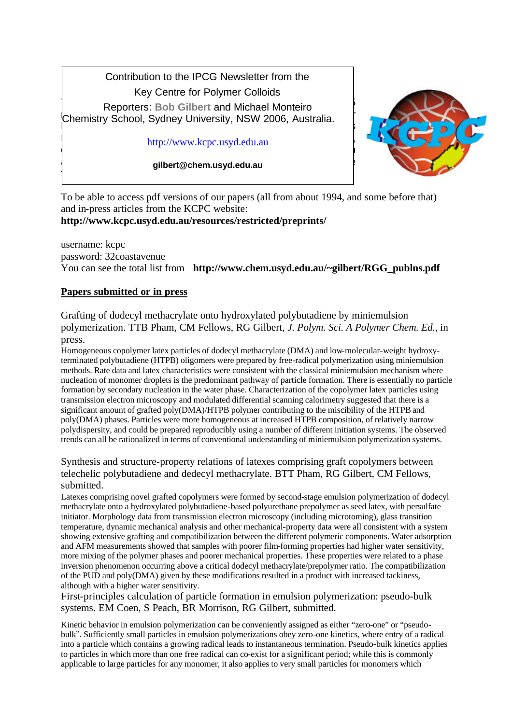**The Key Colloids Colloids Colloids Colloimer Colloimer Colloimer 3** responsive Strate and Michael Mondon Chamietry School Sydney I Iniversity NSW 2006 Australia  $\left\{\n\begin{array}{c}\n\text{SINOMI} \\
\text{SINOMI} \\
\text{SINOMI}\n\end{array}\n\right\}$ Contribution to the IPCG Newsletter from the Key Centre for Polymer Colloids Chemistry School, Sydney University, NSW 2006, Australia.

http://www.kcpc.usyd.edu.au  $\frac{m_{\text{c}}}{m_{\text{c}}}}$ 

around the world. More information about the Centre can be **gilbert@chem.usyd.edu.au**found on the website given above.



To be able to access pdf versions of our papers (all from about 1994, and some before that) and in-press articles from the KCPC website: **http://www.kcpc.usyd.edu.au/resources/restricted/preprints/**

username: kcpc password: 32coastavenue You can see the total list from **http://www.chem.usyd.edu.au/~gilbert/RGG** publns.pdf

# **Papers submitted or in press**

Grafting of dodecyl methacrylate onto hydroxylated polybutadiene by miniemulsion polymerization. TTB Pham, CM Fellows, RG Gilbert, *J. Polym. Sci. A Polymer Chem. Ed.*, in press.

Homogeneous copolymer latex particles of dodecyl methacrylate (DMA) and low-molecular-weight hydroxyterminated polybutadiene (HTPB) oligomers were prepared by free-radical polymerization using miniemulsion methods. Rate data and latex characteristics were consistent with the classical miniemulsion mechanism where nucleation of monomer droplets is the predominant pathway of particle formation. There is essentially no particle formation by secondary nucleation in the water phase. Characterization of the copolymer latex particles using transmission electron microscopy and modulated differential scanning calorimetry suggested that there is a significant amount of grafted poly(DMA)/HTPB polymer contributing to the miscibility of the HTPB and poly(DMA) phases. Particles were more homogeneous at increased HTPB composition, of relatively narrow polydispersity, and could be prepared reproducibly using a number of different initiation systems. The observed trends can all be rationalized in terms of conventional understanding of miniemulsion polymerization systems.

Synthesis and structure-property relations of latexes comprising graft copolymers between telechelic polybutadiene and dedecyl methacrylate. BTT Pham, RG Gilbert, CM Fellows, submitted.

Latexes comprising novel grafted copolymers were formed by second-stage emulsion polymerization of dodecyl methacrylate onto a hydroxylated polybutadiene-based polyurethane prepolymer as seed latex, with persulfate initiator. Morphology data from transmission electron microscopy (including microtoming), glass transition temperature, dynamic mechanical analysis and other mechanical-property data were all consistent with a system showing extensive grafting and compatibilization between the different polymeric components. Water adsorption and AFM measurements showed that samples with poorer film-forming properties had higher water sensitivity, more mixing of the polymer phases and poorer mechanical properties. These properties were related to a phase inversion phenomenon occurring above a critical dodecyl methacrylate/prepolymer ratio. The compatibilization of the PUD and poly(DMA) given by these modifications resulted in a product with increased tackiness, although with a higher water sensitivity.

First-principles calculation of particle formation in emulsion polymerization: pseudo-bulk systems. EM Coen, S Peach, BR Morrison, RG Gilbert, submitted.

Kinetic behavior in emulsion polymerization can be conveniently assigned as either "zero-one" or "pseudobulk". Sufficiently small particles in emulsion polymerizations obey zero-one kinetics, where entry of a radical into a particle which contains a growing radical leads to instantaneous termination. Pseudo-bulk kinetics applies to particles in which more than one free radical can co-exist for a significant period; while this is commonly applicable to large particles for any monomer, it also applies to very small particles for monomers which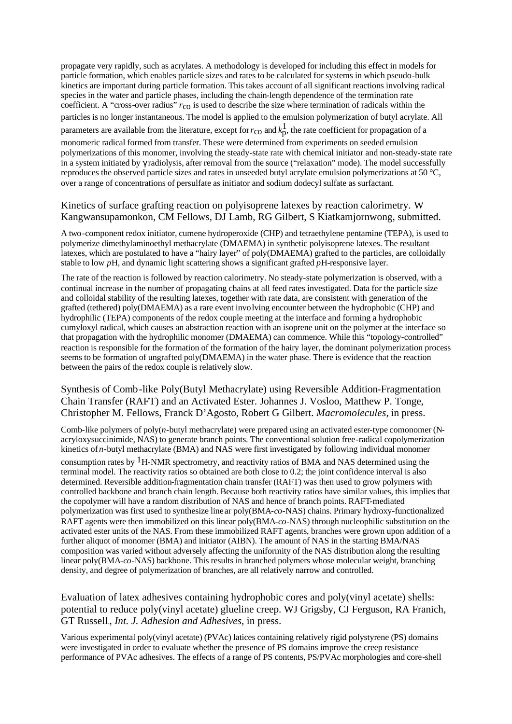propagate very rapidly, such as acrylates. A methodology is developed for including this effect in models for particle formation, which enables particle sizes and rates to be calculated for systems in which pseudo-bulk kinetics are important during particle formation. This takes account of all significant reactions involving radical species in the water and particle phases, including the chain-length dependence of the termination rate coefficient. A "cross-over radius" *r*co is used to describe the size where termination of radicals within the particles is no longer instantaneous. The model is applied to the emulsion polymerization of butyl acrylate. All

parameters are available from the literature, except for  $r_{\rm CO}$  and  $k_{\rm D}^1$ , the rate coefficient for propagation of a

monomeric radical formed from transfer. These were determined from experiments on seeded emulsion polymerizations of this monomer, involving the steady-state rate with chemical initiator and non-steady-state rate in a system initiated by γ radiolysis, after removal from the source ("relaxation" mode). The model successfully reproduces the observed particle sizes and rates in unseeded butyl acrylate emulsion polymerizations at 50 °C, over a range of concentrations of persulfate as initiator and sodium dodecyl sulfate as surfactant.

## Kinetics of surface grafting reaction on polyisoprene latexes by reaction calorimetry. W Kangwansupamonkon, CM Fellows, DJ Lamb, RG Gilbert, S Kiatkamjornwong, submitted.

A two-component redox initiator, cumene hydroperoxide (CHP) and tetraethylene pentamine (TEPA), is used to polymerize dimethylaminoethyl methacrylate (DMAEMA) in synthetic polyisoprene latexes. The resultant latexes, which are postulated to have a "hairy layer" of poly(DMAEMA) grafted to the particles, are colloidally stable to low *p*H, and dynamic light scattering shows a significant grafted *p*H-responsive layer.

The rate of the reaction is followed by reaction calorimetry. No steady-state polymerization is observed, with a continual increase in the number of propagating chains at all feed rates investigated. Data for the particle size and colloidal stability of the resulting latexes, together with rate data, are consistent with generation of the grafted (tethered) poly(DMAEMA) as a rare event involving encounter between the hydrophobic (CHP) and hydrophilic (TEPA) components of the redox couple meeting at the interface and forming a hydrophobic cumyloxyl radical, which causes an abstraction reaction with an isoprene unit on the polymer at the interface so that propagation with the hydrophilic monomer (DMAEMA) can commence. While this "topology-controlled" reaction is responsible for the formation of the formation of the hairy layer, the dominant polymerization process seems to be formation of ungrafted poly(DMAEMA) in the water phase. There is evidence that the reaction between the pairs of the redox couple is relatively slow.

# Synthesis of Comb-like Poly(Butyl Methacrylate) using Reversible Addition-Fragmentation Chain Transfer (RAFT) and an Activated Ester. Johannes J. Vosloo, Matthew P. Tonge, Christopher M. Fellows, Franck D'Agosto, Robert G Gilbert. *Macromolecules*, in press.

Comb-like polymers of poly(*n*-butyl methacrylate) were prepared using an activated ester-type comonomer (Nacryloxysuccinimide, NAS) to generate branch points. The conventional solution free-radical copolymerization kinetics of *n*-butyl methacrylate (BMA) and NAS were first investigated by following individual monomer

consumption rates by 1H-NMR spectrometry, and reactivity ratios of BMA and NAS determined using the terminal model. The reactivity ratios so obtained are both close to 0.2; the joint confidence interval is also determined. Reversible addition-fragmentation chain transfer (RAFT) was then used to grow polymers with controlled backbone and branch chain length. Because both reactivity ratios have similar values, this implies that the copolymer will have a random distribution of NAS and hence of branch points. RAFT-mediated polymerization was first used to synthesize linear poly(BMA-*co*-NAS) chains. Primary hydroxy-functionalized RAFT agents were then immobilized on this linear poly(BMA-*co*-NAS) through nucleophilic substitution on the activated ester units of the NAS. From these immobilized RAFT agents, branches were grown upon addition of a further aliquot of monomer (BMA) and initiator (AIBN). The amount of NAS in the starting BMA/NAS composition was varied without adversely affecting the uniformity of the NAS distribution along the resulting linear poly(BMA-*co*-NAS) backbone. This results in branched polymers whose molecular weight, branching density, and degree of polymerization of branches, are all relatively narrow and controlled.

Evaluation of latex adhesives containing hydrophobic cores and poly(vinyl acetate) shells: potential to reduce poly(vinyl acetate) glueline creep. WJ Grigsby, CJ Ferguson, RA Franich, GT Russell., *Int. J. Adhesion and Adhesives*, in press.

Various experimental poly(vinyl acetate) (PVAc) latices containing relatively rigid polystyrene (PS) domains were investigated in order to evaluate whether the presence of PS domains improve the creep resistance performance of PVAc adhesives. The effects of a range of PS contents, PS/PVAc morphologies and core-shell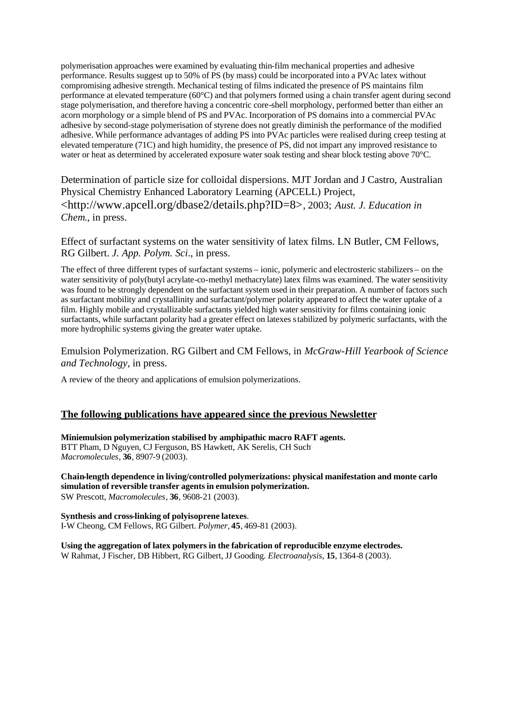polymerisation approaches were examined by evaluating thin-film mechanical properties and adhesive performance. Results suggest up to 50% of PS (by mass) could be incorporated into a PVAc latex without compromising adhesive strength. Mechanical testing of films indicated the presence of PS maintains film performance at elevated temperature (60°C) and that polymers formed using a chain transfer agent during second stage polymerisation, and therefore having a concentric core-shell morphology, performed better than either an acorn morphology or a simple blend of PS and PVAc. Incorporation of PS domains into a commercial PVAc adhesive by second-stage polymerisation of styrene does not greatly diminish the performance of the modified adhesive. While performance advantages of adding PS into PVAc particles were realised during creep testing at elevated temperature (71C) and high humidity, the presence of PS, did not impart any improved resistance to water or heat as determined by accelerated exposure water soak testing and shear block testing above 70 °C.

Determination of particle size for colloidal dispersions. MJT Jordan and J Castro, Australian Physical Chemistry Enhanced Laboratory Learning (APCELL) Project, <http://www.apcell.org/dbase2/details.php?ID=8>, 2003; *Aust. J. Education in Chem*., in press.

Effect of surfactant systems on the water sensitivity of latex films. LN Butler, CM Fellows, RG Gilbert. *J. App. Polym. Sci*., in press.

The effect of three different types of surfactant systems – ionic, polymeric and electrosteric stabilizers – on the water sensitivity of poly(butyl acrylate-co-methyl methacrylate) latex films was examined. The water sensitivity was found to be strongly dependent on the surfactant system used in their preparation. A number of factors such as surfactant mobility and crystallinity and surfactant/polymer polarity appeared to affect the water uptake of a film. Highly mobile and crystallizable surfactants yielded high water sensitivity for films containing ionic surfactants, while surfactant polarity had a greater effect on latexes stabilized by polymeric surfactants, with the more hydrophilic systems giving the greater water uptake.

Emulsion Polymerization. RG Gilbert and CM Fellows, in *McGraw-Hill Yearbook of Science and Technology*, in press.

A review of the theory and applications of emulsion polymerizations.

#### **The following publications have appeared since the previous Newsletter**

**Miniemulsion polymerization stabilised by amphipathic macro RAFT agents.** BTT Pham, D Nguyen, CJ Ferguson, BS Hawkett, AK Serelis, CH Such. *Macromolecules*, **36**, 8907-9 (2003).

**Chain-length dependence in living/controlled polymerizations: physical manifestation and monte carlo simulation of reversible transfer agents in emulsion polymerization.** SW Prescott, *Macromolecules*, **36**, 9608-21 (2003).

**Synthesis and cross-linking of polyisoprene latexes**. I-W Cheong, CM Fellows, RG Gilbert. *Polymer*, **45**, 469-81 (2003).

**Using the aggregation of latex polymers in the fabrication of reproducible enzyme electrodes.** W Rahmat, J Fischer, DB Hibbert, RG Gilbert, JJ Gooding. *Electroanalysis*, **15**, 1364-8 (2003).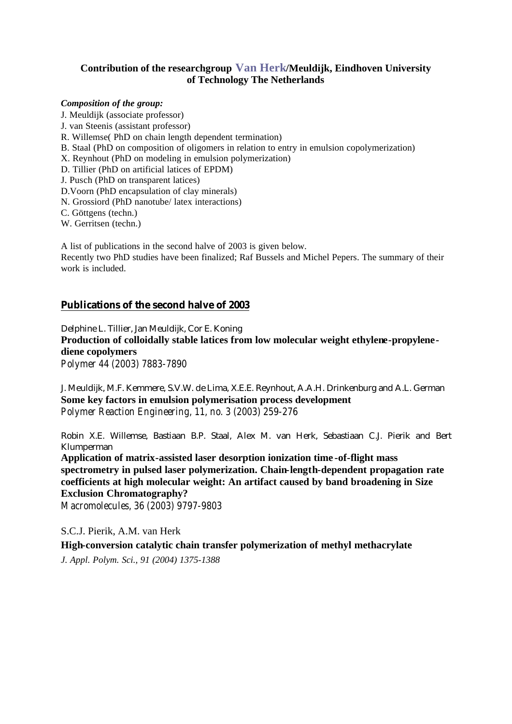# **Contribution of the researchgroup Van Herk/Meuldijk, Eindhoven University of Technology The Netherlands**

## *Composition of the group:*

- J. Meuldijk (associate professor)
- J. van Steenis (assistant professor)
- R. Willemse( PhD on chain length dependent termination)
- B. Staal (PhD on composition of oligomers in relation to entry in emulsion copolymerization)
- X. Reynhout (PhD on modeling in emulsion polymerization)
- D. Tillier (PhD on artificial latices of EPDM)
- J. Pusch (PhD on transparent latices)
- D.Voorn (PhD encapsulation of clay minerals)
- N. Grossiord (PhD nanotube/ latex interactions)
- C. Göttgens (techn.)
- W. Gerritsen (techn.)

A list of publications in the second halve of 2003 is given below. Recently two PhD studies have been finalized; Raf Bussels and Michel Pepers. The summary of their work is included.

# **Publications of the second halve of 2003**

Delphine L. Tillier, Jan Meuldijk, Cor E. Koning **Production of colloidally stable latices from low molecular weight ethylene-propylenediene copolymers**  *Polymer 44 (2003) 7883-7890*

J. Meuldijk, M.F. Kemmere, S.V.W. de Lima, X.E.E. Reynhout, A.A.H. Drinkenburg and A.L. German **Some key factors in emulsion polymerisation process development** *Polymer Reaction Engineering, 11, no. 3 (2003) 259-276*

Robin X.E. Willemse, Bastiaan B.P. Staal, Alex M. van Herk, Sebastiaan C.J. Pierik and Bert Klumperman

**Application of matrix-assisted laser desorption ionization time -of-flight mass spectrometry in pulsed laser polymerization. Chain-length-dependent propagation rate coefficients at high molecular weight: An artifact caused by band broadening in Size Exclusion Chromatography?**

*Macromolecules, 36 (2003) 9797-9803*

S.C.J. Pierik, A.M. van Herk

**High-conversion catalytic chain transfer polymerization of methyl methacrylate**

*J. Appl. Polym. Sci., 91 (2004) 1375-1388*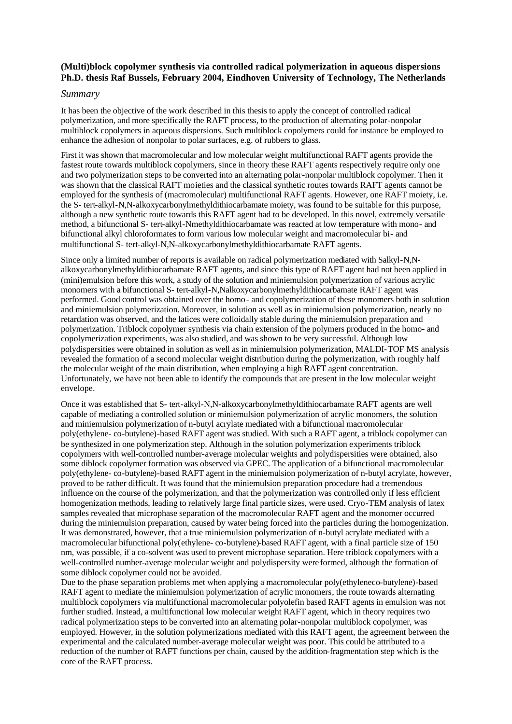## **(Multi)block copolymer synthesis via controlled radical polymerization in aqueous dispersions Ph.D. thesis Raf Bussels, February 2004, Eindhoven University of Technology, The Netherlands**

#### *Summary*

It has been the objective of the work described in this thesis to apply the concept of controlled radical polymerization, and more specifically the RAFT process, to the production of alternating polar-nonpolar multiblock copolymers in aqueous dispersions. Such multiblock copolymers could for instance be employed to enhance the adhesion of nonpolar to polar surfaces, e.g. of rubbers to glass.

First it was shown that macromolecular and low molecular weight multifunctional RAFT agents provide the fastest route towards multiblock copolymers, since in theory these RAFT agents respectively require only one and two polymerization steps to be converted into an alternating polar-nonpolar multiblock copolymer. Then it was shown that the classical RAFT moieties and the classical synthetic routes towards RAFT agents cannot be employed for the synthesis of (macromolecular) multifunctional RAFT agents. However, one RAFT moiety, i.e. the S- tert-alkyl-N,N-alkoxycarbonylmethyldithiocarbamate moiety, was found to be suitable for this purpose, although a new synthetic route towards this RAFT agent had to be developed. In this novel, extremely versatile method, a bifunctional S- tert-alkyl-Nmethyldithiocarbamate was reacted at low temperature with mono- and bifunctional alkyl chloroformates to form various low molecular weight and macromolecular bi- and multifunctional S- tert-alkyl-N,N-alkoxycarbonylmethyldithiocarbamate RAFT agents.

Since only a limited number of reports is available on radical polymerization mediated with Salkyl-N,Nalkoxycarbonylmethyldithiocarbamate RAFT agents, and since this type of RAFT agent had not been applied in (mini)emulsion before this work, a study of the solution and miniemulsion polymerization of various acrylic monomers with a bifunctional S- tert-alkyl-N,Nalkoxycarbonylmethyldithiocarbamate RAFT agent was performed. Good control was obtained over the homo- and copolymerization of these monomers both in solution and miniemulsion polymerization. Moreover, in solution as well as in miniemulsion polymerization, nearly no retardation was observed, and the latices were colloidally stable during the miniemulsion preparation and polymerization. Triblock copolymer synthesis via chain extension of the polymers produced in the homo- and copolymerization experiments, was also studied, and was shown to be very successful. Although low polydispersities were obtained in solution as well as in miniemulsion polymerization, MALDI-TOF MS analysis revealed the formation of a second molecular weight distribution during the polymerization, with roughly half the molecular weight of the main distribution, when employing a high RAFT agent concentration. Unfortunately, we have not been able to identify the compounds that are present in the low molecular weight envelope.

Once it was established that S- tert-alkyl-N,N-alkoxycarbonylmethyldithiocarbamate RAFT agents are well capable of mediating a controlled solution or miniemulsion polymerization of acrylic monomers, the solution and miniemulsion polymerization of n-butyl acrylate mediated with a bifunctional macromolecular poly(ethylene- co-butylene)-based RAFT agent was studied. With such a RAFT agent, a triblock copolymer can be synthesized in one polymerization step. Although in the solution polymerization experiments triblock copolymers with well-controlled number-average molecular weights and polydispersities were obtained, also some diblock copolymer formation was observed via GPEC. The application of a bifunctional macromolecular poly(ethylene- co-butylene)-based RAFT agent in the miniemulsion polymerization of n-butyl acrylate, however, proved to be rather difficult. It was found that the miniemulsion preparation procedure had a tremendous influence on the course of the polymerization, and that the polymerization was controlled only if less efficient homogenization methods, leading to relatively large final particle sizes, were used. Cryo-TEM analysis of latex samples revealed that microphase separation of the macromolecular RAFT agent and the monomer occurred during the miniemulsion preparation, caused by water being forced into the particles during the homogenization. It was demonstrated, however, that a true miniemulsion polymerization of n-butyl acrylate mediated with a macromolecular bifunctional poly(ethylene- co-butylene)-based RAFT agent, with a final particle size of 150 nm, was possible, if a co-solvent was used to prevent microphase separation. Here triblock copolymers with a well-controlled number-average molecular weight and polydispersity were formed, although the formation of some diblock copolymer could not be avoided.

Due to the phase separation problems met when applying a macromolecular poly(ethyleneco-butylene)-based RAFT agent to mediate the miniemulsion polymerization of acrylic monomers, the route towards alternating multiblock copolymers via multifunctional macromolecular polyolefin based RAFT agents in emulsion was not further studied. Instead, a multifunctional low molecular weight RAFT agent, which in theory requires two radical polymerization steps to be converted into an alternating polar-nonpolar multiblock copolymer, was employed. However, in the solution polymerizations mediated with this RAFT agent, the agreement between the experimental and the calculated number-average molecular weight was poor. This could be attributed to a reduction of the number of RAFT functions per chain, caused by the addition-fragmentation step which is the core of the RAFT process.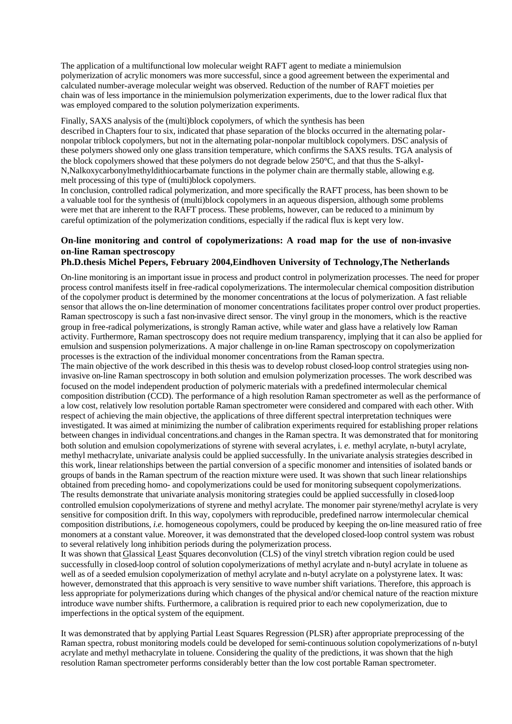The application of a multifunctional low molecular weight RAFT agent to mediate a miniemulsion polymerization of acrylic monomers was more successful, since a good agreement between the experimental and calculated number-average molecular weight was observed. Reduction of the number of RAFT moieties per chain was of less importance in the miniemulsion polymerization experiments, due to the lower radical flux that was employed compared to the solution polymerization experiments.

Finally, SAXS analysis of the (multi)block copolymers, of which the synthesis has been described in Chapters four to six, indicated that phase separation of the blocks occurred in the alternating polarnonpolar triblock copolymers, but not in the alternating polar-nonpolar multiblock copolymers. DSC analysis of these polymers showed only one glass transition temperature, which confirms the SAXS results. TGA analysis of the block copolymers showed that these polymers do not degrade below 250°C, and that thus the S-alkyl-N,Nalkoxycarbonylmethyldithiocarbamate functions in the polymer chain are thermally stable, allowing e.g. melt processing of this type of (multi)block copolymers.

In conclusion, controlled radical polymerization, and more specifically the RAFT process, has been shown to be a valuable tool for the synthesis of (multi)block copolymers in an aqueous dispersion, although some problems were met that are inherent to the RAFT process. These problems, however, can be reduced to a minimum by careful optimization of the polymerization conditions, especially if the radical flux is kept very low.

# **On-line monitoring and control of copolymerizations: A road map for the use of non-invasive on-line Raman spectroscopy**

# **Ph.D.thesis Michel Pepers, February 2004,Eindhoven University of Technology,The Netherlands**

On-line monitoring is an important issue in process and product control in polymerization processes. The need for proper process control manifests itself in free-radical copolymerizations. The intermolecular chemical composition distribution of the copolymer product is determined by the monomer concentrations at the locus of polymerization. A fast reliable sensor that allows the on-line determination of monomer concentrations facilitates proper control over product properties. Raman spectroscopy is such a fast non-invasive direct sensor. The vinyl group in the monomers, which is the reactive group in free-radical polymerizations, is strongly Raman active, while water and glass have a relatively low Raman activity. Furthermore, Raman spectroscopy does not require medium transparency, implying that it can also be applied for emulsion and suspension polymerizations. A major challenge in on-line Raman spectroscopy on copolymerization processes is the extraction of the individual monomer concentrations from the Raman spectra.

The main objective of the work described in this thesis was to develop robust closed-loop control strategies using noninvasive on-line Raman spectroscopy in both solution and emulsion polymerization processes. The work described was focused on the model independent production of polymeric materials with a predefined intermolecular chemical composition distribution (CCD). The performance of a high resolution Raman spectrometer as well as the performance of a low cost, relatively low resolution portable Raman spectrometer were considered and compared with each other. With respect of achieving the main objective, the applications of three different spectral interpretation techniques were investigated. It was aimed at minimizing the number of calibration experiments required for establishing proper relations between changes in individual concentrations.and changes in the Raman spectra. It was demonstrated that for monitoring both solution and emulsion copolymerizations of styrene with several acrylates, i. *e.* methyl acrylate, n-butyl acrylate, methyl methacrylate, univariate analysis could be applied successfully. In the univariate analysis strategies described in this work, linear relationships between the partial conversion of a specific monomer and intensities of isolated bands or groups of bands in the Raman spectrum of the reaction mixture were used. It was shown that such linear relationships obtained from preceding homo- and copolymerizations could be used for monitoring subsequent copolymerizations. The results demonstrate that univariate analysis monitoring strategies could be applied successfully in closed-loop controlled emulsion copolymerizations of styrene and methyl acrylate. The monomer pair styrene/methyl acrylate is very sensitive for composition drift. In this way, copolymers with reproducible, predefined narrow intermolecular chemical composition distributions, *i.e.* homogeneous copolymers, could be produced by keeping the on-line measured ratio of free monomers at a constant value. Moreover, it was demonstrated that the developed closed-loop control system was robust to several relatively long inhibition periods during the polymerization process.

It was shown that Glassical Least Squares deconvolution (CLS) of the vinyl stretch vibration region could be used successfully in closed-loop control of solution copolymerizations of methyl acrylate and n-butyl acrylate in toluene as well as of a seeded emulsion copolymerization of methyl acrylate and n-butyl acrylate on a polystyrene latex. It was: however, demonstrated that this approach is very sensitive to wave number shift variations. Therefore, this approach is less appropriate for polymerizations during which changes of the physical and/or chemical nature of the reaction mixture introduce wave number shifts. Furthermore, a calibration is required prior to each new copolymerization, due to imperfections in the optical system of the equipment.

It was demonstrated that by applying Partial Least Squares Regression (PLSR) after appropriate preprocessing of the Raman spectra, robust monitoring models could be developed for semi-continuous solution copolymerizations of n-butyl acrylate and methyl methacrylate in toluene. Considering the quality of the predictions, it was shown that the high resolution Raman spectrometer performs considerably better than the low cost portable Raman spectrometer.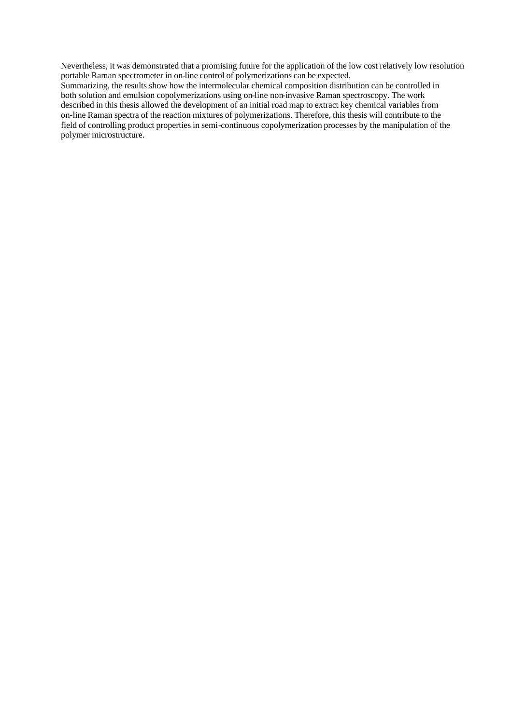Nevertheless, it was demonstrated that a promising future for the application of the low cost relatively low resolution portable Raman spectrometer in on-line control of polymerizations can be expected.

Summarizing, the results show how the intermolecular chemical composition distribution can be controlled in both solution and emulsion copolymerizations using on-line non-invasive Raman spectroscopy. The work described in this thesis allowed the development of an initial road map to extract key chemical variables from on-line Raman spectra of the reaction mixtures of polymerizations. Therefore, this thesis will contribute to the field of controlling product properties in semi-continuous copolymerization processes by the manipulation of the polymer microstructure.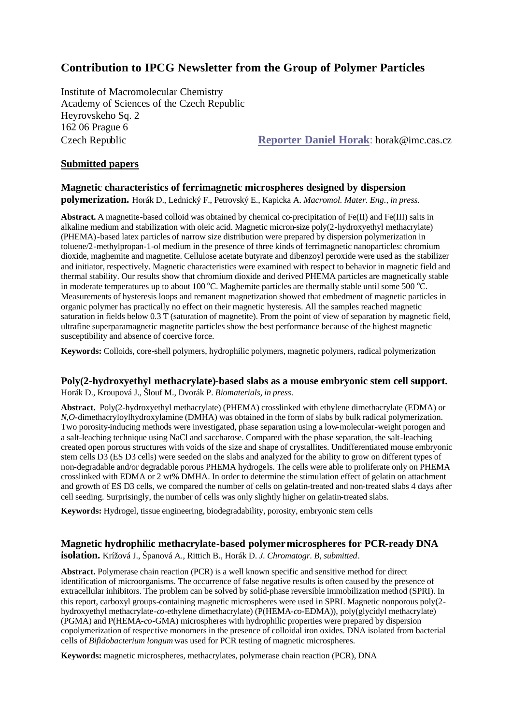# **Contribution to IPCG Newsletter from the Group of Polymer Particles**

Institute of Macromolecular Chemistry Academy of Sciences of the Czech Republic Heyrovskeho Sq. 2 162 06 Prague 6

Czech Republic **Reporter Daniel Horak**: horak@imc.cas.cz

# **Submitted papers**

# **Magnetic characteristics of ferrimagnetic microspheres designed by dispersion**

**polymerization.** Horák D., Lednický F., Petrovský E., Kapicka A. *Macromol. Mater. Eng., in press.* 

**Abstract.** A magnetite-based colloid was obtained by chemical co-precipitation of Fe(II) and Fe(III) salts in alkaline medium and stabilization with oleic acid. Magnetic micron-size poly(2-hydroxyethyl methacrylate) (PHEMA)-based latex particles of narrow size distribution were prepared by dispersion polymerization in toluene/2-methylpropan-1-ol medium in the presence of three kinds of ferrimagnetic nanoparticles: chromium dioxide, maghemite and magnetite. Cellulose acetate butyrate and dibenzoyl peroxide were used as the stabilizer and initiator, respectively. Magnetic characteristics were examined with respect to behavior in magnetic field and thermal stability. Our results show that chromium dioxide and derived PHEMA particles are magnetically stable in moderate temperatures up to about 100 °C. Maghemite particles are thermally stable until some 500 °C. Measurements of hysteresis loops and remanent magnetization showed that embedment of magnetic particles in organic polymer has practically no effect on their magnetic hysteresis. All the samples reached magnetic saturation in fields below 0.3 T (saturation of magnetite). From the point of view of separation by magnetic field, ultrafine superparamagnetic magnetite particles show the best performance because of the highest magnetic susceptibility and absence of coercive force.

**Keywords:** Colloids, core-shell polymers, hydrophilic polymers, magnetic polymers, radical polymerization

## **Poly(2-hydroxyethyl methacrylate)-based slabs as a mouse embryonic stem cell support.**  Horák D., Kroupová J., Šlouf M., Dvorák P. *Biomaterials, in press*.

**Abstract.** Poly(2-hydroxyethyl methacrylate) (PHEMA) crosslinked with ethylene dimethacrylate (EDMA) or *N,O*-dimethacryloylhydroxylamine (DMHA) was obtained in the form of slabs by bulk radical polymerization. Two porosity-inducing methods were investigated, phase separation using a low-molecular-weight porogen and a salt-leaching technique using NaCl and saccharose. Compared with the phase separation, the salt-leaching created open porous structures with voids of the size and shape of crystallites. Undifferentiated mouse embryonic stem cells D3 (ES D3 cells) were seeded on the slabs and analyzed for the ability to grow on different types of non-degradable and/or degradable porous PHEMA hydrogels. The cells were able to proliferate only on PHEMA crosslinked with EDMA or 2 wt% DMHA. In order to determine the stimulation effect of gelatin on attachment and growth of ES D3 cells, we compared the number of cells on gelatin-treated and non-treated slabs 4 days after cell seeding. Surprisingly, the number of cells was only slightly higher on gelatin-treated slabs.

**Keywords:** Hydrogel, tissue engineering, biodegradability, porosity, embryonic stem cells

## **Magnetic hydrophilic methacrylate-based polymer microspheres for PCR-ready DNA isolation.** Krížová J., Španová A., Rittich B., Horák D. *J. Chromatogr. B, submitted*.

**Abstract.** Polymerase chain reaction (PCR) is a well known specific and sensitive method for direct identification of microorganisms. The occurrence of false negative results is often caused by the presence of extracellular inhibitors. The problem can be solved by solid-phase reversible immobilization method (SPRI). In this report, carboxyl groups-containing magnetic microspheres were used in SPRI. Magnetic nonporous poly(2 hydroxyethyl methacrylate-*co*-ethylene dimethacrylate) (P(HEMA-*co*-EDMA)), poly(glycidyl methacrylate) (PGMA) and P(HEMA-*co*-GMA) microspheres with hydrophilic properties were prepared by dispersion copolymerization of respective monomers in the presence of colloidal iron oxides. DNA isolated from bacterial cells of *Bifidobacterium longum* was used for PCR testing of magnetic microspheres.

**Keywords:** magnetic microspheres, methacrylates, polymerase chain reaction (PCR), DNA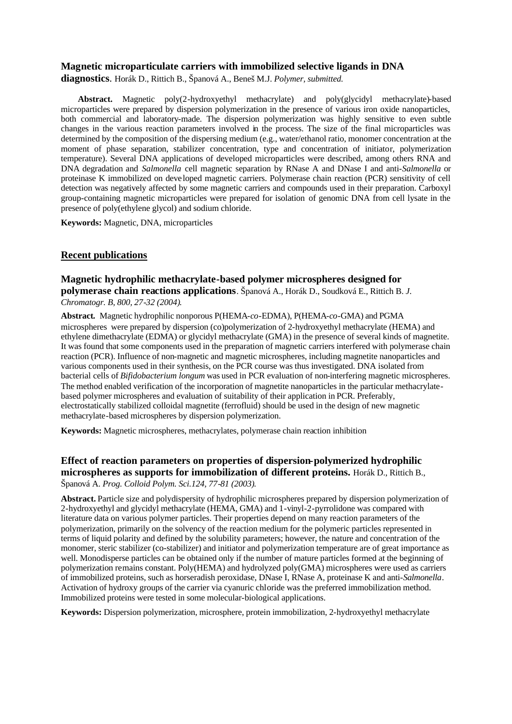### **Magnetic microparticulate carriers with immobilized selective ligands in DNA**

**diagnostics**. Horák D., Rittich B., Španová A., Beneš M.J. *Polymer, submitted.* 

**Abstract.** Magnetic poly(2-hydroxyethyl methacrylate) and poly(glycidyl methacrylate)-based microparticles were prepared by dispersion polymerization in the presence of various iron oxide nanoparticles, both commercial and laboratory-made. The dispersion polymerization was highly sensitive to even subtle changes in the various reaction parameters involved in the process. The size of the final microparticles was determined by the composition of the dispersing medium (e.g., water/ethanol ratio, monomer concentration at the moment of phase separation, stabilizer concentration, type and concentration of initiator, polymerization temperature). Several DNA applications of developed microparticles were described, among others RNA and DNA degradation and *Salmonella* cell magnetic separation by RNase A and DNase I and anti-*Salmonella* or proteinase K immobilized on developed magnetic carriers. Polymerase chain reaction (PCR) sensitivity of cell detection was negatively affected by some magnetic carriers and compounds used in their preparation. Carboxyl group-containing magnetic microparticles were prepared for isolation of genomic DNA from cell lysate in the presence of poly(ethylene glycol) and sodium chloride.

**Keywords:** Magnetic, DNA, microparticles

#### **Recent publications**

#### **Magnetic hydrophilic methacrylate-based polymer microspheres designed for polymerase chain reactions applications**. Španová A., Horák D., Soudková E., Rittich B. *J. Chromatogr. B, 800, 27-32 (2004)*.

**Abstract***.* Magnetic hydrophilic nonporous P(HEMA-*co*-EDMA), P(HEMA-*co*-GMA) and PGMA microspheres were prepared by dispersion (co)polymerization of 2-hydroxyethyl methacrylate (HEMA) and ethylene dimethacrylate (EDMA) or glycidyl methacrylate (GMA) in the presence of several kinds of magnetite. It was found that some components used in the preparation of magnetic carriers interfered with polymerase chain reaction (PCR). Influence of non-magnetic and magnetic microspheres, including magnetite nanoparticles and various components used in their synthesis, on the PCR course was thus investigated. DNA isolated from bacterial cells of *Bifidobacterium longum* was used in PCR evaluation of non-interfering magnetic microspheres. The method enabled verification of the incorporation of magnetite nanoparticles in the particular methacrylatebased polymer microspheres and evaluation of suitability of their application in PCR. Preferably, electrostatically stabilized colloidal magnetite (ferrofluid) should be used in the design of new magnetic methacrylate-based microspheres by dispersion polymerization.

**Keywords:** Magnetic microspheres, methacrylates, polymerase chain reaction inhibition

#### **Effect of reaction parameters on properties of dispersion-polymerized hydrophilic microspheres as supports for immobilization of different proteins.** Horák D., Rittich B., Španová A. *Prog. Colloid Polym. Sci.124, 77-81 (2003)*.

**Abstract.** Particle size and polydispersity of hydrophilic microspheres prepared by dispersion polymerization of 2-hydroxyethyl and glycidyl methacrylate (HEMA, GMA) and 1-vinyl-2-pyrrolidone was compared with literature data on various polymer particles. Their properties depend on many reaction parameters of the polymerization, primarily on the solvency of the reaction medium for the polymeric particles represented in terms of liquid polarity and defined by the solubility parameters; however, the nature and concentration of the monomer, steric stabilizer (co-stabilizer) and initiator and polymerization temperature are of great importance as well. Monodisperse particles can be obtained only if the number of mature particles formed at the beginning of polymerization remains constant. Poly(HEMA) and hydrolyzed poly(GMA) microspheres were used as carriers of immobilized proteins, such as horseradish peroxidase, DNase I, RNase A, proteinase K and anti-*Salmonella*. Activation of hydroxy groups of the carrier via cyanuric chloride was the preferred immobilization method. Immobilized proteins were tested in some molecular-biological applications.

**Keywords:** Dispersion polymerization, microsphere, protein immobilization, 2-hydroxyethyl methacrylate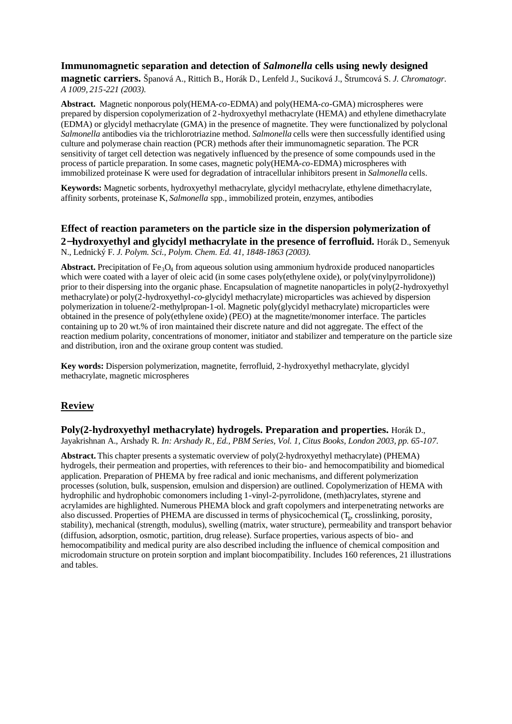### **Immunomagnetic separation and detection of** *Salmonella* **cells using newly designed**

**magnetic carriers.** Španová A., Rittich B., Horák D., Lenfeld J., Suciková J., Štrumcová S. *J. Chromatogr. A 1009, 215-221 (2003).*

**Abstract.** Magnetic nonporous poly(HEMA-*co*-EDMA) and poly(HEMA-*co*-GMA) microspheres were prepared by dispersion copolymerization of 2-hydroxyethyl methacrylate (HEMA) and ethylene dimethacrylate (EDMA) or glycidyl methacrylate (GMA) in the presence of magnetite. They were functionalized by polyclonal *Salmonella* antibodies via the trichlorotriazine method. *Salmonella* cells were then successfully identified using culture and polymerase chain reaction (PCR) methods after their immunomagnetic separation. The PCR sensitivity of target cell detection was negatively influenced by the presence of some compounds used in the process of particle preparation. In some cases, magnetic poly(HEMA-*co*-EDMA) microspheres with immobilized proteinase K were used for degradation of intracellular inhibitors present in *Salmonella* cells.

**Keywords:** Magnetic sorbents, hydroxyethyl methacrylate, glycidyl methacrylate, ethylene dimethacrylate, affinity sorbents, proteinase K, *Salmonella* spp., immobilized protein, enzymes, antibodies

### **Effect of reaction parameters on the particle size in the dispersion polymerization of 2-hydroxyethyl and glycidyl methacrylate in the presence of ferrofluid.** Horák D., Semenyuk N., Lednický F. *J. Polym. Sci., Polym. Chem. Ed. 41, 1848-1863 (2003).*

Abstract. Precipitation of Fe<sub>3</sub>O<sub>4</sub> from aqueous solution using ammonium hydroxide produced nanoparticles which were coated with a layer of oleic acid (in some cases poly(ethylene oxide), or poly(vinylpyrrolidone)) prior to their dispersing into the organic phase. Encapsulation of magnetite nanoparticles in poly(2-hydroxyethyl methacrylate) or poly(2-hydroxyethyl-*co*-glycidyl methacrylate) microparticles was achieved by dispersion polymerization in toluene/2-methylpropan-1-ol. Magnetic poly(glycidyl methacrylate) microparticles were obtained in the presence of poly(ethylene oxide) (PEO) at the magnetite/monomer interface. The particles containing up to 20 wt.% of iron maintained their discrete nature and did not aggregate. The effect of the reaction medium polarity, concentrations of monomer, initiator and stabilizer and temperature on the particle size and distribution, iron and the oxirane group content was studied.

**Key words:** Dispersion polymerization, magnetite, ferrofluid, 2-hydroxyethyl methacrylate, glycidyl methacrylate, magnetic microspheres

### **Review**

**Poly(2-hydroxyethyl methacrylate) hydrogels. Preparation and properties.** Horák D., Jayakrishnan A., Arshady R. *In: Arshady R., Ed., PBM Series, Vol. 1, Citus Books, London 2003, pp. 65-107.*

**Abstract.** This chapter presents a systematic overview of poly(2-hydroxyethyl methacrylate) (PHEMA) hydrogels, their permeation and properties, with references to their bio- and hemocompatibility and biomedical application. Preparation of PHEMA by free radical and ionic mechanisms, and different polymerization processes (solution, bulk, suspension, emulsion and dispersion) are outlined. Copolymerization of HEMA with hydrophilic and hydrophobic comonomers including 1-vinyl-2-pyrrolidone, (meth)acrylates, styrene and acrylamides are highlighted. Numerous PHEMA block and graft copolymers and interpenetrating networks are also discussed. Properties of PHEMA are discussed in terms of physicochemical  $(T_g, crosslinking, porosity,$ stability), mechanical (strength, modulus), swelling (matrix, water structure), permeability and transport behavior (diffusion, adsorption, osmotic, partition, drug release). Surface properties, various aspects of bio- and hemocompatibility and medical purity are also described including the influence of chemical composition and microdomain structure on protein sorption and implant biocompatibility. Includes 160 references, 21 illustrations and tables.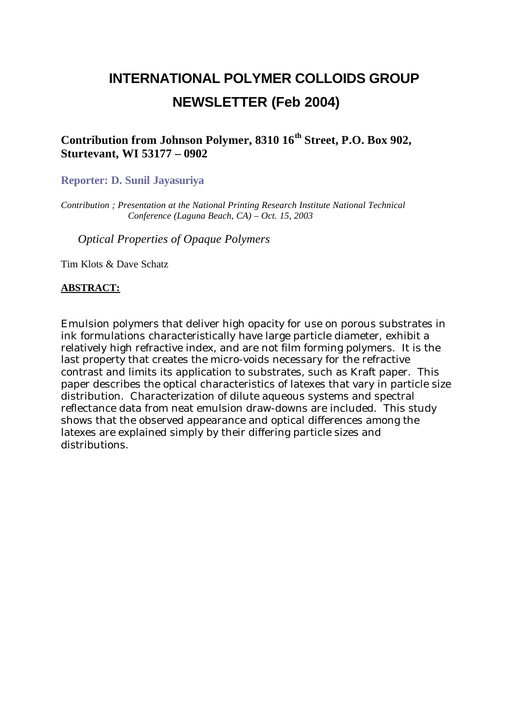# **INTERNATIONAL POLYMER COLLOIDS GROUP NEWSLETTER (Feb 2004)**

### **Contribution from Johnson Polymer, 8310 16th Street, P.O. Box 902, Sturtevant, WI 53177 – 0902**

**Reporter: D. Sunil Jayasuriya**

*Contribution ; Presentation at the National Printing Research Institute National Technical Conference (Laguna Beach, CA) – Oct. 15, 2003*

*Optical Properties of Opaque Polymers*

Tim Klots & Dave Schatz

### **ABSTRACT:**

Emulsion polymers that deliver high opacity for use on porous substrates in ink formulations characteristically have large particle diameter, exhibit a relatively high refractive index, and are not film forming polymers. It is the last property that creates the micro-voids necessary for the refractive contrast and limits its application to substrates, such as Kraft paper. This paper describes the optical characteristics of latexes that vary in particle size distribution. Characterization of dilute aqueous systems and spectral reflectance data from neat emulsion draw-downs are included. This study shows that the observed appearance and optical differences among the latexes are explained simply by their differing particle sizes and distributions.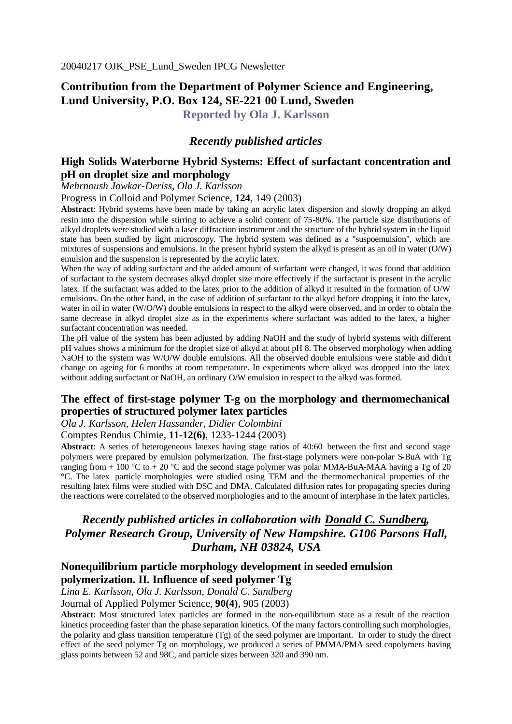## **Contribution from the Department of Polymer Science and Engineering, Lund University, P.O. Box 124, SE-221 00 Lund, Sweden**

**Reported by Ola J. Karlsson**

### *Recently published articles*

### **High Solids Waterborne Hybrid Systems: Effect of surfactant concentration and pH on droplet size and morphology**

#### *Mehrnoush Jowkar-Deriss, Ola J. Karlsson*

Progress in Colloid and Polymer Science, **124**, 149 (2003)

**Abstract**: Hybrid systems have been made by taking an acrylic latex dispersion and slowly dropping an alkyd resin into the dispersion while stirring to achieve a solid content of 75-80%. The particle size distributions of alkyd droplets were studied with a laser diffraction instrument and the structure of the hybrid system in the liquid state has been studied by light microscopy. The hybrid system was defined as a "suspoemulsion", which are mixtures of suspensions and emulsions. In the present hybrid system the alkyd is present as an oil in water (O/W) emulsion and the suspension is represented by the acrylic latex.

When the way of adding surfactant and the added amount of surfactant were changed, it was found that addition of surfactant to the system decreases alkyd droplet size more effectively if the surfactant is present in the acrylic latex. If the surfactant was added to the latex prior to the addition of alkyd it resulted in the formation of O/W emulsions. On the other hand, in the case of addition of surfactant to the alkyd before dropping it into the latex, water in oil in water (W/O/W) double emulsions in respect to the alkyd were observed, and in order to obtain the same decrease in alkyd droplet size as in the experiments where surfactant was added to the latex, a higher surfactant concentration was needed.

The pH value of the system has been adjusted by adding NaOH and the study of hybrid systems with different pH values shows a minimum for the droplet size of alkyd at about pH 8. The observed morphology when adding NaOH to the system was W/O/W double emulsions. All the observed double emulsions were stable and didn't change on ageing for 6 months at room temperature. In experiments where alkyd was dropped into the latex without adding surfactant or NaOH, an ordinary O/W emulsion in respect to the alkyd was formed.

### **The effect of first-stage polymer T-g on the morphology and thermomechanical properties of structured polymer latex particles**

*Ola J. Karlsson, Helen Hassander, Didier Colombini*

### Comptes Rendus Chimie, **11-12(6)**, 1233-1244 (2003)

**Abstract**: A series of heterogeneous latexes having stage ratios of 40:60 between the first and second stage polymers were prepared by emulsion polymerization. The first-stage polymers were non-polar S-BuA with Tg ranging from  $+100$  °C to  $+20$  °C and the second stage polymer was polar MMA-BuA-MAA having a Tg of 20 °C. The latex particle morphologies were studied using TEM and the thermomechanical properties of the resulting latex films were studied with DSC and DMA. Calculated diffusion rates for propagating species during the reactions were correlated to the observed morphologies and to the amount of interphase in the latex particles.

### *Recently published articles in collaboration with Donald C. Sundberg, Polymer Research Group, University of New Hampshire. G106 Parsons Hall, Durham, NH 03824, USA*

### **Nonequilibrium particle morphology development in seeded emulsion polymerization. II. Influence of seed polymer Tg**

*Lina E. Karlsson, Ola J. Karlsson, Donald C. Sundberg*

Journal of Applied Polymer Science, **90(4)**, 905 (2003)

**Abstract**: Most structured latex particles are formed in the non-equilibrium state as a result of the reaction kinetics proceeding faster than the phase separation kinetics. Of the many factors controlling such morphologies, the polarity and glass transition temperature (Tg) of the seed polymer are important. In order to study the direct effect of the seed polymer Tg on morphology, we produced a series of PMMA/PMA seed copolymers having glass points between 52 and 98C, and particle sizes between 320 and 390 nm.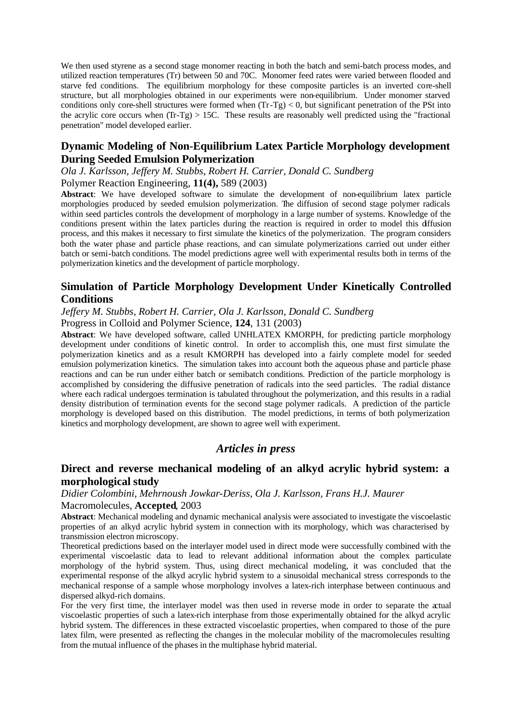We then used styrene as a second stage monomer reacting in both the batch and semi-batch process modes, and utilized reaction temperatures (Tr) between 50 and 70C. Monomer feed rates were varied between flooded and starve fed conditions. The equilibrium morphology for these composite particles is an inverted core-shell structure, but all morphologies obtained in our experiments were non-equilibrium. Under monomer starved conditions only core-shell structures were formed when  $(Tr-Tg) < 0$ , but significant penetration of the PSt into the acrylic core occurs when (Tr-Tg) > 15C. These results are reasonably well predicted using the "fractional penetration" model developed earlier.

### **Dynamic Modeling of Non-Equilibrium Latex Particle Morphology development During Seeded Emulsion Polymerization**

*Ola J. Karlsson, Jeffery M. Stubbs, Robert H. Carrier, Donald C. Sundberg*

Polymer Reaction Engineering, **11(4),** 589 (2003)

**Abstract**: We have developed software to simulate the development of non-equilibrium latex particle morphologies produced by seeded emulsion polymerization. The diffusion of second stage polymer radicals within seed particles controls the development of morphology in a large number of systems. Knowledge of the conditions present within the latex particles during the reaction is required in order to model this diffusion process, and this makes it necessary to first simulate the kinetics of the polymerization. The program considers both the water phase and particle phase reactions, and can simulate polymerizations carried out under either batch or semi-batch conditions. The model predictions agree well with experimental results both in terms of the polymerization kinetics and the development of particle morphology.

### **Simulation of Particle Morphology Development Under Kinetically Controlled Conditions**

*Jeffery M. Stubbs, Robert H. Carrier, Ola J. Karlsson, Donald C. Sundberg*

Progress in Colloid and Polymer Science, **124**, 131 (2003)

**Abstract**: We have developed software, called UNHLATEX KMORPH, for predicting particle morphology development under conditions of kinetic control. In order to accomplish this, one must first simulate the polymerization kinetics and as a result KMORPH has developed into a fairly complete model for seeded emulsion polymerization kinetics. The simulation takes into account both the aqueous phase and particle phase reactions and can be run under either batch or semibatch conditions. Prediction of the particle morphology is accomplished by considering the diffusive penetration of radicals into the seed particles. The radial distance where each radical undergoes termination is tabulated throughout the polymerization, and this results in a radial density distribution of termination events for the second stage polymer radicals. A prediction of the particle morphology is developed based on this distribution. The model predictions, in terms of both polymerization kinetics and morphology development, are shown to agree well with experiment.

### *Articles in press*

### **Direct and reverse mechanical modeling of an alkyd acrylic hybrid system: a morphological study**

*Didier Colombini, Mehrnoush Jowkar-Deriss, Ola J. Karlsson, Frans H.J. Maurer* Macromolecules, **Accepted**, 2003

**Abstract**: Mechanical modeling and dynamic mechanical analysis were associated to investigate the viscoelastic properties of an alkyd acrylic hybrid system in connection with its morphology, which was characterised by transmission electron microscopy.

Theoretical predictions based on the interlayer model used in direct mode were successfully combined with the experimental viscoelastic data to lead to relevant additional information about the complex particulate morphology of the hybrid system. Thus, using direct mechanical modeling, it was concluded that the experimental response of the alkyd acrylic hybrid system to a sinusoidal mechanical stress corresponds to the mechanical response of a sample whose morphology involves a latex-rich interphase between continuous and dispersed alkyd-rich domains.

For the very first time, the interlayer model was then used in reverse mode in order to separate the actual viscoelastic properties of such a latex-rich interphase from those experimentally obtained for the alkyd acrylic hybrid system. The differences in these extracted viscoelastic properties, when compared to those of the pure latex film, were presented as reflecting the changes in the molecular mobility of the macromolecules resulting from the mutual influence of the phases in the multiphase hybrid material.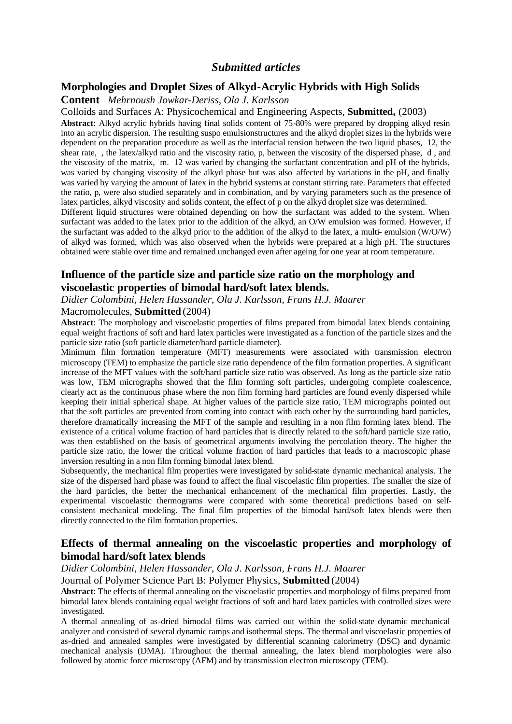### *Submitted articles*

### **Morphologies and Droplet Sizes of Alkyd-Acrylic Hybrids with High Solids**

**Content** *Mehrnoush Jowkar-Deriss, Ola J. Karlsson*

Colloids and Surfaces A: Physicochemical and Engineering Aspects, **Submitted,** (2003)

**Abstract**: Alkyd acrylic hybrids having final solids content of 75-80% were prepared by dropping alkyd resin into an acrylic dispersion. The resulting suspo emulsionstructures and the alkyd droplet sizes in the hybrids were dependent on the preparation procedure as well as the interfacial tension between the two liquid phases, 12, the shear rate, , the latex/alkyd ratio and the viscosity ratio, p, between the viscosity of the dispersed phase, d , and the viscosity of the matrix, m. 12 was varied by changing the surfactant concentration and pH of the hybrids, was varied by changing viscosity of the alkyd phase but was also affected by variations in the pH, and finally was varied by varying the amount of latex in the hybrid systems at constant stirring rate. Parameters that effected the ratio, p, were also studied separately and in combination, and by varying parameters such as the presence of latex particles, alkyd viscosity and solids content, the effect of p on the alkyd droplet size was determined.

Different liquid structures were obtained depending on how the surfactant was added to the system. When surfactant was added to the latex prior to the addition of the alkyd, an O/W emulsion was formed. However, if the surfactant was added to the alkyd prior to the addition of the alkyd to the latex, a multi- emulsion (W/O/W) of alkyd was formed, which was also observed when the hybrids were prepared at a high pH. The structures obtained were stable over time and remained unchanged even after ageing for one year at room temperature.

### **Influence of the particle size and particle size ratio on the morphology and viscoelastic properties of bimodal hard/soft latex blends.**

*Didier Colombini, Helen Hassander*, *Ola J. Karlsson, Frans H.J. Maurer* Macromolecules, **Submitted** (2004)

**Abstract**: The morphology and viscoelastic properties of films prepared from bimodal latex blends containing equal weight fractions of soft and hard latex particles were investigated as a function of the particle sizes and the particle size ratio (soft particle diameter/hard particle diameter).

Minimum film formation temperature (MFT) measurements were associated with transmission electron microscopy (TEM) to emphasize the particle size ratio dependence of the film formation properties. A significant increase of the MFT values with the soft/hard particle size ratio was observed. As long as the particle size ratio was low, TEM micrographs showed that the film forming soft particles, undergoing complete coalescence, clearly act as the continuous phase where the non film forming hard particles are found evenly dispersed while keeping their initial spherical shape. At higher values of the particle size ratio, TEM micrographs pointed out that the soft particles are prevented from coming into contact with each other by the surrounding hard particles, therefore dramatically increasing the MFT of the sample and resulting in a non film forming latex blend. The existence of a critical volume fraction of hard particles that is directly related to the soft/hard particle size ratio, was then established on the basis of geometrical arguments involving the percolation theory. The higher the particle size ratio, the lower the critical volume fraction of hard particles that leads to a macroscopic phase inversion resulting in a non film forming bimodal latex blend.

Subsequently, the mechanical film properties were investigated by solid-state dynamic mechanical analysis. The size of the dispersed hard phase was found to affect the final viscoelastic film properties. The smaller the size of the hard particles, the better the mechanical enhancement of the mechanical film properties. Lastly, the experimental viscoelastic thermograms were compared with some theoretical predictions based on selfconsistent mechanical modeling. The final film properties of the bimodal hard/soft latex blends were then directly connected to the film formation properties.

### **Effects of thermal annealing on the viscoelastic properties and morphology of bimodal hard/soft latex blends**

*Didier Colombini, Helen Hassander*, *Ola J. Karlsson, Frans H.J. Maurer* Journal of Polymer Science Part B: Polymer Physics, **Submitted** (2004)

**Abstract**: The effects of thermal annealing on the viscoelastic properties and morphology of films prepared from bimodal latex blends containing equal weight fractions of soft and hard latex particles with controlled sizes were investigated.

A thermal annealing of as-dried bimodal films was carried out within the solid-state dynamic mechanical analyzer and consisted of several dynamic ramps and isothermal steps. The thermal and viscoelastic properties of as-dried and annealed samples were investigated by differential scanning calorimetry (DSC) and dynamic mechanical analysis (DMA). Throughout the thermal annealing, the latex blend morphologies were also followed by atomic force microscopy (AFM) and by transmission electron microscopy (TEM).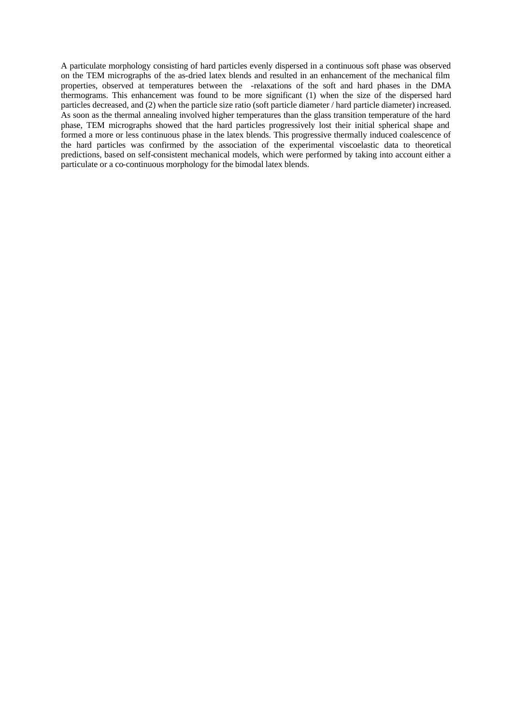A particulate morphology consisting of hard particles evenly dispersed in a continuous soft phase was observed on the TEM micrographs of the as-dried latex blends and resulted in an enhancement of the mechanical film properties, observed at temperatures between the -relaxations of the soft and hard phases in the DMA thermograms. This enhancement was found to be more significant (1) when the size of the dispersed hard particles decreased, and (2) when the particle size ratio (soft particle diameter / hard particle diameter) increased. As soon as the thermal annealing involved higher temperatures than the glass transition temperature of the hard phase, TEM micrographs showed that the hard particles progressively lost their initial spherical shape and formed a more or less continuous phase in the latex blends. This progressive thermally induced coalescence of the hard particles was confirmed by the association of the experimental viscoelastic data to theoretical predictions, based on self-consistent mechanical models, which were performed by taking into account either a particulate or a co-continuous morphology for the bimodal latex blends.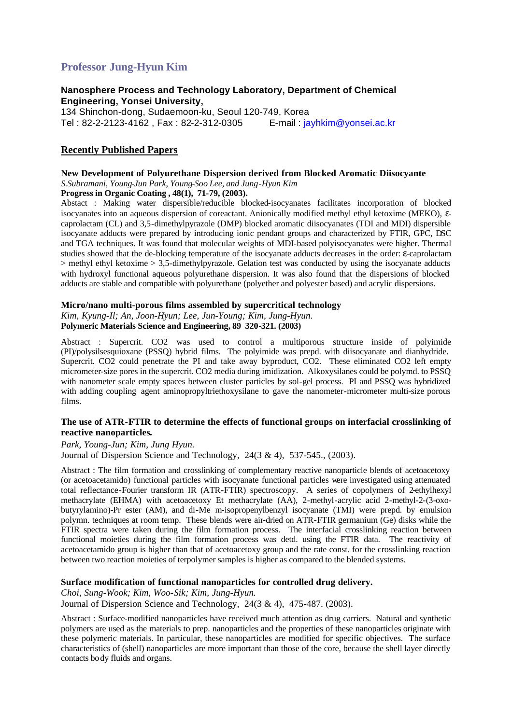### **Professor Jung-Hyun Kim**

**Nanosphere Process and Technology Laboratory, Department of Chemical Engineering, Yonsei University,** 

134 Shinchon-dong, Sudaemoon-ku, Seoul 120-749, Korea Tel : 82-2-2123-4162 , Fax : 82-2-312-0305 E-mail : jayhkim@yonsei.ac.kr

### **Recently Published Papers**

#### **New Development of Polyurethane Dispersion derived from Blocked Aromatic Diisocyante**

*S.Subramani, Young-Jun Park, Young-Soo Lee, and Jung-Hyun Kim*

**Progress in Organic Coating , 48(1), 71-79, (2003).**

Abstact : Making water dispersible/reducible blocked-isocyanates facilitates incorporation of blocked isocyanates into an aqueous dispersion of coreactant. Anionically modified methyl ethyl ketoxime (MEKO), εcaprolactam (CL) and 3,5-dimethylpyrazole (DMP) blocked aromatic diisocyanates (TDI and MDI) dispersible isocyanate adducts were prepared by introducing ionic pendant groups and characterized by FTIR, GPC, DSC and TGA techniques. It was found that molecular weights of MDI-based polyisocyanates were higher. Thermal studies showed that the de-blocking temperature of the isocyanate adducts decreases in the order: ε-caprolactam > methyl ethyl ketoxime > 3,5-dimethylpyrazole. Gelation test was conducted by using the isocyanate adducts with hydroxyl functional aqueous polyurethane dispersion. It was also found that the dispersions of blocked adducts are stable and compatible with polyurethane (polyether and polyester based) and acrylic dispersions.

#### **Micro/nano multi-porous films assembled by supercritical technology**

*Kim, Kyung-Il; An, Joon-Hyun; Lee, Jun-Young; Kim, Jung-Hyun.*

**Polymeric Materials Science and Engineering, 89 320-321. (2003)**

Abstract : Supercrit. CO2 was used to control a multiporous structure inside of polyimide (PI)/polysilsesquioxane (PSSQ) hybrid films. The polyimide was prepd. with diisocyanate and dianhydride. Supercrit. CO2 could penetrate the PI and take away byproduct, CO2. These eliminated CO2 left empty micrometer-size pores in the supercrit. CO2 media during imidization. Alkoxysilanes could be polymd. to PSSQ with nanometer scale empty spaces between cluster particles by sol-gel process. PI and PSSQ was hybridized with adding coupling agent aminopropyltriethoxysilane to gave the nanometer-micrometer multi-size porous films.

#### **The use of ATR-FTIR to determine the effects of functional groups on interfacial crosslinking of reactive nanoparticles.**

*Park, Young-Jun; Kim, Jung Hyun.*

Journal of Dispersion Science and Technology, 24(3 & 4), 537-545., (2003).

Abstract : The film formation and crosslinking of complementary reactive nanoparticle blends of acetoacetoxy (or acetoacetamido) functional particles with isocyanate functional particles were investigated using attenuated total reflectance-Fourier transform IR (ATR-FTIR) spectroscopy. A series of copolymers of 2-ethylhexyl methacrylate (EHMA) with acetoacetoxy Et methacrylate (AA), 2-methyl-acrylic acid 2-methyl-2-(3-oxobutyrylamino)-Pr ester (AM), and di-Me m-isopropenylbenzyl isocyanate (TMI) were prepd. by emulsion polymn. techniques at room temp. These blends were air-dried on ATR-FTIR germanium (Ge) disks while the FTIR spectra were taken during the film formation process. The interfacial crosslinking reaction between functional moieties during the film formation process was detd. using the FTIR data. The reactivity of acetoacetamido group is higher than that of acetoacetoxy group and the rate const. for the crosslinking reaction between two reaction moieties of terpolymer samples is higher as compared to the blended systems.

#### **Surface modification of functional nanoparticles for controlled drug delivery.**

*Choi, Sung-Wook; Kim, Woo-Sik; Kim, Jung-Hyun.* Journal of Dispersion Science and Technology, 24(3 & 4), 475-487. (2003).

Abstract : Surface-modified nanoparticles have received much attention as drug carriers. Natural and synthetic polymers are used as the materials to prep. nanoparticles and the properties of these nanoparticles originate with these polymeric materials. In particular, these nanoparticles are modified for specific objectives. The surface characteristics of (shell) nanoparticles are more important than those of the core, because the shell layer directly contacts body fluids and organs.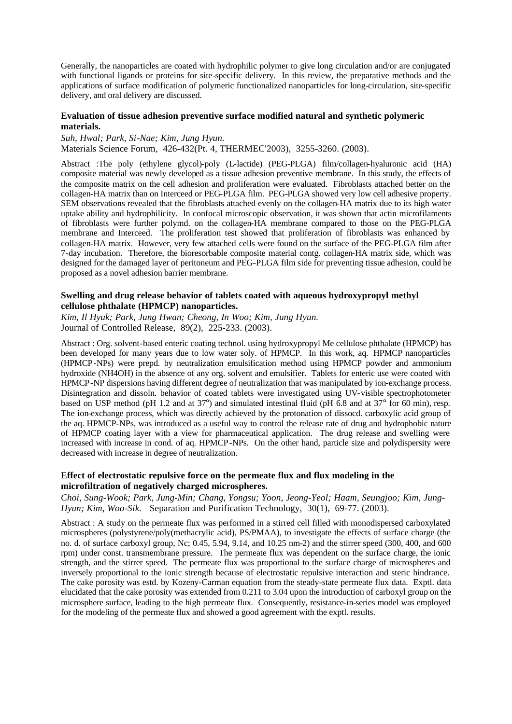Generally, the nanoparticles are coated with hydrophilic polymer to give long circulation and/or are conjugated with functional ligands or proteins for site-specific delivery. In this review, the preparative methods and the applications of surface modification of polymeric functionalized nanoparticles for long-circulation, site-specific delivery, and oral delivery are discussed.

#### **Evaluation of tissue adhesion preventive surface modified natural and synthetic polymeric materials.**

*Suh, Hwal; Park, Si-Nae; Kim, Jung Hyun.* Materials Science Forum, 426-432(Pt. 4, THERMEC'2003), 3255-3260. (2003).

Abstract :The poly (ethylene glycol)-poly (L-lactide) (PEG-PLGA) film/collagen-hyaluronic acid (HA) composite material was newly developed as a tissue adhesion preventive membrane. In this study, the effects of the composite matrix on the cell adhesion and proliferation were evaluated. Fibroblasts attached better on the collagen-HA matrix than on Interceed or PEG-PLGA film. PEG-PLGA showed very low cell adhesive property. SEM observations revealed that the fibroblasts attached evenly on the collagen-HA matrix due to its high water uptake ability and hydrophilicity. In confocal microscopic observation, it was shown that actin microfilaments of fibroblasts were further polymd. on the collagen-HA membrane compared to those on the PEG-PLGA membrane and Interceed. The proliferation test showed that proliferation of fibroblasts was enhanced by collagen-HA matrix. However, very few attached cells were found on the surface of the PEG-PLGA film after 7-day incubation. Therefore, the bioresorbable composite material contg. collagen-HA matrix side, which was designed for the damaged layer of peritoneum and PEG-PLGA film side for preventing tissue adhesion, could be proposed as a novel adhesion barrier membrane.

#### **Swelling and drug release behavior of tablets coated with aqueous hydroxypropyl methyl cellulose phthalate (HPMCP) nanoparticles.**

*Kim, Il Hyuk; Park, Jung Hwan; Cheong, In Woo; Kim, Jung Hyun.* Journal of Controlled Release, 89(2), 225-233. (2003).

Abstract : Org. solvent-based enteric coating technol. using hydroxypropyl Me cellulose phthalate (HPMCP) has been developed for many years due to low water soly. of HPMCP. In this work, aq. HPMCP nanoparticles (HPMCP-NPs) were prepd. by neutralization emulsification method using HPMCP powder and ammonium hydroxide (NH4OH) in the absence of any org. solvent and emulsifier. Tablets for enteric use were coated with HPMCP-NP dispersions having different degree of neutralization that was manipulated by ion-exchange process. Disintegration and dissoln. behavior of coated tablets were investigated using UV-visible spectrophotometer based on USP method (pH 1.2 and at 37**°**) and simulated intestinal fluid (pH 6.8 and at 37**°** for 60 min), resp. The ion-exchange process, which was directly achieved by the protonation of dissocd. carboxylic acid group of the aq. HPMCP-NPs, was introduced as a useful way to control the release rate of drug and hydrophobic nature of HPMCP coating layer with a view for pharmaceutical application. The drug release and swelling were increased with increase in cond. of aq. HPMCP-NPs. On the other hand, particle size and polydispersity were decreased with increase in degree of neutralization.

#### **Effect of electrostatic repulsive force on the permeate flux and flux modeling in the microfiltration of negatively charged microspheres.**

*Choi, Sung-Wook; Park, Jung-Min; Chang, Yongsu; Yoon, Jeong-Yeol; Haam, Seungjoo; Kim, Jung-Hyun; Kim, Woo-Sik.* Separation and Purification Technology, 30(1), 69-77. (2003).

Abstract : A study on the permeate flux was performed in a stirred cell filled with monodispersed carboxylated microspheres (polystyrene/poly(methacrylic acid), PS/PMAA), to investigate the effects of surface charge (the no. d. of surface carboxyl group, Nc; 0.45, 5.94, 9.14, and 10.25 nm-2) and the stirrer speed (300, 400, and 600 rpm) under const. transmembrane pressure. The permeate flux was dependent on the surface charge, the ionic strength, and the stirrer speed. The permeate flux was proportional to the surface charge of microspheres and inversely proportional to the ionic strength because of electrostatic repulsive interaction and steric hindrance. The cake porosity was estd. by Kozeny-Carman equation from the steady-state permeate flux data. Exptl. data elucidated that the cake porosity was extended from 0.211 to 3.04 upon the introduction of carboxyl group on the microsphere surface, leading to the high permeate flux. Consequently, resistance-in-series model was employed for the modeling of the permeate flux and showed a good agreement with the exptl. results.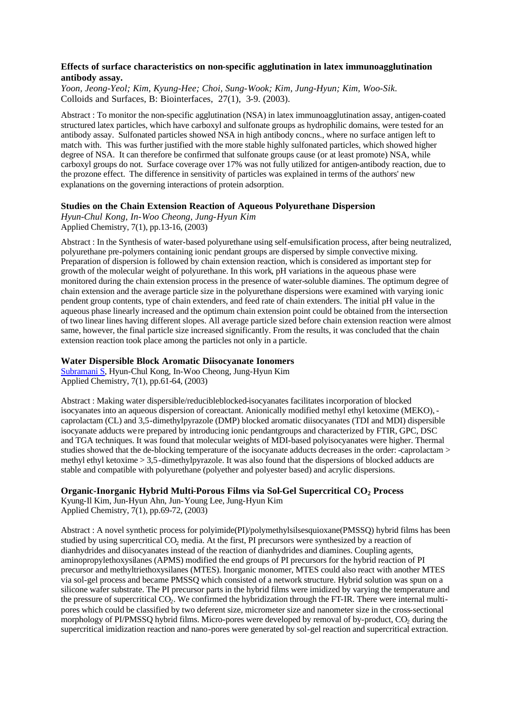#### **Effects of surface characteristics on non-specific agglutination in latex immunoagglutination antibody assay.**

*Yoon, Jeong-Yeol; Kim, Kyung-Hee; Choi, Sung-Wook; Kim, Jung-Hyun; Kim, Woo-Sik.* Colloids and Surfaces, B: Biointerfaces, 27(1), 3-9. (2003).

Abstract : To monitor the non-specific agglutination (NSA) in latex immunoagglutination assay, antigen-coated structured latex particles, which have carboxyl and sulfonate groups as hydrophilic domains, were tested for an antibody assay. Sulfonated particles showed NSA in high antibody concns., where no surface antigen left to match with. This was further justified with the more stable highly sulfonated particles, which showed higher degree of NSA. It can therefore be confirmed that sulfonate groups cause (or at least promote) NSA, while carboxyl groups do not. Surface coverage over 17% was not fully utilized for antigen-antibody reaction, due to the prozone effect. The difference in sensitivity of particles was explained in terms of the authors' new explanations on the governing interactions of protein adsorption.

#### **Studies on the Chain Extension Reaction of Aqueous Polyurethane Dispersion**

*Hyun-Chul Kong, In-Woo Cheong, Jung-Hyun Kim* Applied Chemistry, 7(1), pp.13-16, (2003)

Abstract : In the Synthesis of water-based polyurethane using self-emulsification process, after being neutralized, polyurethane pre-polymers containing ionic pendant groups are dispersed by simple convective mixing. Preparation of dispersion is followed by chain extension reaction, which is considered as important step for growth of the molecular weight of polyurethane. In this work, pH variations in the aqueous phase were monitored during the chain extension process in the presence of water-soluble diamines. The optimum degree of chain extension and the average particle size in the polyurethane dispersions were examined with varying ionic pendent group contents, type of chain extenders, and feed rate of chain extenders. The initial pH value in the aqueous phase linearly increased and the optimum chain extension point could be obtained from the intersection of two linear lines having different slopes. All average particle sized before chain extension reaction were almost same, however, the final particle size increased significantly. From the results, it was concluded that the chain extension reaction took place among the particles not only in a particle.

#### **Water Dispersible Block Aromatic Diisocyanate Ionomers**

Subramani S, Hyun-Chul Kong, In-Woo Cheong, Jung-Hyun Kim Applied Chemistry, 7(1), pp.61-64, (2003)

Abstract : Making water dispersible/reducibleblocked-isocyanates facilitates incorporation of blocked isocyanates into an aqueous dispersion of coreactant. Anionically modified methyl ethyl ketoxime (MEKO), caprolactam (CL) and 3,5-dimethylpyrazole (DMP) blocked aromatic diisocyanates (TDI and MDI) dispersible isocyanate adducts were prepared by introducing ionic pendantgroups and characterized by FTIR, GPC, DSC and TGA techniques. It was found that molecular weights of MDI-based polyisocyanates were higher. Thermal studies showed that the de-blocking temperature of the isocyanate adducts decreases in the order: -caprolactam > methyl ethyl ketoxime > 3,5-dimethylpyrazole. It was also found that the dispersions of blocked adducts are stable and compatible with polyurethane (polyether and polyester based) and acrylic dispersions.

#### **Organic-Inorganic Hybrid Multi-Porous Films via Sol-Gel Supercritical CO2 Process**

Kyung-Il Kim, Jun-Hyun Ahn, Jun-Young Lee, Jung-Hyun Kim Applied Chemistry, 7(1), pp.69-72, (2003)

Abstract : A novel synthetic process for polyimide(PI)/polymethylsilsesquioxane(PMSSQ) hybrid films has been studied by using supercritical  $CO<sub>2</sub>$  media. At the first, PI precursors were synthesized by a reaction of dianhydrides and diisocyanates instead of the reaction of dianhydrides and diamines. Coupling agents, aminopropylethoxysilanes (APMS) modified the end groups of PI precursors for the hybrid reaction of PI precursor and methyltriethoxysilanes (MTES). Inorganic monomer, MTES could also react with another MTES via sol-gel process and became PMSSQ which consisted of a network structure. Hybrid solution was spun on a silicone wafer substrate. The PI precursor parts in the hybrid films were imidized by varying the temperature and the pressure of supercritical  $CO<sub>2</sub>$ . We confirmed the hybridization through the FT-IR. There were internal multipores which could be classified by two deferent size, micrometer size and nanometer size in the cross-sectional morphology of PI/PMSSQ hybrid films. Micro-pores were developed by removal of by-product, CO<sub>2</sub> during the supercritical imidization reaction and nano-pores were generated by sol-gel reaction and supercritical extraction.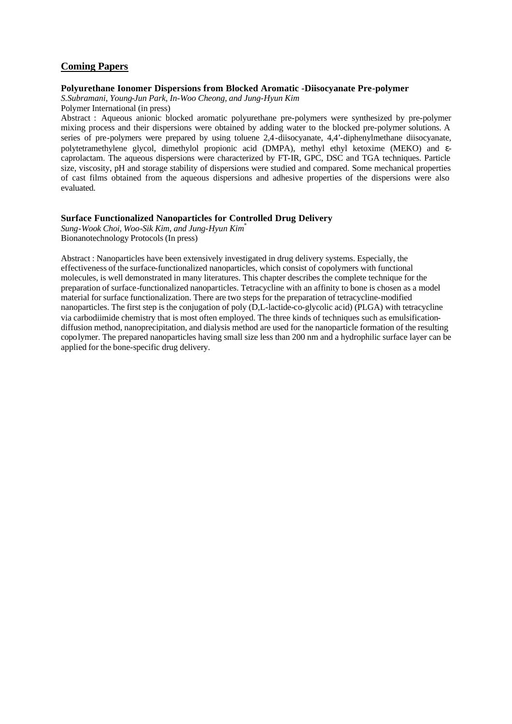#### **Coming Papers**

#### **Polyurethane Ionomer Dispersions from Blocked Aromatic -Diisocyanate Pre-polymer**

*S.Subramani, Young-Jun Park, In-Woo Cheong, and Jung-Hyun Kim*

Polymer International (in press)

Abstract : Aqueous anionic blocked aromatic polyurethane pre-polymers were synthesized by pre-polymer mixing process and their dispersions were obtained by adding water to the blocked pre-polymer solutions. A series of pre-polymers were prepared by using toluene 2,4-diisocyanate, 4,4'-diphenylmethane diisocyanate, polytetramethylene glycol, dimethylol propionic acid (DMPA), methyl ethyl ketoxime (MEKO) and εcaprolactam. The aqueous dispersions were characterized by FT-IR, GPC, DSC and TGA techniques. Particle size, viscosity, pH and storage stability of dispersions were studied and compared. Some mechanical properties of cast films obtained from the aqueous dispersions and adhesive properties of the dispersions were also evaluated.

#### **Surface Functionalized Nanoparticles for Controlled Drug Delivery**

*Sung-Wook Choi, Woo-Sik Kim, and Jung-Hyun Kim\** Bionanotechnology Protocols (In press)

Abstract : Nanoparticles have been extensively investigated in drug delivery systems. Especially, the effectiveness of the surface-functionalized nanoparticles, which consist of copolymers with functional molecules, is well demonstrated in many literatures. This chapter describes the complete technique for the preparation of surface-functionalized nanoparticles. Tetracycline with an affinity to bone is chosen as a model material for surface functionalization. There are two steps for the preparation of tetracycline-modified nanoparticles. The first step is the conjugation of poly (D,L-lactide-co-glycolic acid) (PLGA) with tetracycline via carbodiimide chemistry that is most often employed. The three kinds of techniques such as emulsificationdiffusion method, nanoprecipitation, and dialysis method are used for the nanoparticle formation of the resulting copolymer. The prepared nanoparticles having small size less than 200 nm and a hydrophilic surface layer can be applied for the bone-specific drug delivery.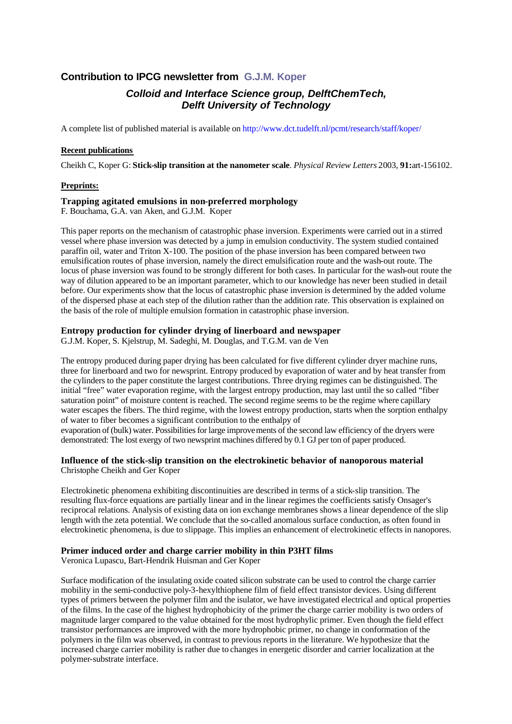### **Contribution to IPCG newsletter from G.J.M. Koper**

### *Colloid and Interface Science group, DelftChemTech, Delft University of Technology*

A complete list of published material is available on http://www.dct.tudelft.nl/pcmt/research/staff/koper/

#### **Recent publications**

Cheikh C, Koper G: **Stick-slip transition at the nanometer scale**. *Physical Review Letters* 2003, **91:**art-156102.

#### **Preprints:**

#### **Trapping agitated emulsions in non-preferred morphology**

F. Bouchama, G.A. van Aken, and G.J.M. Koper

This paper reports on the mechanism of catastrophic phase inversion. Experiments were carried out in a stirred vessel where phase inversion was detected by a jump in emulsion conductivity. The system studied contained paraffin oil, water and Triton X-100. The position of the phase inversion has been compared between two emulsification routes of phase inversion, namely the direct emulsification route and the wash-out route. The locus of phase inversion was found to be strongly different for both cases. In particular for the wash-out route the way of dilution appeared to be an important parameter, which to our knowledge has never been studied in detail before. Our experiments show that the locus of catastrophic phase inversion is determined by the added volume of the dispersed phase at each step of the dilution rather than the addition rate. This observation is explained on the basis of the role of multiple emulsion formation in catastrophic phase inversion.

#### **Entropy production for cylinder drying of linerboard and newspaper**

G.J.M. Koper, S. Kjelstrup, M. Sadeghi, M. Douglas, and T.G.M. van de Ven

The entropy produced during paper drying has been calculated for five different cylinder dryer machine runs, three for linerboard and two for newsprint. Entropy produced by evaporation of water and by heat transfer from the cylinders to the paper constitute the largest contributions. Three drying regimes can be distinguished. The initial "free" water evaporation regime, with the largest entropy production, may last until the so called "fiber saturation point" of moisture content is reached. The second regime seems to be the regime where capillary water escapes the fibers. The third regime, with the lowest entropy production, starts when the sorption enthalpy of water to fiber becomes a significant contribution to the enthalpy of

evaporation of (bulk) water. Possibilities for large improvements of the second law efficiency of the dryers were demonstrated: The lost exergy of two newsprint machines differed by 0.1 GJ per ton of paper produced.

#### **Influence of the stick-slip transition on the electrokinetic behavior of nanoporous material** Christophe Cheikh and Ger Koper

Electrokinetic phenomena exhibiting discontinuities are described in terms of a stick-slip transition. The resulting flux-force equations are partially linear and in the linear regimes the coefficients satisfy Onsager's reciprocal relations. Analysis of existing data on ion exchange membranes shows a linear dependence of the slip length with the zeta potential. We conclude that the so-called anomalous surface conduction, as often found in electrokinetic phenomena, is due to slippage. This implies an enhancement of electrokinetic effects in nanopores.

#### **Primer induced order and charge carrier mobility in thin P3HT films**

Veronica Lupascu, Bart-Hendrik Huisman and Ger Koper

Surface modification of the insulating oxide coated silicon substrate can be used to control the charge carrier mobility in the semi-conductive poly-3-hexylthiophene film of field effect transistor devices. Using different types of primers between the polymer film and the isulator, we have investigated electrical and optical properties of the films. In the case of the highest hydrophobicity of the primer the charge carrier mobility is two orders of magnitude larger compared to the value obtained for the most hydrophylic primer. Even though the field effect transistor performances are improved with the more hydrophobic primer, no change in conformation of the polymers in the film was observed, in contrast to previous reports in the literature. We hypothesize that the increased charge carrier mobility is rather due to changes in energetic disorder and carrier localization at the polymer-substrate interface.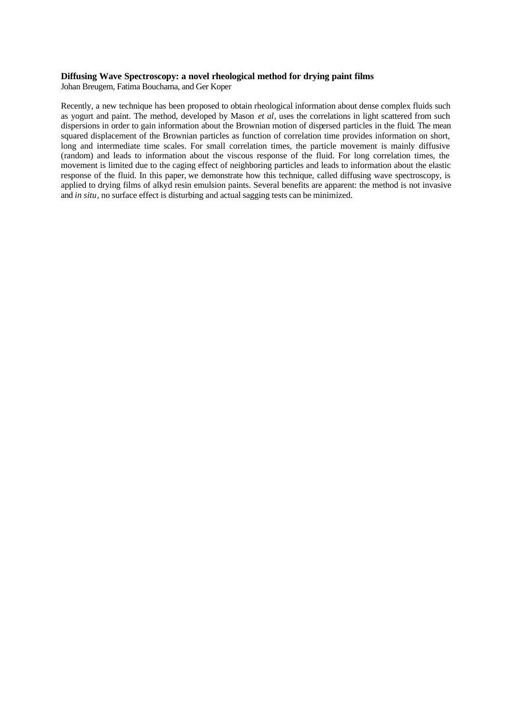### **Diffusing Wave Spectroscopy: a novel rheological method for drying paint films**

Johan Breugem, Fatima Bouchama, and Ger Koper

Recently, a new technique has been proposed to obtain rheological information about dense complex fluids such as yogurt and paint. The method, developed by Mason *et al*, uses the correlations in light scattered from such dispersions in order to gain information about the Brownian motion of dispersed particles in the fluid*.* The mean squared displacement of the Brownian particles as function of correlation time provides information on short, long and intermediate time scales. For small correlation times, the particle movement is mainly diffusive (random) and leads to information about the viscous response of the fluid. For long correlation times, the movement is limited due to the caging effect of neighboring particles and leads to information about the elastic response of the fluid. In this paper, we demonstrate how this technique, called diffusing wave spectroscopy, is applied to drying films of alkyd resin emulsion paints. Several benefits are apparent: the method is not invasive and *in situ*, no surface effect is disturbing and actual sagging tests can be minimized.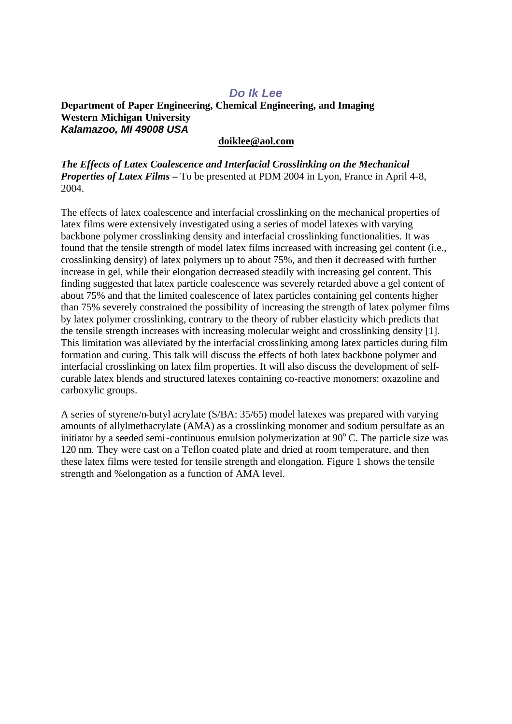### *Do Ik Lee*

**Department of Paper Engineering, Chemical Engineering, and Imaging Western Michigan University** *Kalamazoo, MI 49008 USA*

#### **doiklee@aol.com**

*The Effects of Latex Coalescence and Interfacial Crosslinking on the Mechanical Properties of Latex Films* – To be presented at PDM 2004 in Lyon, France in April 4-8, 2004.

The effects of latex coalescence and interfacial crosslinking on the mechanical properties of latex films were extensively investigated using a series of model latexes with varying backbone polymer crosslinking density and interfacial crosslinking functionalities. It was found that the tensile strength of model latex films increased with increasing gel content (i.e., crosslinking density) of latex polymers up to about 75%, and then it decreased with further increase in gel, while their elongation decreased steadily with increasing gel content. This finding suggested that latex particle coalescence was severely retarded above a gel content of about 75% and that the limited coalescence of latex particles containing gel contents higher than 75% severely constrained the possibility of increasing the strength of latex polymer films by latex polymer crosslinking, contrary to the theory of rubber elasticity which predicts that the tensile strength increases with increasing molecular weight and crosslinking density [1]. This limitation was alleviated by the interfacial crosslinking among latex particles during film formation and curing. This talk will discuss the effects of both latex backbone polymer and interfacial crosslinking on latex film properties. It will also discuss the development of selfcurable latex blends and structured latexes containing co-reactive monomers: oxazoline and carboxylic groups.

A series of styrene/n-butyl acrylate (S/BA: 35/65) model latexes was prepared with varying amounts of allylmethacrylate (AMA) as a crosslinking monomer and sodium persulfate as an initiator by a seeded semi-continuous emulsion polymerization at  $90^{\circ}$  C. The particle size was 120 nm. They were cast on a Teflon coated plate and dried at room temperature, and then these latex films were tested for tensile strength and elongation. Figure 1 shows the tensile strength and %elongation as a function of AMA level.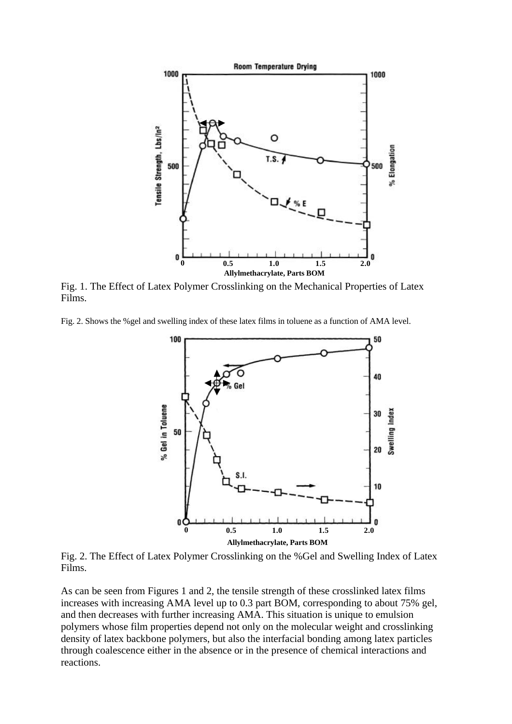

 $\overline{a}$ Fig. 1. The Effect of Latex Polymer Crosslinking on the Mechanical Properties of Latex Films.

Fig. 2. Shows the %gel and swelling index of these latex films in toluene as a function of AMA level.



Fig. 2. The Effect of Latex Polymer Crosslinking on the %Gel and Swelling Index of Latex Films.

As can be seen from Figures 1 and 2, the tensile strength of these crosslinked latex films increases with increasing AMA level up to 0.3 part BOM, corresponding to about 75% gel, and then decreases with further increasing AMA. This situation is unique to emulsion polymers whose film properties depend not only on the molecular weight and crosslinking density of latex backbone polymers, but also the interfacial bonding among latex particles through coalescence either in the absence or in the presence of chemical interactions and reactions.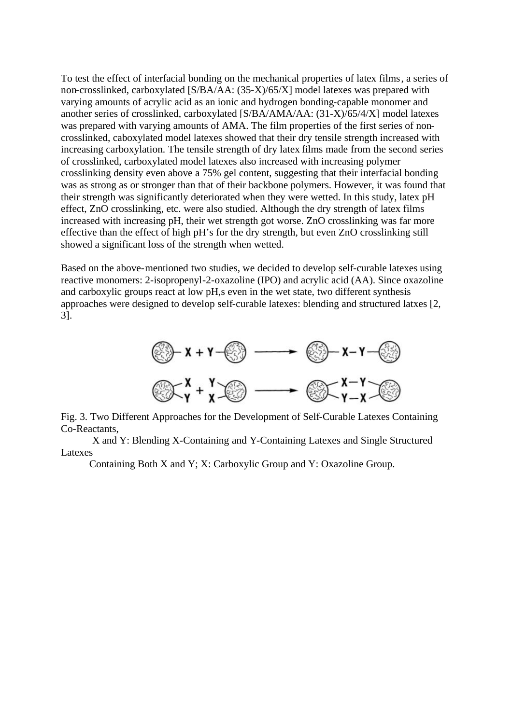To test the effect of interfacial bonding on the mechanical properties of latex films, a series of non-crosslinked, carboxylated [S/BA/AA: (35-X)/65/X] model latexes was prepared with varying amounts of acrylic acid as an ionic and hydrogen bonding-capable monomer and another series of crosslinked, carboxylated [S/BA/AMA/AA: (31-X)/65/4/X] model latexes was prepared with varying amounts of AMA. The film properties of the first series of noncrosslinked, caboxylated model latexes showed that their dry tensile strength increased with increasing carboxylation. The tensile strength of dry latex films made from the second series of crosslinked, carboxylated model latexes also increased with increasing polymer crosslinking density even above a 75% gel content, suggesting that their interfacial bonding was as strong as or stronger than that of their backbone polymers. However, it was found that their strength was significantly deteriorated when they were wetted. In this study, latex pH effect, ZnO crosslinking, etc. were also studied. Although the dry strength of latex films increased with increasing pH, their wet strength got worse. ZnO crosslinking was far more effective than the effect of high pH's for the dry strength, but even ZnO crosslinking still showed a significant loss of the strength when wetted.

Based on the above-mentioned two studies, we decided to develop self-curable latexes using reactive monomers: 2-isopropenyl-2-oxazoline (IPO) and acrylic acid (AA). Since oxazoline and carboxylic groups react at low pH,s even in the wet state, two different synthesis approaches were designed to develop self-curable latexes: blending and structured latxes [2, 3].



Fig. 3. Two Different Approaches for the Development of Self-Curable Latexes Containing Co-Reactants,

 X and Y: Blending X-Containing and Y-Containing Latexes and Single Structured Latexes

Containing Both X and Y; X: Carboxylic Group and Y: Oxazoline Group.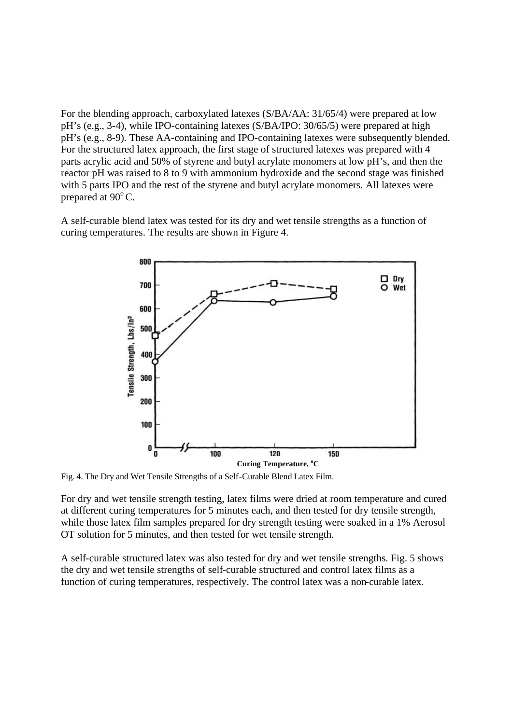For the blending approach, carboxylated latexes (S/BA/AA: 31/65/4) were prepared at low pH's (e.g., 3-4), while IPO-containing latexes (S/BA/IPO: 30/65/5) were prepared at high pH's (e.g., 8-9). These AA-containing and IPO-containing latexes were subsequently blended. For the structured latex approach, the first stage of structured latexes was prepared with 4 parts acrylic acid and 50% of styrene and butyl acrylate monomers at low pH's, and then the reactor pH was raised to 8 to 9 with ammonium hydroxide and the second stage was finished with 5 parts IPO and the rest of the styrene and butyl acrylate monomers. All latexes were prepared at  $90^{\circ}$ C.

A self-curable blend latex was tested for its dry and wet tensile strengths as a function of curing temperatures. The results are shown in Figure 4.



Fig. 4. The Dry and Wet Tensile Strengths of a Self-Curable Blend Latex Film.

For dry and wet tensile strength testing, latex films were dried at room temperature and cured at different curing temperatures for 5 minutes each, and then tested for dry tensile strength, while those latex film samples prepared for dry strength testing were soaked in a 1% Aerosol OT solution for 5 minutes, and then tested for wet tensile strength.

A self-curable structured latex was also tested for dry and wet tensile strengths. Fig. 5 shows the dry and wet tensile strengths of self-curable structured and control latex films as a function of curing temperatures, respectively. The control latex was a non-curable latex.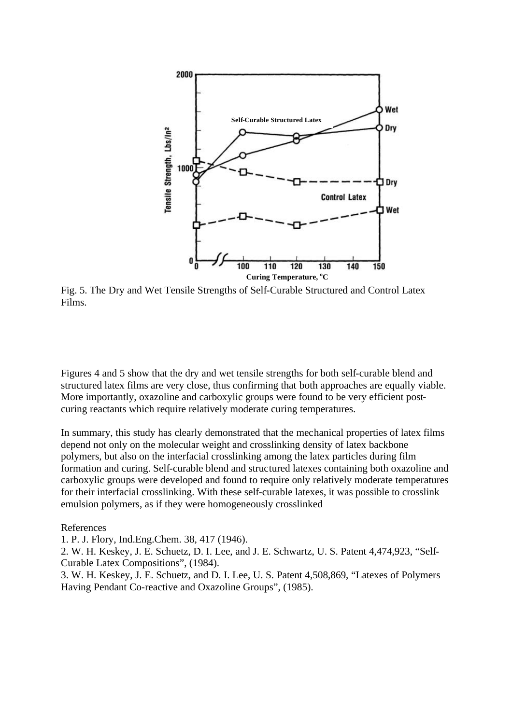

 $\overline{a}$ Fig. 5. The Dry and Wet Tensile Strengths of Self-Curable Structured and Control Latex Films.

Figures 4 and 5 show that the dry and wet tensile strengths for both self-curable blend and structured latex films are very close, thus confirming that both approaches are equally viable. More importantly, oxazoline and carboxylic groups were found to be very efficient postcuring reactants which require relatively moderate curing temperatures.

In summary, this study has clearly demonstrated that the mechanical properties of latex films depend not only on the molecular weight and crosslinking density of latex backbone polymers, but also on the interfacial crosslinking among the latex particles during film formation and curing. Self-curable blend and structured latexes containing both oxazoline and carboxylic groups were developed and found to require only relatively moderate temperatures for their interfacial crosslinking. With these self-curable latexes, it was possible to crosslink emulsion polymers, as if they were homogeneously crosslinked

#### References

1. P. J. Flory, Ind.Eng.Chem. 38, 417 (1946).

2. W. H. Keskey, J. E. Schuetz, D. I. Lee, and J. E. Schwartz, U. S. Patent 4,474,923, "Self-Curable Latex Compositions", (1984).

3. W. H. Keskey, J. E. Schuetz, and D. I. Lee, U. S. Patent 4,508,869, "Latexes of Polymers Having Pendant Co-reactive and Oxazoline Groups", (1985).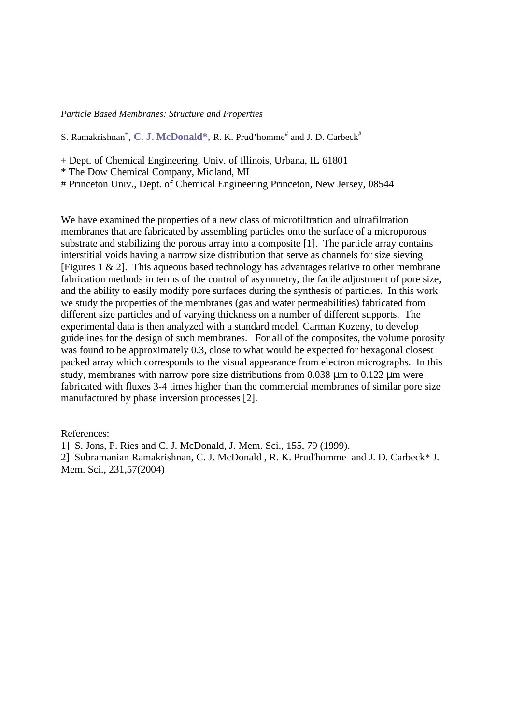#### *Particle Based Membranes: Structure and Properties*

S. Ramakrishnan<sup>+</sup>, C. J. McDonald<sup>\*</sup>, R. K. Prud'homme<sup>#</sup> and J. D. Carbeck<sup>#</sup>

- + Dept. of Chemical Engineering, Univ. of Illinois, Urbana, IL 61801
- \* The Dow Chemical Company, Midland, MI
- # Princeton Univ., Dept. of Chemical Engineering Princeton, New Jersey, 08544

We have examined the properties of a new class of microfiltration and ultrafiltration membranes that are fabricated by assembling particles onto the surface of a microporous substrate and stabilizing the porous array into a composite [1]. The particle array contains interstitial voids having a narrow size distribution that serve as channels for size sieving [Figures 1 & 2]. This aqueous based technology has advantages relative to other membrane fabrication methods in terms of the control of asymmetry, the facile adjustment of pore size, and the ability to easily modify pore surfaces during the synthesis of particles. In this work we study the properties of the membranes (gas and water permeabilities) fabricated from different size particles and of varying thickness on a number of different supports. The experimental data is then analyzed with a standard model, Carman Kozeny, to develop guidelines for the design of such membranes. For all of the composites, the volume porosity was found to be approximately 0.3, close to what would be expected for hexagonal closest packed array which corresponds to the visual appearance from electron micrographs. In this study, membranes with narrow pore size distributions from 0.038 μm to 0.122 μm were fabricated with fluxes 3-4 times higher than the commercial membranes of similar pore size manufactured by phase inversion processes [2].

References:

2] Subramanian Ramakrishnan, C. J. McDonald , R. K. Prud'homme and J. D. Carbeck\* J. Mem. Sci., 231,57(2004)

<sup>1]</sup> S. Jons, P. Ries and C. J. McDonald, J. Mem. Sci., 155, 79 (1999).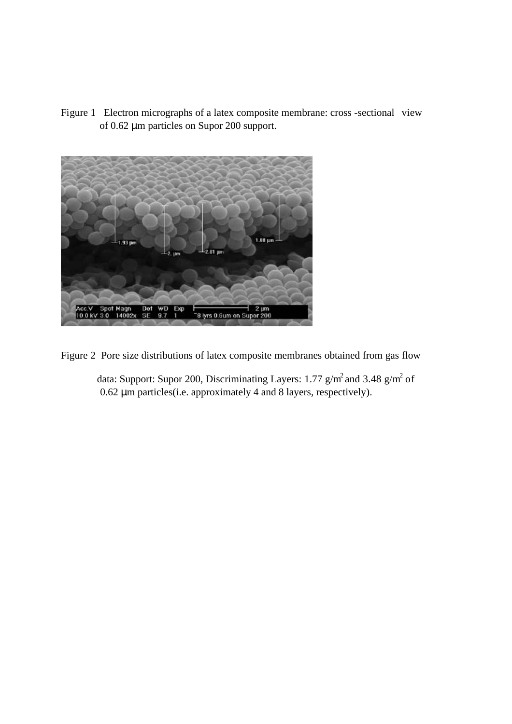Figure 1 Electron micrographs of a latex composite membrane: cross -sectional view of 0.62 μm particles on Supor 200 support.



Figure 2 Pore size distributions of latex composite membranes obtained from gas flow

data: Support: Supor 200, Discriminating Layers: 1.77  $g/m^2$  and 3.48  $g/m^2$  of 0.62 μm particles(i.e. approximately 4 and 8 layers, respectively).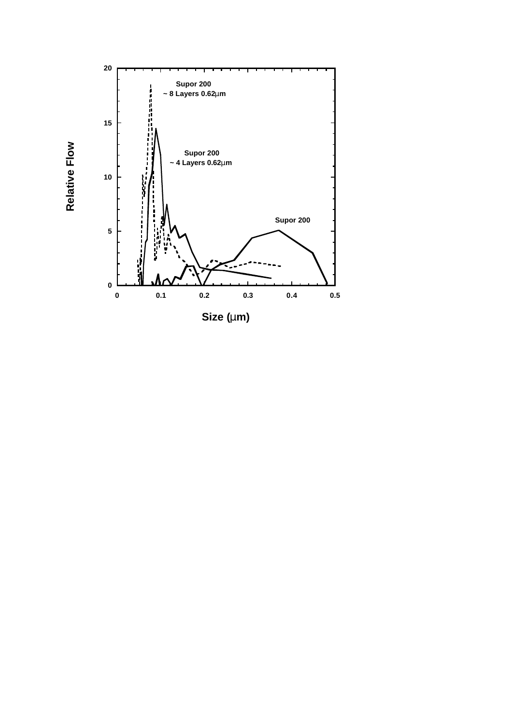

**Relative Flow**

**Size (mm)**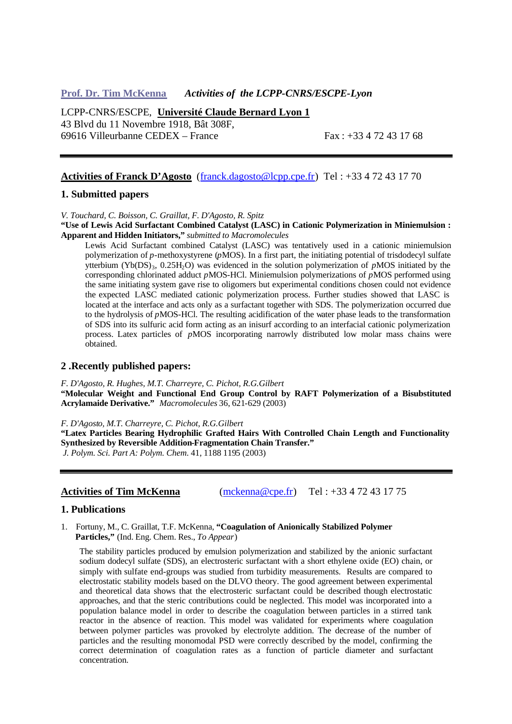#### **Prof. Dr. Tim McKenna** *Activities of the LCPP-CNRS/ESCPE-Lyon*

LCPP-CNRS/ESCPE, **Université Claude Bernard Lyon 1**

43 Blvd du 11 Novembre 1918, Bât 308F, 69616 Villeurbanne CEDEX – France Fax :  $+33,4,72,43,17,68$ 

### **Activities of Franck D'Agosto** (franck.dagosto@lcpp.cpe.fr) Tel : +33 4 72 43 17 70

#### **1. Submitted papers**

*V. Touchard, C. Boisson, C. Graillat, F. D'Agosto, R. Spitz*

**"Use of Lewis Acid Surfactant Combined Catalyst (LASC) in Cationic Polymerization in Miniemulsion : Apparent and Hidden Initiators,"** *submitted to Macromolecules*

Lewis Acid Surfactant combined Catalyst (LASC) was tentatively used in a cationic miniemulsion polymerization of *p*-methoxystyrene (*p*MOS). In a first part, the initiating potential of trisdodecyl sulfate ytterbium  $(Yb(DS)_3, 0.25H_2O)$  was evidenced in the solution polymerization of *pMOS* initiated by the corresponding chlorinated adduct *p*MOS-HCl. Miniemulsion polymerizations of *p*MOS performed using the same initiating system gave rise to oligomers but experimental conditions chosen could not evidence the expected LASC mediated cationic polymerization process. Further studies showed that LASC is located at the interface and acts only as a surfactant together with SDS. The polymerization occurred due to the hydrolysis of *p*MOS-HCl. The resulting acidification of the water phase leads to the transformation of SDS into its sulfuric acid form acting as an inisurf according to an interfacial cationic polymerization process. Latex particles of *p*MOS incorporating narrowly distributed low molar mass chains were obtained.

#### **2 .Recently published papers:**

*F. D'Agosto, R. Hughes, M.T. Charreyre, C. Pichot, R.G.Gilbert*  **"Molecular Weight and Functional End Group Control by RAFT Polymerization of a Bisubstituted Acrylamaide Derivative."** *Macromolecules* 36, 621-629 (2003)

*F. D'Agosto, M.T. Charreyre, C. Pichot, R.G.Gilbert* **"Latex Particles Bearing Hydrophilic Grafted Hairs With Controlled Chain Length and Functionality Synthesized by Reversible Addition-Fragmentation Chain Transfer."** *J. Polym. Sci. Part A: Polym. Chem.* 41, 1188 1195 (2003)

**Activities of Tim McKenna** (mckenna@cpe.fr) Tel: +33 4 72 43 17 75

#### **1. Publications**

1. Fortuny, M., C. Graillat, T.F. McKenna, **"Coagulation of Anionically Stabilized Polymer Particles,"** (Ind. Eng. Chem. Res., *To Appear*)

The stability particles produced by emulsion polymerization and stabilized by the anionic surfactant sodium dodecyl sulfate (SDS), an electrosteric surfactant with a short ethylene oxide (EO) chain, or simply with sulfate end-groups was studied from turbidity measurements. Results are compared to electrostatic stability models based on the DLVO theory. The good agreement between experimental and theoretical data shows that the electrosteric surfactant could be described though electrostatic approaches, and that the steric contributions could be neglected. This model was incorporated into a population balance model in order to describe the coagulation between particles in a stirred tank reactor in the absence of reaction. This model was validated for experiments where coagulation between polymer particles was provoked by electrolyte addition. The decrease of the number of particles and the resulting monomodal PSD were correctly described by the model, confirming the correct determination of coagulation rates as a function of particle diameter and surfactant concentration.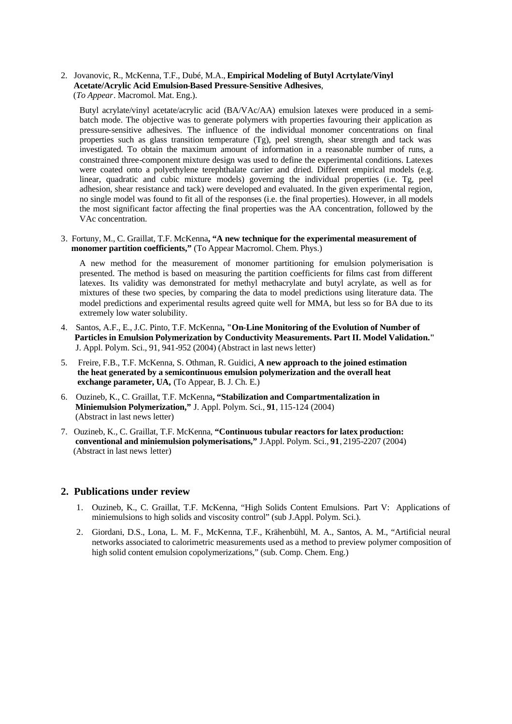#### 2. Jovanovic, R., McKenna, T.F., Dubé, M.A., **Empirical Modeling of Butyl Acrtylate/Vinyl Acetate/Acrylic Acid Emulsion-Based Pressure-Sensitive Adhesives**, (*To Appear*. Macromol. Mat. Eng.).

Butyl acrylate/vinyl acetate/acrylic acid (BA/VAc/AA) emulsion latexes were produced in a semibatch mode. The objective was to generate polymers with properties favouring their application as pressure-sensitive adhesives. The influence of the individual monomer concentrations on final properties such as glass transition temperature (Tg), peel strength, shear strength and tack was investigated. To obtain the maximum amount of information in a reasonable number of runs, a constrained three-component mixture design was used to define the experimental conditions. Latexes were coated onto a polyethylene terephthalate carrier and dried. Different empirical models (e.g. linear, quadratic and cubic mixture models) governing the individual properties (i.e. Tg, peel adhesion, shear resistance and tack) were developed and evaluated. In the given experimental region, no single model was found to fit all of the responses (i.e. the final properties). However, in all models the most significant factor affecting the final properties was the AA concentration, followed by the VAc concentration.

3. Fortuny, M., C. Graillat, T.F. McKenna**, "A new technique for the experimental measurement of monomer partition coefficients,"** (To Appear Macromol. Chem. Phys.)

A new method for the measurement of monomer partitioning for emulsion polymerisation is presented. The method is based on measuring the partition coefficients for films cast from different latexes. Its validity was demonstrated for methyl methacrylate and butyl acrylate, as well as for mixtures of these two species, by comparing the data to model predictions using literature data. The model predictions and experimental results agreed quite well for MMA, but less so for BA due to its extremely low water solubility.

- 4. Santos, A.F., E., J.C. Pinto, T.F. McKenna**, "On-Line Monitoring of the Evolution of Number of Particles in Emulsion Polymerization by Conductivity Measurements. Part II. Model Validation."**  J. Appl. Polym. Sci., 91, 941-952 (2004) (Abstract in last news letter)
- 5. Freire, F.B., T.F. McKenna, S. Othman, R. Guidici, **A new approach to the joined estimation the heat generated by a semicontinuous emulsion polymerization and the overall heat exchange parameter, UA,** (To Appear, B. J. Ch. E.)
- 6. Ouzineb, K., C. Graillat, T.F. McKenna**, "Stabilization and Compartmentalization in Miniemulsion Polymerization,"** J. Appl. Polym. Sci., **91**, 115-124 (2004) (Abstract in last news letter)
- 7. Ouzineb, K., C. Graillat, T.F. McKenna, **"Continuous tubular reactors for latex production: conventional and miniemulsion polymerisations,"** J.Appl. Polym. Sci., **91**, 2195-2207 (2004) (Abstract in last news letter)

#### **2. Publications under review**

- 1. Ouzineb, K., C. Graillat, T.F. McKenna, "High Solids Content Emulsions. Part V: Applications of miniemulsions to high solids and viscosity control" (sub J.Appl. Polym. Sci.).
- 2. Giordani, D.S., Lona, L. M. F., McKenna, T.F., Krähenbühl, M. A., Santos, A. M., "Artificial neural networks associated to calorimetric measurements used as a method to preview polymer composition of high solid content emulsion copolymerizations," (sub. Comp. Chem. Eng.)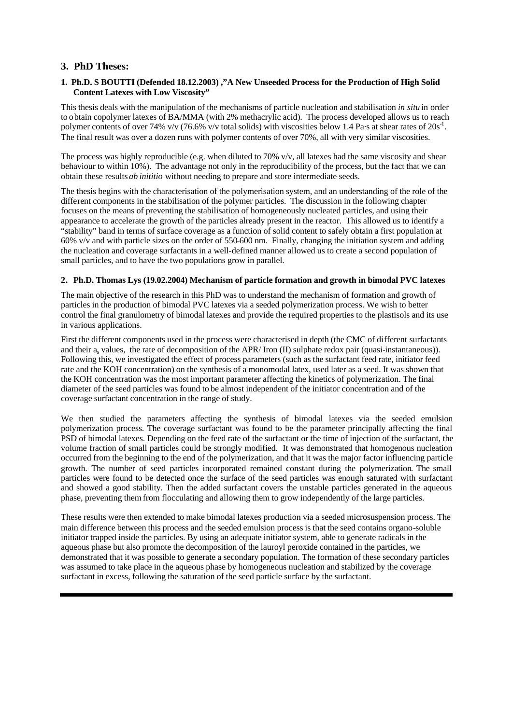### **3. PhD Theses:**

#### **1. Ph.D. S BOUTTI (Defended 18.12.2003) ,"A New Unseeded Process for the Production of High Solid Content Latexes with Low Viscosity"**

This thesis deals with the manipulation of the mechanisms of particle nucleation and stabilisation *in situ* in order to obtain copolymer latexes of BA/MMA (with 2% methacrylic acid). The process developed allows us to reach polymer contents of over 74% v/v (76.6% v/v total solids) with viscosities below 1.4 Pa·s at shear rates of  $20s^1$ . The final result was over a dozen runs with polymer contents of over 70%, all with very similar viscosities.

The process was highly reproducible (e.g. when diluted to 70%  $v/v$ , all latexes had the same viscosity and shear behaviour to within 10%). The advantage not only in the reproducibility of the process, but the fact that we can obtain these results *ab inititio* without needing to prepare and store intermediate seeds.

The thesis begins with the characterisation of the polymerisation system, and an understanding of the role of the different components in the stabilisation of the polymer particles. The discussion in the following chapter focuses on the means of preventing the stabilisation of homogeneously nucleated particles, and using their appearance to accelerate the growth of the particles already present in the reactor. This allowed us to identify a "stability" band in terms of surface coverage as a function of solid content to safely obtain a first population at 60% v/v and with particle sizes on the order of 550-600 nm. Finally, changing the initiation system and adding the nucleation and coverage surfactants in a well-defined manner allowed us to create a second population of small particles, and to have the two populations grow in parallel.

#### **2. Ph.D. Thomas Lys (19.02.2004) Mechanism of particle formation and growth in bimodal PVC latexes**

The main objective of the research in this PhD was to understand the mechanism of formation and growth of particles in the production of bimodal PVC latexes via a seeded polymerization process. We wish to better control the final granulometry of bimodal latexes and provide the required properties to the plastisols and its use in various applications.

First the different components used in the process were characterised in depth (the CMC of different surfactants and their a<sub>s</sub> values, the rate of decomposition of the APR/Iron (II) sulphate redox pair (quasi-instantaneous)). Following this, we investigated the effect of process parameters (such as the surfactant feed rate, initiator feed rate and the KOH concentration) on the synthesis of a monomodal latex, used later as a seed. It was shown that the KOH concentration was the most important parameter affecting the kinetics of polymerization. The final diameter of the seed particles was found to be almost independent of the initiator concentration and of the coverage surfactant concentration in the range of study.

We then studied the parameters affecting the synthesis of bimodal latexes via the seeded emulsion polymerization process. The coverage surfactant was found to be the parameter principally affecting the final PSD of bimodal latexes. Depending on the feed rate of the surfactant or the time of injection of the surfactant, the volume fraction of small particles could be strongly modified. It was demonstrated that homogenous nucleation occurred from the beginning to the end of the polymerization, and that it was the major factor influencing particle growth. The number of seed particles incorporated remained constant during the polymerization. The small particles were found to be detected once the surface of the seed particles was enough saturated with surfactant and showed a good stability. Then the added surfactant covers the unstable particles generated in the aqueous phase, preventing them from flocculating and allowing them to grow independently of the large particles.

These results were then extended to make bimodal latexes production via a seeded microsuspension process. The main difference between this process and the seeded emulsion process is that the seed contains organo-soluble initiator trapped inside the particles. By using an adequate initiator system, able to generate radicals in the aqueous phase but also promote the decomposition of the lauroyl peroxide contained in the particles, we demonstrated that it was possible to generate a secondary population. The formation of these secondary particles was assumed to take place in the aqueous phase by homogeneous nucleation and stabilized by the coverage surfactant in excess, following the saturation of the seed particle surface by the surfactant.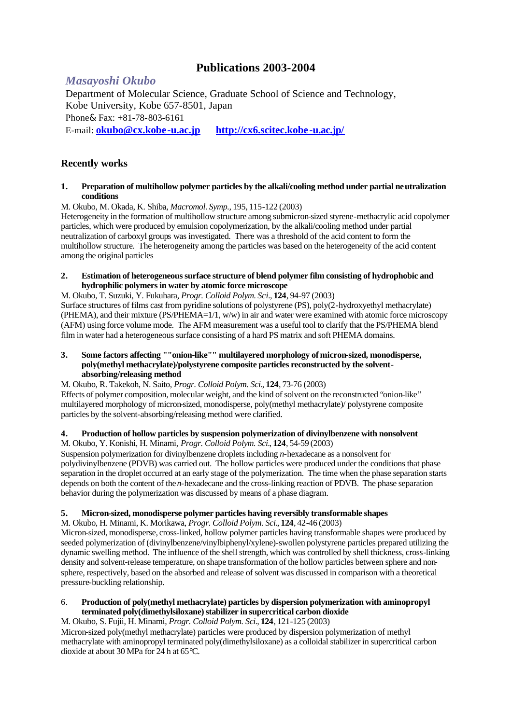### **Publications 2003-2004**

*Masayoshi Okubo* Department of Molecular Science, Graduate School of Science and Technology, Kobe University, Kobe 657-8501, Japan Phone& Fax: +81-78-803-6161 E-mail: **okubo@cx.kobe-u.ac.jp http://cx6.scitec.kobe-u.ac.jp/**

### **Recently works**

#### **1. Preparation of multihollow polymer particles by the alkali/cooling method under partial neutralization conditions**

M. Okubo, M. Okada, K. Shiba, *Macromol. Symp.,* 195, 115-122 (2003)

Heterogeneity in the formation of multihollow structure among submicron-sized styrene-methacrylic acid copolymer particles, which were produced by emulsion copolymerization, by the alkali/cooling method under partial neutralization of carboxyl groups was investigated. There was a threshold of the acid content to form the multihollow structure. The heterogeneity among the particles was based on the heterogeneity of the acid content among the original particles

**2. Estimation of heterogeneous surface structure of blend polymer film consisting of hydrophobic and hydrophilic polymers in water by atomic force microscope**

M. Okubo, T. Suzuki, Y. Fukuhara, *Progr. Colloid Polym. Sci.*, **124**, 94-97 (2003)

Surface structures of films cast from pyridine solutions of polystyrene (PS), poly(2-hydroxyethyl methacrylate) (PHEMA), and their mixture (PS/PHEMA=1/1, w/w) in air and water were examined with atomic force microscopy (AFM) using force volume mode. The AFM measurement was a useful tool to clarify that the PS/PHEMA blend film in water had a heterogeneous surface consisting of a hard PS matrix and soft PHEMA domains.

**3. Some factors affecting ""onion-like"" multilayered morphology of micron-sized, monodisperse, poly(methyl methacrylate)/polystyrene composite particles reconstructed by the solventabsorbing/releasing method**

M. Okubo, R. Takekoh, N. Saito, *Progr. Colloid Polym. Sci.*, **124**, 73-76 (2003) Effects of polymer composition, molecular weight, and the kind of solvent on the reconstructed "onion-like" multilayered morphology of micron-sized, monodisperse, poly(methyl methacrylate)/ polystyrene composite particles by the solvent-absorbing/releasing method were clarified.

### **4. Production of hollow particles by suspension polymerization of divinylbenzene with nonsolvent**

M. Okubo, Y. Konishi, H. Minami, *Progr. Colloid Polym. Sci.*, **124**, 54-59 (2003)

Suspension polymerization for divinylbenzene droplets including *n*-hexadecane as a nonsolvent for polydivinylbenzene (PDVB) was carried out. The hollow particles were produced under the conditions that phase separation in the droplet occurred at an early stage of the polymerization. The time when the phase separation starts depends on both the content of the *n*-hexadecane and the cross-linking reaction of PDVB. The phase separation behavior during the polymerization was discussed by means of a phase diagram.

### **5. Micron-sized, monodisperse polymer particles having reversibly transformable shapes**

M. Okubo, H. Minami, K. Morikawa, *Progr. Colloid Polym. Sci.*, **124**, 42-46 (2003)

Micron-sized, monodisperse, cross-linked, hollow polymer particles having transformable shapes were produced by seeded polymerization of (divinylbenzene/vinylbiphenyl/xylene)-swollen polystyrene particles prepared utilizing the dynamic swelling method. The influence of the shell strength, which was controlled by shell thickness, cross-linking density and solvent-release temperature, on shape transformation of the hollow particles between sphere and nonsphere, respectively, based on the absorbed and release of solvent was discussed in comparison with a theoretical pressure-buckling relationship.

#### 6. **Production of poly(methyl methacrylate) particles by dispersion polymerization with aminopropyl terminated poly(dimethylsiloxane) stabilizer in supercritical carbon dioxide**

M. Okubo, S. Fujii, H. Minami, *Progr. Colloid Polym. Sci.*, **124**, 121-125 (2003)

Micron-sized poly(methyl methacrylate) particles were produced by dispersion polymerization of methyl methacrylate with aminopropyl terminated poly(dimethylsiloxane) as a colloidal stabilizer in supercritical carbon dioxide at about 30 MPa for 24 h at 65°C.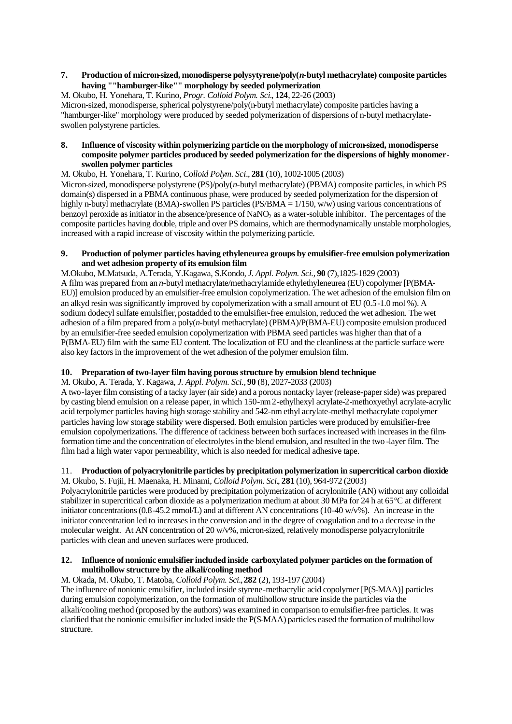#### **7. Production of micron-sized, monodisperse polysytyrene/poly(***n***-butyl methacrylate) composite particles having ""hamburger-like"" morphology by seeded polymerization**

M. Okubo, H. Yonehara, T. Kurino, *Progr. Colloid Polym. Sci.*, **124**, 22-26 (2003) Micron-sized, monodisperse, spherical polystyrene/poly(n-butyl methacrylate) composite particles having a "hamburger-like" morphology were produced by seeded polymerization of dispersions of n-butyl methacrylateswollen polystyrene particles.

#### **8. Influence of viscosity within polymerizing particle on the morphology of micron-sized, monodisperse composite polymer particles produced by seeded polymerization for the dispersions of highly monomerswollen polymer particles**

M. Okubo, H. Yonehara, T. Kurino, *Colloid Polym. Sci.*, **281** (10), 1002-1005 (2003)

Micron-sized, monodisperse polystyrene (PS)/poly(*n*-butyl methacrylate) (PBMA) composite particles, in which PS domain(s) dispersed in a PBMA continuous phase, were produced by seeded polymerization for the dispersion of highly n-butyl methacrylate (BMA)-swollen PS particles (PS/BMA = 1/150, w/w) using various concentrations of benzoyl peroxide as initiator in the absence/presence of NaNO<sub>2</sub> as a water-soluble inhibitor. The percentages of the composite particles having double, triple and over PS domains, which are thermodynamically unstable morphologies, increased with a rapid increase of viscosity within the polymerizing particle.

#### **9. Production of polymer particles having ethyleneurea groups by emulsifier-free emulsion polymerization and wet adhesion property of its emulsion film**

M.Okubo, M.Matsuda, A.Terada, Y.Kagawa, S.Kondo, *J. Appl. Polym. Sci.,* **90** (7),1825-1829 (2003) A film was prepared from an *n*-butyl methacrylate/methacrylamide ethylethyleneurea (EU) copolymer [P(BMA-EU)] emulsion produced by an emulsifier-free emulsion copolymerization. The wet adhesion of the emulsion film on an alkyd resin was significantly improved by copolymerization with a small amount of EU (0.5-1.0 mol %). A sodium dodecyl sulfate emulsifier, postadded to the emulsifier-free emulsion, reduced the wet adhesion. The wet adhesion of a film prepared from a poly(*n*-butyl methacrylate) (PBMA)/P(BMA-EU) composite emulsion produced by an emulsifier-free seeded emulsion copolymerization with PBMA seed particles was higher than that of a P(BMA-EU) film with the same EU content. The localization of EU and the cleanliness at the particle surface were also key factors in the improvement of the wet adhesion of the polymer emulsion film.

#### **10. Preparation of two-layer film having porous structure by emulsion blend technique**

M. Okubo, A. Terada, Y. Kagawa, *J. Appl. Polym. Sci.,* **90** (8), 2027-2033 (2003)

A two-layer film consisting of a tacky layer (air side) and a porous nontacky layer (release-paper side) was prepared by casting blend emulsion on a release paper, in which 150-nm 2-ethylhexyl acrylate-2-methoxyethyl acrylate-acrylic acid terpolymer particles having high storage stability and 542-nm ethyl acrylate-methyl methacrylate copolymer particles having low storage stability were dispersed. Both emulsion particles were produced by emulsifier-free emulsion copolymerizations. The difference of tackiness between both surfaces increased with increases in the filmformation time and the concentration of electrolytes in the blend emulsion, and resulted in the two -layer film. The film had a high water vapor permeability, which is also needed for medical adhesive tape.

### 11. **Production of polyacrylonitrile particles by precipitation polymerization in supercritical carbon dioxide**

M. Okubo, S. Fujii, H. Maenaka, H. Minami, *Colloid Polym. Sci.*, **281** (10), 964-972 (2003) Polyacrylonitrile particles were produced by precipitation polymerization of acrylonitrile (AN) without any colloidal stabilizer in supercritical carbon dioxide as a polymerization medium at about 30 MPa for 24 h at 65°C at different initiator concentrations (0.8-45.2 mmol/L) and at different AN concentrations (10-40 w/v%). An increase in the initiator concentration led to increases in the conversion and in the degree of coagulation and to a decrease in the molecular weight. At AN concentration of 20 w/v%, micron-sized, relatively monodisperse polyacrylonitrile particles with clean and uneven surfaces were produced.

#### **12. Influence of nonionic emulsifier included inside carboxylated polymer particles on the formation of multihollow structure by the alkali/cooling method**

#### M. Okada, M. Okubo, T. Matoba, *Colloid Polym. Sci.*, **282** (2), 193-197 (2004)

The influence of nonionic emulsifier, included inside styrene-methacrylic acid copolymer [P(S-MAA)] particles during emulsion copolymerization, on the formation of multihollow structure inside the particles via the alkali/cooling method (proposed by the authors) was examined in comparison to emulsifier-free particles. It was clarified that the nonionic emulsifier included inside the P(S-MAA) particles eased the formation of multihollow structure.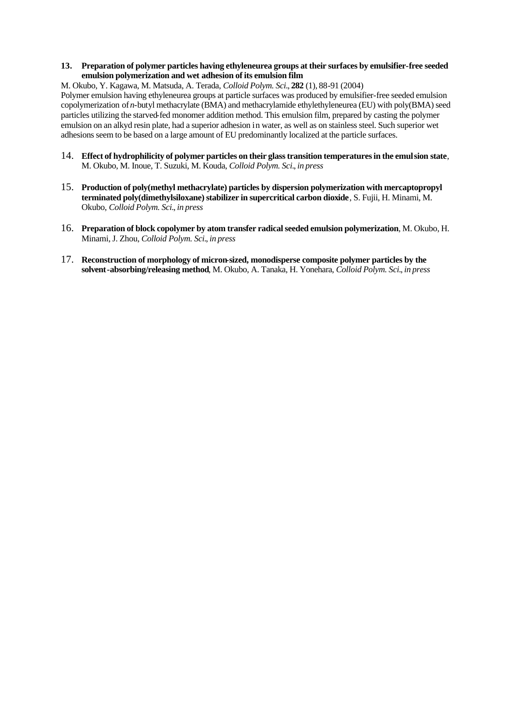#### **13. Preparation of polymer particles having ethyleneurea groups at their surfaces by emulsifier-free seeded emulsion polymerization and wet adhesion of its emulsion film**

M. Okubo, Y. Kagawa, M. Matsuda, A. Terada, *Colloid Polym. Sci.*, **282** (1), 88-91 (2004) Polymer emulsion having ethyleneurea groups at particle surfaces was produced by emulsifier-free seeded emulsion copolymerization of *n*-butyl methacrylate (BMA) and methacrylamide ethylethyleneurea (EU) with poly(BMA) seed particles utilizing the starved-fed monomer addition method. This emulsion film, prepared by casting the polymer emulsion on an alkyd resin plate, had a superior adhesion in water, as well as on stainless steel. Such superior wet adhesions seem to be based on a large amount of EU predominantly localized at the particle surfaces.

- 14. **Effect of hydrophilicity of polymer particles on their glass transition temperatures in the emulsion state**, M. Okubo, M. Inoue, T. Suzuki, M. Kouda, *Colloid Polym. Sci.*, *in press*
- 15. **Production of poly(methyl methacrylate) particles by dispersion polymerization with mercaptopropyl terminated poly(dimethylsiloxane) stabilizer in supercritical carbon dioxide**, S. Fujii, H. Minami, M. Okubo, *Colloid Polym. Sci.*, *in press*
- 16. **Preparation of block copolymer by atom transfer radical seeded emulsion polymerization**, M. Okubo, H. Minami, J. Zhou, *Colloid Polym. Sci.*, *in press*
- 17. **Reconstruction of morphology of micron-sized, monodisperse composite polymer particles by the solvent-absorbing/releasing method**, M. Okubo, A. Tanaka, H. Yonehara, *Colloid Polym. Sci.*, *in press*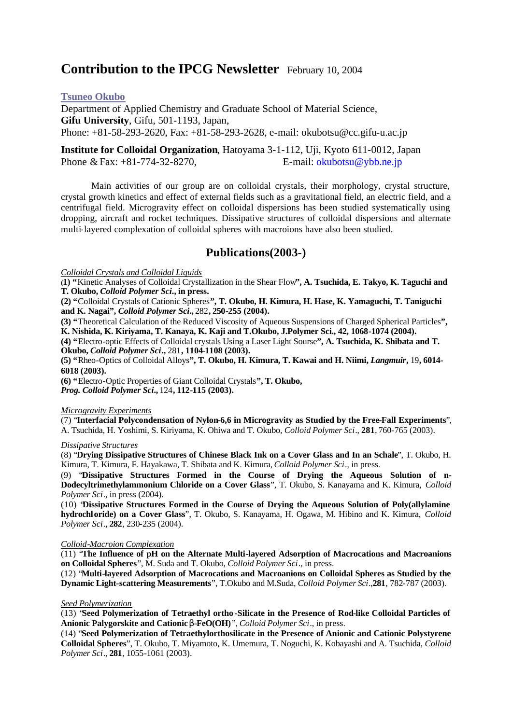### **Contribution to the IPCG Newsletter** February 10, 2004

#### **Tsuneo Okubo**

Department of Applied Chemistry and Graduate School of Material Science, **Gifu University**, Gifu, 501-1193, Japan, Phone: +81-58-293-2620, Fax: +81-58-293-2628, e-mail: okubotsu@cc.gifu-u.ac.jp

**Institute for Colloidal Organization**, Hatoyama 3-1-112, Uji, Kyoto 611-0012, Japan Phone  $\&$  Fax:  $+81-774-32-8270$ , E-mail: okubotsu@ybb.ne.jp

Main activities of our group are on colloidal crystals, their morphology, crystal structure, crystal growth kinetics and effect of external fields such as a gravitational field, an electric field, and a centrifugal field. Microgravity effect on colloidal dispersions has been studied systematically using dropping, aircraft and rocket techniques. Dissipative structures of colloidal dispersions and alternate multi-layered complexation of colloidal spheres with macroions have also been studied.

### **Publications(2003-)**

#### *Colloidal Crystals and Colloidal Liquids*

**(1) "**Kinetic Analyses of Colloidal Crystallization in the Shear Flow**", A. Tsuchida, E. Takyo, K. Taguchi and T. Okubo,** *Colloid Polymer Sci***., in press.**

**(2) "**Colloidal Crystals of Cationic Spheres**", T. Okubo, H. Kimura, H. Hase, K. Yamaguchi, T. Taniguchi and K. Nagai",** *Colloid Polymer Sci***.,** 282**, 250-255 (2004).**

**(3) "**Theoretical Calculation of the Reduced Viscosity of Aqueous Suspensions of Charged Spherical Particles**", K. Nishida, K. Kiriyama, T. Kanaya, K. Kaji and T.Okubo, J.Polymer Sci., 42, 1068-1074 (2004).**

**(4) "**Electro-optic Effects of Colloidal crystals Using a Laser Light Sourse**", A. Tsuchida, K. Shibata and T. Okubo,** *Colloid Polymer Sci***.,** 281**, 1104-1108 (2003).**

**(5) "**Rheo-Optics of Colloidal Alloys**", T. Okubo, H. Kimura, T. Kawai and H. Niimi,** *Langmuir***,** 19**, 6014- 6018 (2003).**

**(6) "**Electro-Optic Properties of Giant Colloidal Crystals**", T. Okubo,**  *Prog. Colloid Polymer Sci***.,** 124**, 112-115 (2003).**

#### *Microgravity Experiments*

(7) "**Interfacial Polycondensation of Nylon-6,6 in Microgravity as Studied by the Free-Fall Experiments**", A. Tsuchida, H. Yoshimi, S. Kiriyama, K. Ohiwa and T. Okubo, *Colloid Polymer Sci*., **281**, 760-765 (2003).

#### *Dissipative Structures*

(8) "**Drying Dissipative Structures of Chinese Black Ink on a Cover Glass and In an Schale**", T. Okubo, H. Kimura, T. Kimura, F. Hayakawa, T. Shibata and K. Kimura, *Colloid Polymer Sci*., in press.

(9) "**Dissipative Structures Formed in the Course of Drying the Aqueous Solution of n-Dodecyltrimethylammonium Chloride on a Cover Glass**", T. Okubo, S. Kanayama and K. Kimura, *Colloid Polymer Sci*., in press (2004).

(10) "**Dissipative Structures Formed in the Course of Drying the Aqueous Solution of Poly(allylamine hydrochloride) on a Cover Glass**", T. Okubo, S. Kanayama, H. Ogawa, M. Hibino and K. Kimura, *Colloid Polymer Sci*., **282**, 230-235 (2004).

#### *Colloid-Macroion Complexation*

(11) "**The Influence of pH on the Alternate Multi-layered Adsorption of Macrocations and Macroanions on Colloidal Spheres**", M. Suda and T. Okubo, *Colloid Polymer Sci*., in press.

(12) "**Multi-layered Adsorption of Macrocations and Macroanions on Colloidal Spheres as Studied by the Dynamic Light-scattering Measurements**", T.Okubo and M.Suda, *Colloid Polymer Sci*.,**281**, 782-787 (2003).

#### *Seed Polymerization*

(13) "**Seed Polymerization of Tetraethyl ortho-Silicate in the Presence of Rod-like Colloidal Particles of Anionic Palygorskite and Cationic b-FeO(OH)**", *Colloid Polymer Sci*., in press.

(14) "**Seed Polymerization of Tetraethylorthosilicate in the Presence of Anionic and Cationic Polystyrene Colloidal Spheres**", T. Okubo, T. Miyamoto, K. Umemura, T. Noguchi, K. Kobayashi and A. Tsuchida, *Colloid Polymer Sci*., **281**, 1055-1061 (2003).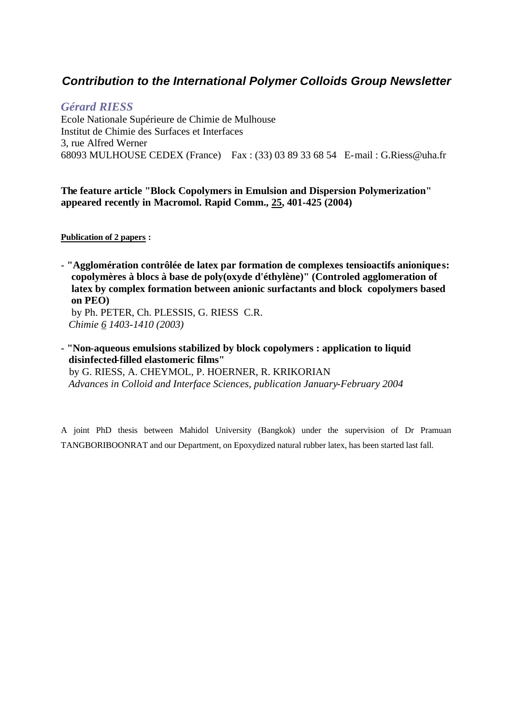### *Contribution to the International Polymer Colloids Group Newsletter*

*Gérard RIESS* Ecole Nationale Supérieure de Chimie de Mulhouse Institut de Chimie des Surfaces et Interfaces 3, rue Alfred Werner 68093 MULHOUSE CEDEX (France) Fax : (33) 03 89 33 68 54 E-mail : G.Riess@uha.fr

**The feature article "Block Copolymers in Emulsion and Dispersion Polymerization" appeared recently in Macromol. Rapid Comm., 25, 401-425 (2004)**

#### **Publication of 2 papers :**

- **"Agglomération contrôlée de latex par formation de complexes tensioactifs anioniques: copolymères à blocs à base de poly(oxyde d'éthylène)" (Controled agglomeration of latex by complex formation between anionic surfactants and block copolymers based on PEO)**

 by Ph. PETER, Ch. PLESSIS, G. RIESS C.R.  *Chimie 6 1403-1410 (2003)*

- **"Non-aqueous emulsions stabilized by block copolymers : application to liquid disinfected-filled elastomeric films"** by G. RIESS, A. CHEYMOL, P. HOERNER, R. KRIKORIAN  *Advances in Colloid and Interface Sciences, publication January-February 2004*

A joint PhD thesis between Mahidol University (Bangkok) under the supervision of Dr Pramuan TANGBORIBOONRAT and our Department, on Epoxydized natural rubber latex, has been started last fall.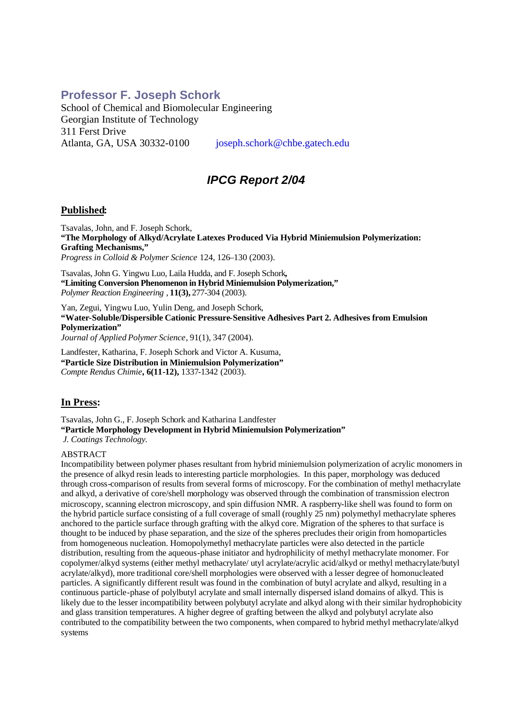### **Professor F. Joseph Schork**

School of Chemical and Biomolecular Engineering Georgian Institute of Technology 311 Ferst Drive Atlanta, GA, USA 30332-0100 joseph.schork@chbe.gatech.edu

### *IPCG Report 2/04*

#### **Published:**

Tsavalas, John, and F. Joseph Schork, **"The Morphology of Alkyd/Acrylate Latexes Produced Via Hybrid Miniemulsion Polymerization: Grafting Mechanisms,"**  *Progress in Colloid & Polymer Science* 124, 126–130 (2003).

Tsavalas, John G. Yingwu Luo, Laila Hudda, and F. Joseph Schork**, "Limiting Conversion Phenomenon in Hybrid Miniemulsion Polymerization,"**  *Polymer Reaction Engineering* , **11(3),** 277-304 (2003).

Yan, Zegui, Yingwu Luo, Yulin Deng, and Joseph Schork, **"Water-Soluble/Dispersible Cationic Pressure-Sensitive Adhesives Part 2. Adhesives from Emulsion Polymerization"**

*Journal of Applied Polymer Science*, 91(1), 347 (2004).

Landfester, Katharina, F. Joseph Schork and Victor A. Kusuma, **"Particle Size Distribution in Miniemulsion Polymerization"**  *Compte Rendus Chimie,* **6(11-12),** 1337-1342 (2003).

#### **In Press:**

Tsavalas, John G., F. Joseph Schork and Katharina Landfester **"Particle Morphology Development in Hybrid Miniemulsion Polymerization"** *J. Coatings Technology.*

#### ABSTRACT

Incompatibility between polymer phases resultant from hybrid miniemulsion polymerization of acrylic monomers in the presence of alkyd resin leads to interesting particle morphologies. In this paper, morphology was deduced through cross-comparison of results from several forms of microscopy. For the combination of methyl methacrylate and alkyd, a derivative of core/shell morphology was observed through the combination of transmission electron microscopy, scanning electron microscopy, and spin diffusion NMR. A raspberry-like shell was found to form on the hybrid particle surface consisting of a full coverage of small (roughly 25 nm) polymethyl methacrylate spheres anchored to the particle surface through grafting with the alkyd core. Migration of the spheres to that surface is thought to be induced by phase separation, and the size of the spheres precludes their origin from homoparticles from homogeneous nucleation. Homopolymethyl methacrylate particles were also detected in the particle distribution, resulting from the aqueous-phase initiator and hydrophilicity of methyl methacrylate monomer. For copolymer/alkyd systems (either methyl methacrylate/ utyl acrylate/acrylic acid/alkyd or methyl methacrylate/butyl acrylate/alkyd), more traditional core/shell morphologies were observed with a lesser degree of homonucleated particles. A significantly different result was found in the combination of butyl acrylate and alkyd, resulting in a continuous particle-phase of polylbutyl acrylate and small internally dispersed island domains of alkyd. This is likely due to the lesser incompatibility between polybutyl acrylate and alkyd along with their similar hydrophobicity and glass transition temperatures. A higher degree of grafting between the alkyd and polybutyl acrylate also contributed to the compatibility between the two components, when compared to hybrid methyl methacrylate/alkyd systems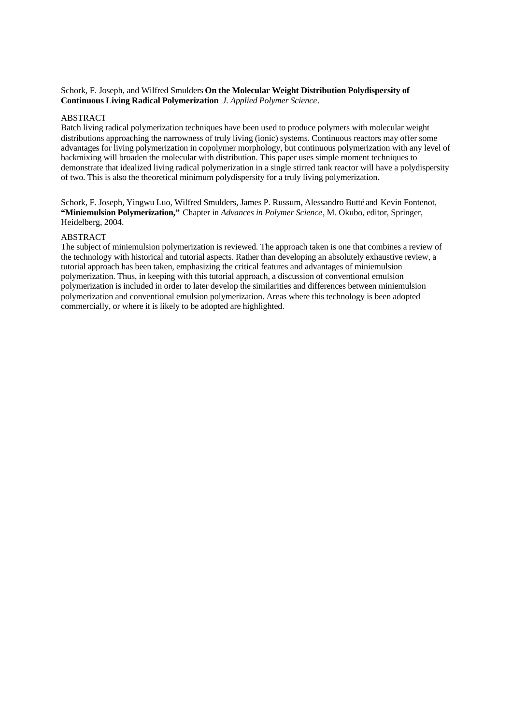#### Schork, F. Joseph, and Wilfred Smulders **On the Molecular Weight Distribution Polydispersity of Continuous Living Radical Polymerization** *J. Applied Polymer Science*.

#### ABSTRACT

Batch living radical polymerization techniques have been used to produce polymers with molecular weight distributions approaching the narrowness of truly living (ionic) systems. Continuous reactors may offer some advantages for living polymerization in copolymer morphology, but continuous polymerization with any level of backmixing will broaden the molecular with distribution. This paper uses simple moment techniques to demonstrate that idealized living radical polymerization in a single stirred tank reactor will have a polydispersity of two. This is also the theoretical minimum polydispersity for a truly living polymerization.

Schork, F. Joseph, Yingwu Luo, Wilfred Smulders, James P. Russum, Alessandro Butté and Kevin Fontenot, **"Miniemulsion Polymerization,"** Chapter in *Advances in Polymer Science*, M. Okubo, editor, Springer, Heidelberg, 2004.

#### **ABSTRACT**

The subject of miniemulsion polymerization is reviewed. The approach taken is one that combines a review of the technology with historical and tutorial aspects. Rather than developing an absolutely exhaustive review, a tutorial approach has been taken, emphasizing the critical features and advantages of miniemulsion polymerization. Thus, in keeping with this tutorial approach, a discussion of conventional emulsion polymerization is included in order to later develop the similarities and differences between miniemulsion polymerization and conventional emulsion polymerization. Areas where this technology is been adopted commercially, or where it is likely to be adopted are highlighted.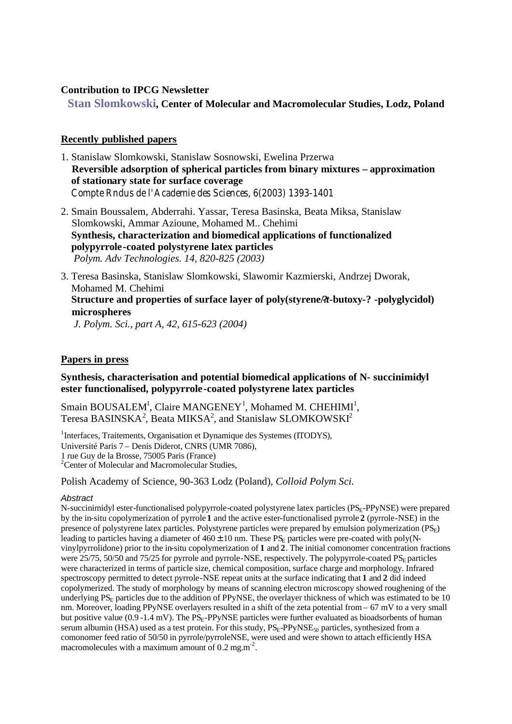#### **Contribution to IPCG Newsletter**

**Stan Slomkowski, Center of Molecular and Macromolecular Studies, Lodz, Poland**

### **Recently published papers**

- 1. Stanislaw Slomkowski, Stanislaw Sosnowski, Ewelina Przerwa  **Reversible adsorption of spherical particles from binary mixtures – approximation of stationary state for surface coverage**   *Compte Rndus de l'Academie des Sciences, 6(2003) 1393-1401*
- 2. Smain Boussalem, Abderrahi. Yassar, Teresa Basinska, Beata Miksa, Stanislaw Slomkowski, Ammar Azioune, Mohamed M.. Chehimi **Synthesis, characterization and biomedical applications of functionalized polypyrrole-coated polystyrene latex particles**   *Polym. Adv Technologies. 14, 820-825 (2003)*
- 3. Teresa Basinska, Stanislaw Slomkowski, Slawomir Kazmierski, Andrzej Dworak, Mohamed M. Chehimi **Structure and properties of surface layer of poly(styrene/?-***t***-butoxy-? -polyglycidol) microspheres**  *J. Polym. Sci., part A, 42, 615-623 (2004)*

**Papers in press**

**Synthesis, characterisation and potential biomedical applications of N- succinimidyl ester functionalised, polypyrrole-coated polystyrene latex particles**

Smain BOUSALEM<sup>1</sup>, Claire MANGENEY<sup>1</sup>, Mohamed M. CHEHIMI<sup>1</sup>, Teresa BASINSKA<sup>2</sup>, Beata MIKSA<sup>2</sup>, and Stanislaw SLOMKOWSKI<sup>2</sup>

<sup>1</sup>Interfaces, Traitements, Organisation et Dynamique des Systemes (ITODYS), Université Paris 7 – Denis Diderot, CNRS (UMR 7086), 1 rue Guy de la Brosse, 75005 Paris (France) <sup>2</sup>Center of Molecular and Macromolecular Studies,

Polish Academy of Science, 90-363 Lodz (Poland), *Colloid Polym Sci.*

#### *Abstract*

N-succinimidyl ester-functionalised polypyrrole-coated polystyrene latex particles  $(PS_E-PPyNSE)$  were prepared by the in-situ copolymerization of pyrrole **1** and the active ester-functionalised pyrrole **2** (pyrrole-NSE) in the presence of polystyrene latex particles. Polystyrene particles were prepared by emulsion polymerization  $(PS<sub>E</sub>)$ leading to particles having a diameter of  $460 \pm 10$  nm. These PS<sub>E</sub> particles were pre-coated with poly(Nvinylpyrrolidone) prior to the in-situ copolymerization of **1** and **2**. The initial comonomer concentration fractions were  $25/75$ ,  $50/50$  and  $75/25$  for pyrrole and pyrrole-NSE, respectively. The polypyrrole-coated PS<sub>E</sub> particles were characterized in terms of particle size, chemical composition, surface charge and morphology. Infrared spectroscopy permitted to detect pyrrole-NSE repeat units at the surface indicating that **1** and **2** did indeed copolymerized. The study of morphology by means of scanning electron microscopy showed roughening of the underlying  $PS_F$  particles due to the addition of PPyNSE, the overlayer thickness of which was estimated to be 10 nm. Moreover, loading PPyNSE overlayers resulted in a shift of the zeta potential from – 67 mV to a very small but positive value (0.9 -1.4 mV). The  $PS_E-PPyNSE$  particles were further evaluated as bioadsorbents of human serum albumin (HSA) used as a test protein. For this study,  $PS<sub>E</sub>-PPvNSE<sub>50</sub>$  particles, synthesized from a comonomer feed ratio of 50/50 in pyrrole/pyrroleNSE, were used and were shown to attach efficiently HSA macromolecules with a maximum amount of  $0.2$  mg.m<sup>-2</sup>.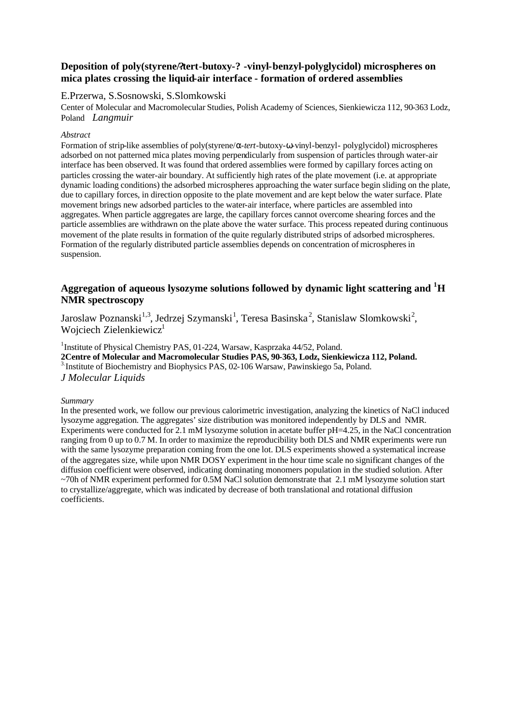### **Deposition of poly(styrene/?tert-butoxy-? -vinyl-benzyl-polyglycidol) microspheres on mica plates crossing the liquid-air interface - formation of ordered assemblies**

#### E.Przerwa, S.Sosnowski, S.Slomkowski

Center of Molecular and Macromolecular Studies, Polish Academy of Sciences, Sienkiewicza 112, 90-363 Lodz, Poland *Langmuir*

#### *Abstract*

Formation of strip-like assemblies of poly(styrene/α-*tert*-butoxy-ω-vinyl-benzyl- polyglycidol) microspheres adsorbed on not patterned mica plates moving perpendicularly from suspension of particles through water-air interface has been observed. It was found that ordered assemblies were formed by capillary forces acting on particles crossing the water-air boundary. At sufficiently high rates of the plate movement (i.e. at appropriate dynamic loading conditions) the adsorbed microspheres approaching the water surface begin sliding on the plate, due to capillary forces, in direction opposite to the plate movement and are kept below the water surface. Plate movement brings new adsorbed particles to the water-air interface, where particles are assembled into aggregates. When particle aggregates are large, the capillary forces cannot overcome shearing forces and the particle assemblies are withdrawn on the plate above the water surface. This process repeated during continuous movement of the plate results in formation of the quite regularly distributed strips of adsorbed microspheres. Formation of the regularly distributed particle assemblies depends on concentration of microspheres in suspension.

### **Aggregation of aqueous lysozyme solutions followed by dynamic light scattering and <sup>1</sup>H NMR spectroscopy**

Jaroslaw Poznanski<sup>1,3</sup>, Jedrzej Szymanski<sup>1</sup>, Teresa Basinska<sup>2</sup>, Stanislaw Slomkowski<sup>2</sup>, Wojciech Zielenkiewicz<sup>1</sup>

<sup>1</sup> Institute of Physical Chemistry PAS, 01-224, Warsaw, Kasprzaka 44/52, Poland. **2Centre of Molecular and Macromolecular Studies PAS, 90-363, Lodz, Sienkiewicza 112, Poland.** <sup>3</sup> Institute of Biochemistry and Biophysics PAS, 02-106 Warsaw, Pawinskiego 5a, Poland. *J Molecular Liquids*

#### *Summary*

In the presented work, we follow our previous calorimetric investigation, analyzing the kinetics of NaCl induced lysozyme aggregation. The aggregates' size distribution was monitored independently by DLS and NMR. Experiments were conducted for 2.1 mM lysozyme solution in acetate buffer pH=4.25, in the NaCl concentration ranging from 0 up to 0.7 M. In order to maximize the reproducibility both DLS and NMR experiments were run with the same lysozyme preparation coming from the one lot. DLS experiments showed a systematical increase of the aggregates size, while upon NMR DOSY experiment in the hour time scale no significant changes of the diffusion coefficient were observed, indicating dominating monomers population in the studied solution. After ~70h of NMR experiment performed for 0.5M NaCl solution demonstrate that 2.1 mM lysozyme solution start to crystallize/aggregate, which was indicated by decrease of both translational and rotational diffusion coefficients.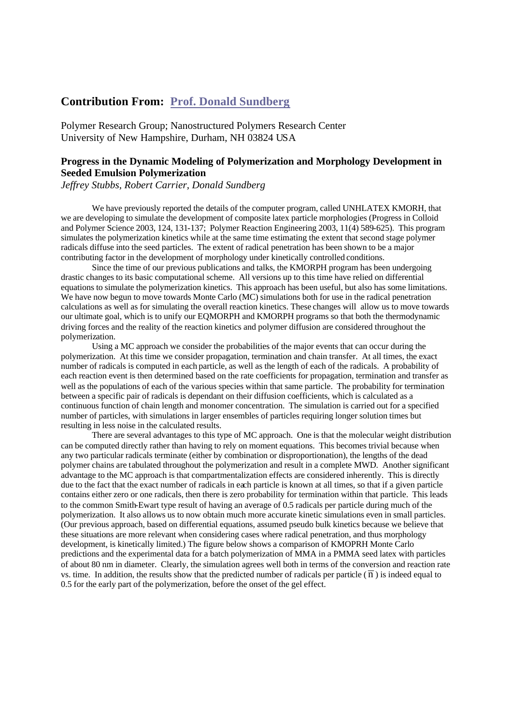### **Contribution From: Prof. Donald Sundberg**

Polymer Research Group; Nanostructured Polymers Research Center University of New Hampshire, Durham, NH 03824 USA

### **Progress in the Dynamic Modeling of Polymerization and Morphology Development in Seeded Emulsion Polymerization**

*Jeffrey Stubbs, Robert Carrier, Donald Sundberg*

We have previously reported the details of the computer program, called UNHLATEX KMORH, that we are developing to simulate the development of composite latex particle morphologies (Progress in Colloid and Polymer Science 2003, 124, 131-137; Polymer Reaction Engineering 2003, 11(4) 589-625). This program simulates the polymerization kinetics while at the same time estimating the extent that second stage polymer radicals diffuse into the seed particles. The extent of radical penetration has been shown to be a major contributing factor in the development of morphology under kinetically controlled conditions.

Since the time of our previous publications and talks, the KMORPH program has been undergoing drastic changes to its basic computational scheme. All versions up to this time have relied on differential equations to simulate the polymerization kinetics. This approach has been useful, but also has some limitations. We have now begun to move towards Monte Carlo (MC) simulations both for use in the radical penetration calculations as well as for simulating the overall reaction kinetics. These changes will allow us to move towards our ultimate goal, which is to unify our EQMORPH and KMORPH programs so that both the thermodynamic driving forces and the reality of the reaction kinetics and polymer diffusion are considered throughout the polymerization.

Using a MC approach we consider the probabilities of the major events that can occur during the polymerization. At this time we consider propagation, termination and chain transfer. At all times, the exact number of radicals is computed in each particle, as well as the length of each of the radicals. A probability of each reaction event is then determined based on the rate coefficients for propagation, termination and transfer as well as the populations of each of the various species within that same particle. The probability for termination between a specific pair of radicals is dependant on their diffusion coefficients, which is calculated as a continuous function of chain length and monomer concentration. The simulation is carried out for a specified number of particles, with simulations in larger ensembles of particles requiring longer solution times but resulting in less noise in the calculated results.

There are several advantages to this type of MC approach. One is that the molecular weight distribution can be computed directly rather than having to rely on moment equations. This becomes trivial because when any two particular radicals terminate (either by combination or disproportionation), the lengths of the dead polymer chains are tabulated throughout the polymerization and result in a complete MWD. Another significant advantage to the MC approach is that compartmentalization effects are considered inherently. This is directly due to the fact that the exact number of radicals in each particle is known at all times, so that if a given particle contains either zero or one radicals, then there is zero probability for termination within that particle. This leads to the common Smith-Ewart type result of having an average of 0.5 radicals per particle during much of the polymerization. It also allows us to now obtain much more accurate kinetic simulations even in small particles. (Our previous approach, based on differential equations, assumed pseudo bulk kinetics because we believe that these situations are more relevant when considering cases where radical penetration, and thus morphology development, is kinetically limited.) The figure below shows a comparison of KMOPRH Monte Carlo predictions and the experimental data for a batch polymerization of MMA in a PMMA seed latex with particles of about 80 nm in diameter. Clearly, the simulation agrees well both in terms of the conversion and reaction rate vs. time. In addition, the results show that the predicted number of radicals per particle  $(\overline{\bf n})$  is indeed equal to 0.5 for the early part of the polymerization, before the onset of the gel effect.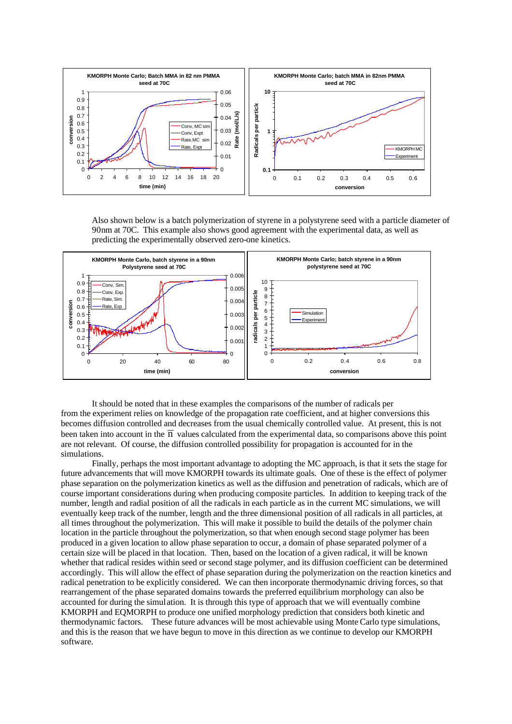

Also shown below is a batch polymerization of styrene in a polystyrene seed with a particle diameter of 90nm at 70C. This example also shows good agreement with the experimental data, as well as predicting the experimentally observed zero-one kinetics.



It should be noted that in these examples the comparisons of the number of radicals per from the experiment relies on knowledge of the propagation rate coefficient, and at higher conversions this becomes diffusion controlled and decreases from the usual chemically controlled value. At present, this is not been taken into account in the  $\overline{n}$  values calculated from the experimental data, so comparisons above this point are not relevant. Of course, the diffusion controlled possibility for propagation is accounted for in the simulations.

Finally, perhaps the most important advantage to adopting the MC approach, is that it sets the stage for future advancements that will move KMORPH towards its ultimate goals. One of these is the effect of polymer phase separation on the polymerization kinetics as well as the diffusion and penetration of radicals, which are of course important considerations during when producing composite particles. In addition to keeping track of the number, length and radial position of all the radicals in each particle as in the current MC simulations, we will eventually keep track of the number, length and the three dimensional position of all radicals in all particles, at all times throughout the polymerization. This will make it possible to build the details of the polymer chain location in the particle throughout the polymerization, so that when enough second stage polymer has been produced in a given location to allow phase separation to occur, a domain of phase separated polymer of a certain size will be placed in that location. Then, based on the location of a given radical, it will be known whether that radical resides within seed or second stage polymer, and its diffusion coefficient can be determined accordingly. This will allow the effect of phase separation during the polymerization on the reaction kinetics and radical penetration to be explicitly considered. We can then incorporate thermodynamic driving forces, so that rearrangement of the phase separated domains towards the preferred equilibrium morphology can also be accounted for during the simulation. It is through this type of approach that we will eventually combine KMORPH and EQMORPH to produce one unified morphology prediction that considers both kinetic and thermodynamic factors. These future advances will be most achievable using Monte Carlo type simulations, and this is the reason that we have begun to move in this direction as we continue to develop our KMORPH software.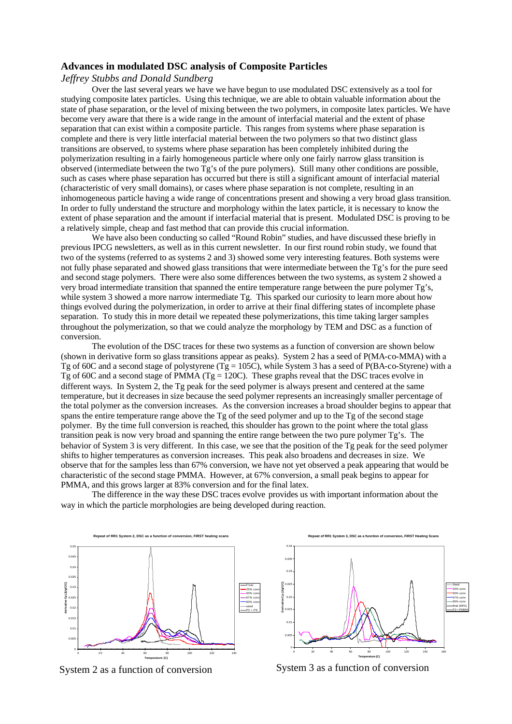#### **Advances in modulated DSC analysis of Composite Particles**

#### *Jeffrey Stubbs and Donald Sundberg*

Over the last several years we have we have begun to use modulated DSC extensively as a tool for studying composite latex particles. Using this technique, we are able to obtain valuable information about the state of phase separation, or the level of mixing between the two polymers, in composite latex particles. We have become very aware that there is a wide range in the amount of interfacial material and the extent of phase separation that can exist within a composite particle. This ranges from systems where phase separation is complete and there is very little interfacial material between the two polymers so that two distinct glass transitions are observed, to systems where phase separation has been completely inhibited during the polymerization resulting in a fairly homogeneous particle where only one fairly narrow glass transition is observed (intermediate between the two Tg's of the pure polymers). Still many other conditions are possible, such as cases where phase separation has occurred but there is still a significant amount of interfacial material (characteristic of very small domains), or cases where phase separation is not complete, resulting in an inhomogeneous particle having a wide range of concentrations present and showing a very broad glass transition. In order to fully understand the structure and morphology within the latex particle, it is necessary to know the extent of phase separation and the amount if interfacial material that is present. Modulated DSC is proving to be a relatively simple, cheap and fast method that can provide this crucial information.

We have also been conducting so called "Round Robin" studies, and have discussed these briefly in previous IPCG newsletters, as well as in this current newsletter. In our first round robin study, we found that two of the systems (referred to as systems 2 and 3) showed some very interesting features. Both systems were not fully phase separated and showed glass transitions that were intermediate between the Tg's for the pure seed and second stage polymers. There were also some differences between the two systems, as system 2 showed a very broad intermediate transition that spanned the entire temperature range between the pure polymer Tg's, while system 3 showed a more narrow intermediate Tg. This sparked our curiosity to learn more about how things evolved during the polymerization, in order to arrive at their final differing states of incomplete phase separation. To study this in more detail we repeated these polymerizations, this time taking larger samples throughout the polymerization, so that we could analyze the morphology by TEM and DSC as a function of conversion.

The evolution of the DSC traces for these two systems as a function of conversion are shown below (shown in derivative form so glass transitions appear as peaks). System 2 has a seed of P(MA-co-MMA) with a Tg of 60C and a second stage of polystyrene ( $Tg = 105C$ ), while System 3 has a seed of P(BA-co-Styrene) with a Tg of 60C and a second stage of PMMA (Tg = 120C). These graphs reveal that the DSC traces evolve in different ways. In System 2, the Tg peak for the seed polymer is always present and centered at the same temperature, but it decreases in size because the seed polymer represents an increasingly smaller percentage of the total polymer as the conversion increases. As the conversion increases a broad shoulder begins to appear that spans the entire temperature range above the Tg of the seed polymer and up to the Tg of the second stage polymer. By the time full conversion is reached, this shoulder has grown to the point where the total glass transition peak is now very broad and spanning the entire range between the two pure polymer Tg's. The behavior of System 3 is very different. In this case, we see that the position of the Tg peak for the seed polymer shifts to higher temperatures as conversion increases. This peak also broadens and decreases in size. We observe that for the samples less than 67% conversion, we have not yet observed a peak appearing that would be characteristic of the second stage PMMA. However, at 67% conversion, a small peak begins to appear for PMMA, and this grows larger at 83% conversion and for the final latex.

The difference in the way these DSC traces evolve provides us with important information about the way in which the particle morphologies are being developed during reaction.



System 2 as a function of conversion



System 3 as a function of conversion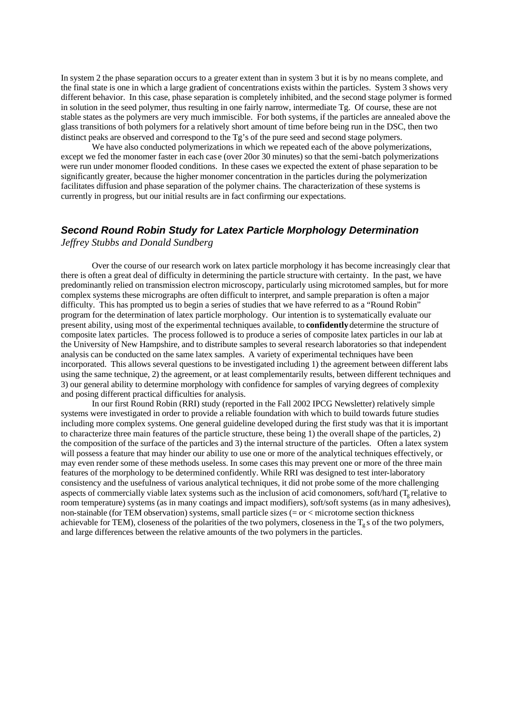In system 2 the phase separation occurs to a greater extent than in system 3 but it is by no means complete, and the final state is one in which a large gradient of concentrations exists within the particles. System 3 shows very different behavior. In this case, phase separation is completely inhibited, and the second stage polymer is formed in solution in the seed polymer, thus resulting in one fairly narrow, intermediate Tg. Of course, these are not stable states as the polymers are very much immiscible. For both systems, if the particles are annealed above the glass transitions of both polymers for a relatively short amount of time before being run in the DSC, then two distinct peaks are observed and correspond to the Tg's of the pure seed and second stage polymers.

We have also conducted polymerizations in which we repeated each of the above polymerizations, except we fed the monomer faster in each case (over 20or 30 minutes) so that the semi-batch polymerizations were run under monomer flooded conditions. In these cases we expected the extent of phase separation to be significantly greater, because the higher monomer concentration in the particles during the polymerization facilitates diffusion and phase separation of the polymer chains. The characterization of these systems is currently in progress, but our initial results are in fact confirming our expectations.

## *Second Round Robin Study for Latex Particle Morphology Determination Jeffrey Stubbs and Donald Sundberg*

Over the course of our research work on latex particle morphology it has become increasingly clear that there is often a great deal of difficulty in determining the particle structure with certainty. In the past, we have predominantly relied on transmission electron microscopy, particularly using microtomed samples, but for more complex systems these micrographs are often difficult to interpret, and sample preparation is often a major difficulty. This has prompted us to begin a series of studies that we have referred to as a "Round Robin" program for the determination of latex particle morphology. Our intention is to systematically evaluate our present ability, using most of the experimental techniques available, to **confidently** determine the structure of composite latex particles. The process followed is to produce a series of composite latex particles in our lab at the University of New Hampshire, and to distribute samples to several research laboratories so that independent analysis can be conducted on the same latex samples. A variety of experimental techniques have been incorporated. This allows several questions to be investigated including 1) the agreement between different labs using the same technique, 2) the agreement, or at least complementarily results, between different techniques and 3) our general ability to determine morphology with confidence for samples of varying degrees of complexity and posing different practical difficulties for analysis.

In our first Round Robin (RRI) study (reported in the Fall 2002 IPCG Newsletter) relatively simple systems were investigated in order to provide a reliable foundation with which to build towards future studies including more complex systems. One general guideline developed during the first study was that it is important to characterize three main features of the particle structure, these being 1) the overall shape of the particles, 2) the composition of the surface of the particles and 3) the internal structure of the particles. Often a latex system will possess a feature that may hinder our ability to use one or more of the analytical techniques effectively, or may even render some of these methods useless. In some cases this may prevent one or more of the three main features of the morphology to be determined confidently. While RRI was designed to test inter-laboratory consistency and the usefulness of various analytical techniques, it did not probe some of the more challenging aspects of commercially viable latex systems such as the inclusion of acid comonomers, soft/hard (T<sub>g</sub> relative to room temperature) systems (as in many coatings and impact modifiers), soft/soft systems (as in many adhesives), non-stainable (for TEM observation) systems, small particle sizes (= or < microtome section thickness achievable for TEM), closeness of the polarities of the two polymers, closeness in the  $T<sub>g</sub>$  s of the two polymers, and large differences between the relative amounts of the two polymers in the particles.